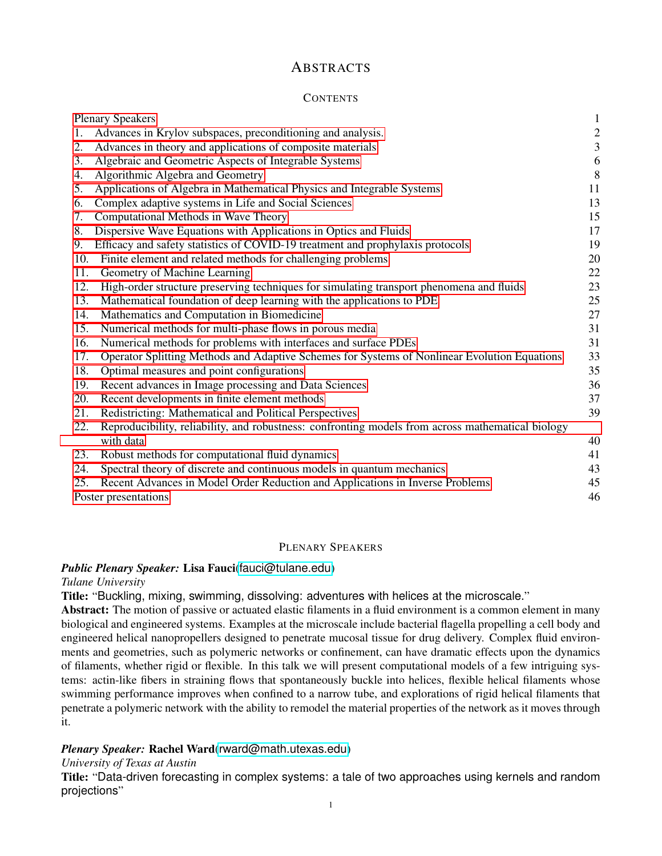# **ABSTRACTS**

# **CONTENTS**

| <b>Plenary Speakers</b> |                                                                                                   | $\mathbf 1$             |
|-------------------------|---------------------------------------------------------------------------------------------------|-------------------------|
| 1.                      | Advances in Krylov subspaces, preconditioning and analysis.                                       | $\overline{c}$          |
| 2.                      | Advances in theory and applications of composite materials                                        | $\overline{\mathbf{3}}$ |
| 3.                      | Algebraic and Geometric Aspects of Integrable Systems                                             | 6                       |
| 4.                      | Algorithmic Algebra and Geometry                                                                  | 8                       |
| 5.                      | Applications of Algebra in Mathematical Physics and Integrable Systems                            | 11                      |
| 6.                      | Complex adaptive systems in Life and Social Sciences                                              | 13                      |
| 7.                      | Computational Methods in Wave Theory                                                              | 15                      |
| 8.                      | Dispersive Wave Equations with Applications in Optics and Fluids                                  | 17                      |
| 9.                      | Efficacy and safety statistics of COVID-19 treatment and prophylaxis protocols                    | 19                      |
| 10.                     | Finite element and related methods for challenging problems                                       | 20                      |
| 11.                     | Geometry of Machine Learning                                                                      | 22                      |
| 12.                     | High-order structure preserving techniques for simulating transport phenomena and fluids          | 23                      |
| 13.                     | Mathematical foundation of deep learning with the applications to PDE                             | 25                      |
| 14.                     | Mathematics and Computation in Biomedicine                                                        | 27                      |
| 15.                     | Numerical methods for multi-phase flows in porous media                                           | 31                      |
| 16.                     | Numerical methods for problems with interfaces and surface PDEs                                   | 31                      |
| 17.                     | Operator Splitting Methods and Adaptive Schemes for Systems of Nonlinear Evolution Equations      | 33                      |
| 18.                     | Optimal measures and point configurations                                                         | 35                      |
| 19.                     | Recent advances in Image processing and Data Sciences                                             | 36                      |
| 20.                     | Recent developments in finite element methods                                                     | 37                      |
| 21.                     | Redistricting: Mathematical and Political Perspectives                                            | 39                      |
| 22.                     | Reproducibility, reliability, and robustness: confronting models from across mathematical biology |                         |
|                         | with data                                                                                         | 40                      |
| 23.                     | Robust methods for computational fluid dynamics                                                   | 41                      |
| 24.                     | Spectral theory of discrete and continuous models in quantum mechanics                            | 43                      |
| 25.                     | Recent Advances in Model Order Reduction and Applications in Inverse Problems                     | 45                      |
|                         | Poster presentations                                                                              |                         |

# <span id="page-0-0"></span>PLENARY SPEAKERS

### *Public Plenary Speaker:* Lisa Fauci([fauci@tulane.edu](mailto:fauci@tulane.edu))

# *Tulane University*

Title: "Buckling, mixing, swimming, dissolving: adventures with helices at the microscale."

Abstract: The motion of passive or actuated elastic filaments in a fluid environment is a common element in many biological and engineered systems. Examples at the microscale include bacterial flagella propelling a cell body and engineered helical nanopropellers designed to penetrate mucosal tissue for drug delivery. Complex fluid environments and geometries, such as polymeric networks or confinement, can have dramatic effects upon the dynamics of filaments, whether rigid or flexible. In this talk we will present computational models of a few intriguing systems: actin-like fibers in straining flows that spontaneously buckle into helices, flexible helical filaments whose swimming performance improves when confined to a narrow tube, and explorations of rigid helical filaments that penetrate a polymeric network with the ability to remodel the material properties of the network as it moves through it.

# *Plenary Speaker:* Rachel Ward([rward@math.utexas.edu](mailto:rward@math.utexas.edu))

# *University of Texas at Austin*

Title: "Data-driven forecasting in complex systems: a tale of two approaches using kernels and random projections"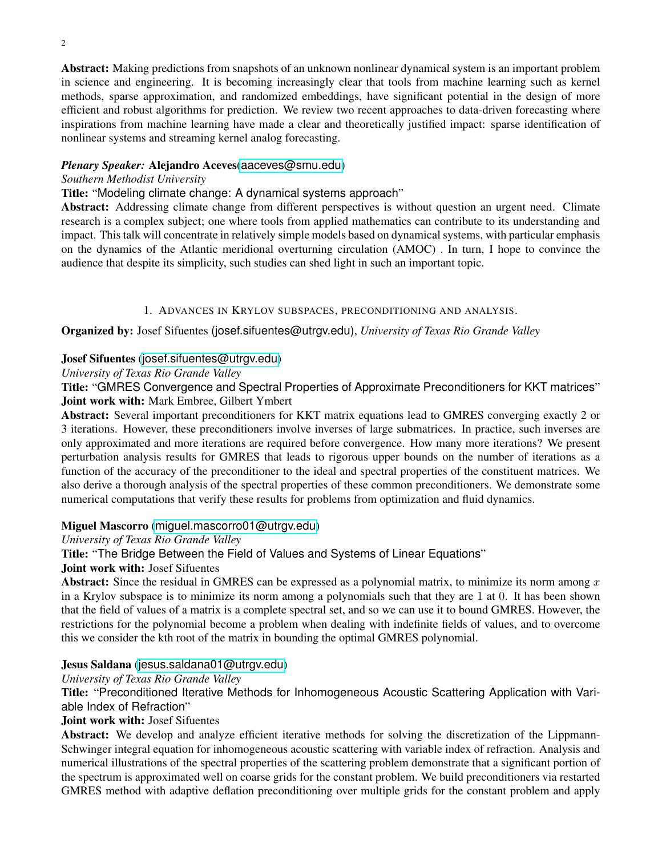Abstract: Making predictions from snapshots of an unknown nonlinear dynamical system is an important problem in science and engineering. It is becoming increasingly clear that tools from machine learning such as kernel methods, sparse approximation, and randomized embeddings, have significant potential in the design of more efficient and robust algorithms for prediction. We review two recent approaches to data-driven forecasting where inspirations from machine learning have made a clear and theoretically justified impact: sparse identification of nonlinear systems and streaming kernel analog forecasting.

# *Plenary Speaker:* Alejandro Aceves([aaceves@smu.edu](mailto:aaceves@smu.edu))

# *Southern Methodist University*

Title: "Modeling climate change: A dynamical systems approach"

Abstract: Addressing climate change from different perspectives is without question an urgent need. Climate research is a complex subject; one where tools from applied mathematics can contribute to its understanding and impact. This talk will concentrate in relatively simple models based on dynamical systems, with particular emphasis on the dynamics of the Atlantic meridional overturning circulation (AMOC) . In turn, I hope to convince the audience that despite its simplicity, such studies can shed light in such an important topic.

# 1. ADVANCES IN KRYLOV SUBSPACES, PRECONDITIONING AND ANALYSIS.

<span id="page-1-0"></span>Organized by: Josef Sifuentes (josef.sifuentes@utrgv.edu), *University of Texas Rio Grande Valley*

# Josef Sifuentes ([josef.sifuentes@utrgv.edu](mailto:josef.sifuentes@utrgv.edu))

*University of Texas Rio Grande Valley*

Title: "GMRES Convergence and Spectral Properties of Approximate Preconditioners for KKT matrices" Joint work with: Mark Embree, Gilbert Ymbert

Abstract: Several important preconditioners for KKT matrix equations lead to GMRES converging exactly 2 or 3 iterations. However, these preconditioners involve inverses of large submatrices. In practice, such inverses are only approximated and more iterations are required before convergence. How many more iterations? We present perturbation analysis results for GMRES that leads to rigorous upper bounds on the number of iterations as a function of the accuracy of the preconditioner to the ideal and spectral properties of the constituent matrices. We also derive a thorough analysis of the spectral properties of these common preconditioners. We demonstrate some numerical computations that verify these results for problems from optimization and fluid dynamics.

# Miguel Mascorro ([miguel.mascorro01@utrgv.edu](mailto:miguel.mascorro01@utrgv.edu))

# *University of Texas Rio Grande Valley*

Title: "The Bridge Between the Field of Values and Systems of Linear Equations"

# Joint work with: Josef Sifuentes

Abstract: Since the residual in GMRES can be expressed as a polynomial matrix, to minimize its norm among  $x$ in a Krylov subspace is to minimize its norm among a polynomials such that they are 1 at 0. It has been shown that the field of values of a matrix is a complete spectral set, and so we can use it to bound GMRES. However, the restrictions for the polynomial become a problem when dealing with indefinite fields of values, and to overcome this we consider the kth root of the matrix in bounding the optimal GMRES polynomial.

# Jesus Saldana ([jesus.saldana01@utrgv.edu](mailto:jesus.saldana01@utrgv.edu))

*University of Texas Rio Grande Valley*

Title: "Preconditioned Iterative Methods for Inhomogeneous Acoustic Scattering Application with Variable Index of Refraction"

# Joint work with: Josef Sifuentes

Abstract: We develop and analyze efficient iterative methods for solving the discretization of the Lippmann-Schwinger integral equation for inhomogeneous acoustic scattering with variable index of refraction. Analysis and numerical illustrations of the spectral properties of the scattering problem demonstrate that a significant portion of the spectrum is approximated well on coarse grids for the constant problem. We build preconditioners via restarted GMRES method with adaptive deflation preconditioning over multiple grids for the constant problem and apply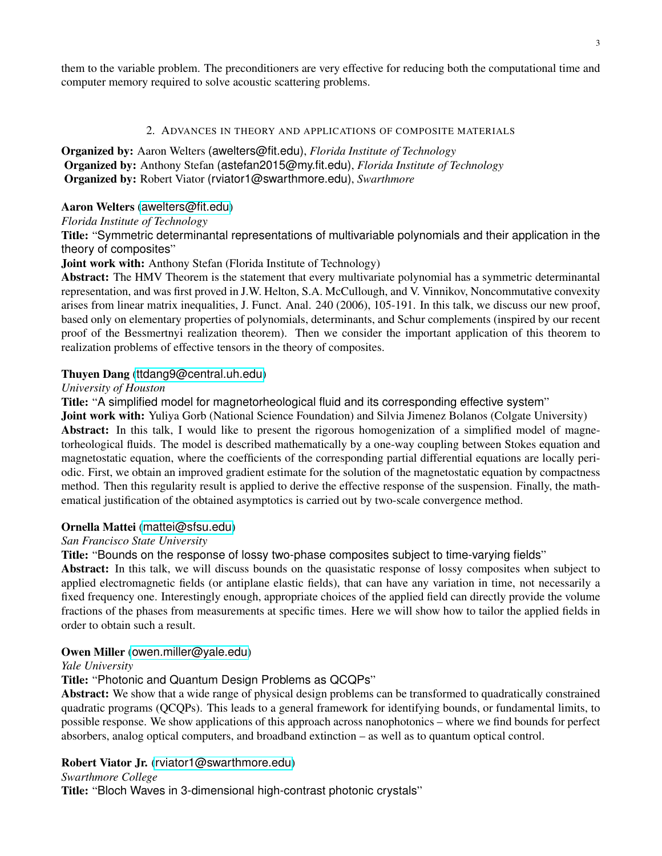them to the variable problem. The preconditioners are very effective for reducing both the computational time and computer memory required to solve acoustic scattering problems.

#### 2. ADVANCES IN THEORY AND APPLICATIONS OF COMPOSITE MATERIALS

<span id="page-2-0"></span>Organized by: Aaron Welters (awelters@fit.edu), *Florida Institute of Technology* Organized by: Anthony Stefan (astefan2015@my.fit.edu), *Florida Institute of Technology* Organized by: Robert Viator (rviator1@swarthmore.edu), *Swarthmore*

# Aaron Welters ([awelters@fit.edu](mailto:awelters@fit.edu))

### *Florida Institute of Technology*

Title: "Symmetric determinantal representations of multivariable polynomials and their application in the theory of composites"

# Joint work with: Anthony Stefan (Florida Institute of Technology)

Abstract: The HMV Theorem is the statement that every multivariate polynomial has a symmetric determinantal representation, and was first proved in J.W. Helton, S.A. McCullough, and V. Vinnikov, Noncommutative convexity arises from linear matrix inequalities, J. Funct. Anal. 240 (2006), 105-191. In this talk, we discuss our new proof, based only on elementary properties of polynomials, determinants, and Schur complements (inspired by our recent proof of the Bessmertnyi realization theorem). Then we consider the important application of this theorem to realization problems of effective tensors in the theory of composites.

# Thuyen Dang ([ttdang9@central.uh.edu](mailto:ttdang9@central.uh.edu))

### *University of Houston*

Title: "A simplified model for magnetorheological fluid and its corresponding effective system"

Joint work with: Yuliya Gorb (National Science Foundation) and Silvia Jimenez Bolanos (Colgate University) Abstract: In this talk, I would like to present the rigorous homogenization of a simplified model of magnetorheological fluids. The model is described mathematically by a one-way coupling between Stokes equation and magnetostatic equation, where the coefficients of the corresponding partial differential equations are locally periodic. First, we obtain an improved gradient estimate for the solution of the magnetostatic equation by compactness method. Then this regularity result is applied to derive the effective response of the suspension. Finally, the mathematical justification of the obtained asymptotics is carried out by two-scale convergence method.

# Ornella Mattei ([mattei@sfsu.edu](mailto:mattei@sfsu.edu))

### *San Francisco State University*

Title: "Bounds on the response of lossy two-phase composites subject to time-varying fields"

Abstract: In this talk, we will discuss bounds on the quasistatic response of lossy composites when subject to applied electromagnetic fields (or antiplane elastic fields), that can have any variation in time, not necessarily a fixed frequency one. Interestingly enough, appropriate choices of the applied field can directly provide the volume fractions of the phases from measurements at specific times. Here we will show how to tailor the applied fields in order to obtain such a result.

# Owen Miller ([owen.miller@yale.edu](mailto:owen.miller@yale.edu))

### *Yale University*

# Title: "Photonic and Quantum Design Problems as QCQPs"

Abstract: We show that a wide range of physical design problems can be transformed to quadratically constrained quadratic programs (QCQPs). This leads to a general framework for identifying bounds, or fundamental limits, to possible response. We show applications of this approach across nanophotonics – where we find bounds for perfect absorbers, analog optical computers, and broadband extinction – as well as to quantum optical control.

# Robert Viator Jr. ([rviator1@swarthmore.edu](mailto:rviator1@swarthmore.edu))

### *Swarthmore College*

Title: "Bloch Waves in 3-dimensional high-contrast photonic crystals"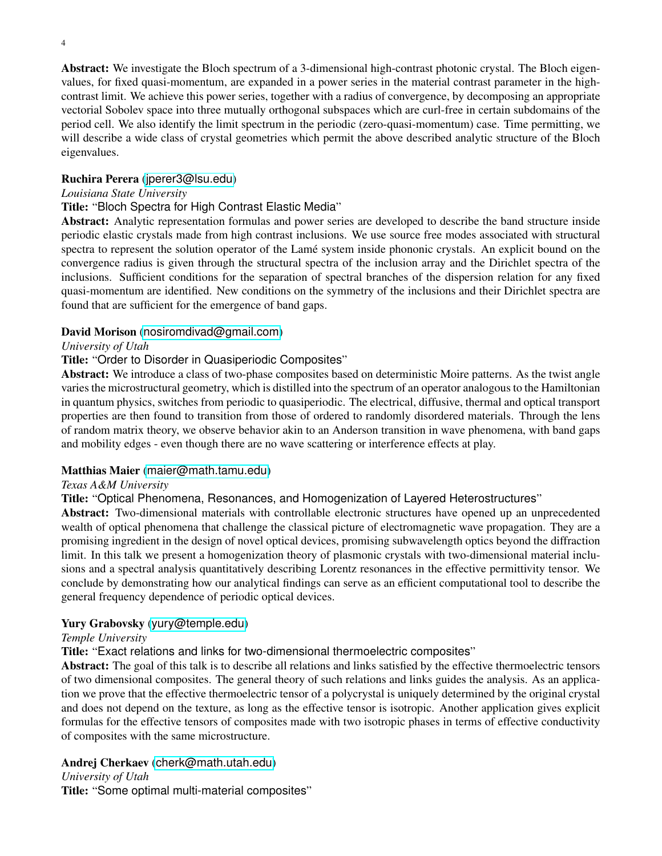Abstract: We investigate the Bloch spectrum of a 3-dimensional high-contrast photonic crystal. The Bloch eigenvalues, for fixed quasi-momentum, are expanded in a power series in the material contrast parameter in the highcontrast limit. We achieve this power series, together with a radius of convergence, by decomposing an appropriate vectorial Sobolev space into three mutually orthogonal subspaces which are curl-free in certain subdomains of the period cell. We also identify the limit spectrum in the periodic (zero-quasi-momentum) case. Time permitting, we will describe a wide class of crystal geometries which permit the above described analytic structure of the Bloch eigenvalues.

# Ruchira Perera ([jperer3@lsu.edu](mailto:jperer3@lsu.edu))

# *Louisiana State University*

# Title: "Bloch Spectra for High Contrast Elastic Media"

Abstract: Analytic representation formulas and power series are developed to describe the band structure inside periodic elastic crystals made from high contrast inclusions. We use source free modes associated with structural spectra to represent the solution operator of the Lamé system inside phononic crystals. An explicit bound on the convergence radius is given through the structural spectra of the inclusion array and the Dirichlet spectra of the inclusions. Sufficient conditions for the separation of spectral branches of the dispersion relation for any fixed quasi-momentum are identified. New conditions on the symmetry of the inclusions and their Dirichlet spectra are found that are sufficient for the emergence of band gaps.

# David Morison ([nosiromdivad@gmail.com](mailto:nosiromdivad@gmail.com))

### *University of Utah*

# Title: "Order to Disorder in Quasiperiodic Composites"

Abstract: We introduce a class of two-phase composites based on deterministic Moire patterns. As the twist angle varies the microstructural geometry, which is distilled into the spectrum of an operator analogous to the Hamiltonian in quantum physics, switches from periodic to quasiperiodic. The electrical, diffusive, thermal and optical transport properties are then found to transition from those of ordered to randomly disordered materials. Through the lens of random matrix theory, we observe behavior akin to an Anderson transition in wave phenomena, with band gaps and mobility edges - even though there are no wave scattering or interference effects at play.

### Matthias Maier ([maier@math.tamu.edu](mailto:maier@math.tamu.edu))

### *Texas A&M University*

### Title: "Optical Phenomena, Resonances, and Homogenization of Layered Heterostructures"

Abstract: Two-dimensional materials with controllable electronic structures have opened up an unprecedented wealth of optical phenomena that challenge the classical picture of electromagnetic wave propagation. They are a promising ingredient in the design of novel optical devices, promising subwavelength optics beyond the diffraction limit. In this talk we present a homogenization theory of plasmonic crystals with two-dimensional material inclusions and a spectral analysis quantitatively describing Lorentz resonances in the effective permittivity tensor. We conclude by demonstrating how our analytical findings can serve as an efficient computational tool to describe the general frequency dependence of periodic optical devices.

### Yury Grabovsky ([yury@temple.edu](mailto:yury@temple.edu))

### *Temple University*

Title: "Exact relations and links for two-dimensional thermoelectric composites"

Abstract: The goal of this talk is to describe all relations and links satisfied by the effective thermoelectric tensors of two dimensional composites. The general theory of such relations and links guides the analysis. As an application we prove that the effective thermoelectric tensor of a polycrystal is uniquely determined by the original crystal and does not depend on the texture, as long as the effective tensor is isotropic. Another application gives explicit formulas for the effective tensors of composites made with two isotropic phases in terms of effective conductivity of composites with the same microstructure.

# Andrej Cherkaev ([cherk@math.utah.edu](mailto:cherk@math.utah.edu))

### *University of Utah*

Title: "Some optimal multi-material composites"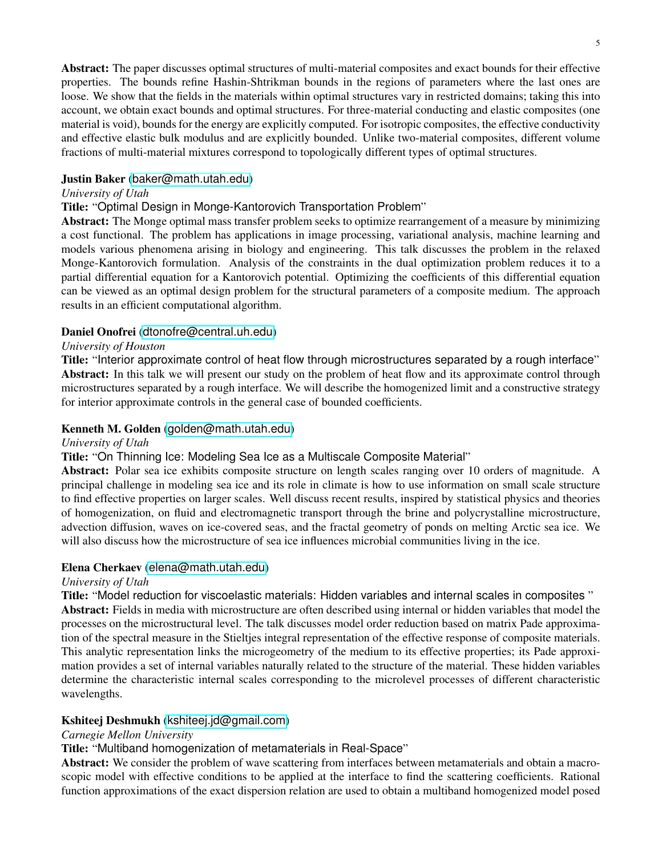Abstract: The paper discusses optimal structures of multi-material composites and exact bounds for their effective properties. The bounds refine Hashin-Shtrikman bounds in the regions of parameters where the last ones are loose. We show that the fields in the materials within optimal structures vary in restricted domains; taking this into account, we obtain exact bounds and optimal structures. For three-material conducting and elastic composites (one material is void), bounds for the energy are explicitly computed. For isotropic composites, the effective conductivity and effective elastic bulk modulus and are explicitly bounded. Unlike two-material composites, different volume fractions of multi-material mixtures correspond to topologically different types of optimal structures.

# Justin Baker ([baker@math.utah.edu](mailto:baker@math.utah.edu))

### *University of Utah*

# Title: "Optimal Design in Monge-Kantorovich Transportation Problem"

Abstract: The Monge optimal mass transfer problem seeks to optimize rearrangement of a measure by minimizing a cost functional. The problem has applications in image processing, variational analysis, machine learning and models various phenomena arising in biology and engineering. This talk discusses the problem in the relaxed Monge-Kantorovich formulation. Analysis of the constraints in the dual optimization problem reduces it to a partial differential equation for a Kantorovich potential. Optimizing the coefficients of this differential equation can be viewed as an optimal design problem for the structural parameters of a composite medium. The approach results in an efficient computational algorithm.

# Daniel Onofrei ([dtonofre@central.uh.edu](mailto:dtonofre@central.uh.edu))

### *University of Houston*

Title: "Interior approximate control of heat flow through microstructures separated by a rough interface" Abstract: In this talk we will present our study on the problem of heat flow and its approximate control through microstructures separated by a rough interface. We will describe the homogenized limit and a constructive strategy for interior approximate controls in the general case of bounded coefficients.

### Kenneth M. Golden ([golden@math.utah.edu](mailto:golden@math.utah.edu))

### *University of Utah*

### Title: "On Thinning Ice: Modeling Sea Ice as a Multiscale Composite Material"

Abstract: Polar sea ice exhibits composite structure on length scales ranging over 10 orders of magnitude. A principal challenge in modeling sea ice and its role in climate is how to use information on small scale structure to find effective properties on larger scales. Well discuss recent results, inspired by statistical physics and theories of homogenization, on fluid and electromagnetic transport through the brine and polycrystalline microstructure, advection diffusion, waves on ice-covered seas, and the fractal geometry of ponds on melting Arctic sea ice. We will also discuss how the microstructure of sea ice influences microbial communities living in the ice.

### Elena Cherkaev ([elena@math.utah.edu](mailto:elena@math.utah.edu))

### *University of Utah*

Title: "Model reduction for viscoelastic materials: Hidden variables and internal scales in composites " Abstract: Fields in media with microstructure are often described using internal or hidden variables that model the processes on the microstructural level. The talk discusses model order reduction based on matrix Pade approximation of the spectral measure in the Stieltjes integral representation of the effective response of composite materials. This analytic representation links the microgeometry of the medium to its effective properties; its Pade approximation provides a set of internal variables naturally related to the structure of the material. These hidden variables determine the characteristic internal scales corresponding to the microlevel processes of different characteristic wavelengths.

### Kshiteej Deshmukh ([kshiteej.jd@gmail.com](mailto:kshiteej.jd@gmail.com))

### *Carnegie Mellon University*

### Title: "Multiband homogenization of metamaterials in Real-Space"

Abstract: We consider the problem of wave scattering from interfaces between metamaterials and obtain a macroscopic model with effective conditions to be applied at the interface to find the scattering coefficients. Rational function approximations of the exact dispersion relation are used to obtain a multiband homogenized model posed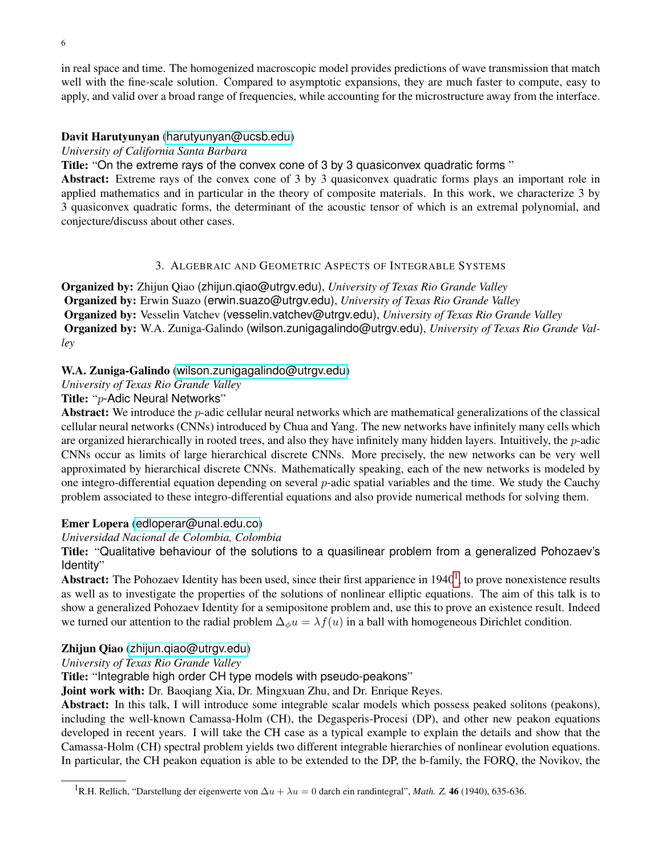in real space and time. The homogenized macroscopic model provides predictions of wave transmission that match well with the fine-scale solution. Compared to asymptotic expansions, they are much faster to compute, easy to apply, and valid over a broad range of frequencies, while accounting for the microstructure away from the interface.

### Davit Harutyunyan ([harutyunyan@ucsb.edu](mailto:harutyunyan@ucsb.edu))

*University of California Santa Barbara*

Title: "On the extreme rays of the convex cone of 3 by 3 quasiconvex quadratic forms "

Abstract: Extreme rays of the convex cone of 3 by 3 quasiconvex quadratic forms plays an important role in applied mathematics and in particular in the theory of composite materials. In this work, we characterize 3 by 3 quasiconvex quadratic forms, the determinant of the acoustic tensor of which is an extremal polynomial, and conjecture/discuss about other cases.

### 3. ALGEBRAIC AND GEOMETRIC ASPECTS OF INTEGRABLE SYSTEMS

<span id="page-5-0"></span>Organized by: Zhijun Qiao (zhijun.qiao@utrgv.edu), *University of Texas Rio Grande Valley* Organized by: Erwin Suazo (erwin.suazo@utrgv.edu), *University of Texas Rio Grande Valley* Organized by: Vesselin Vatchev (vesselin.vatchev@utrgv.edu), *University of Texas Rio Grande Valley* Organized by: W.A. Zuniga-Galindo (wilson.zunigagalindo@utrgv.edu), *University of Texas Rio Grande Valley*

### W.A. Zuniga-Galindo ([wilson.zunigagalindo@utrgv.edu](mailto:wilson.zunigagalindo@utrgv.edu))

*University of Texas Rio Grande Valley*

### Title: "p-Adic Neural Networks"

Abstract: We introduce the  $p$ -adic cellular neural networks which are mathematical generalizations of the classical cellular neural networks (CNNs) introduced by Chua and Yang. The new networks have infinitely many cells which are organized hierarchically in rooted trees, and also they have infinitely many hidden layers. Intuitively, the  $p$ -adic CNNs occur as limits of large hierarchical discrete CNNs. More precisely, the new networks can be very well approximated by hierarchical discrete CNNs. Mathematically speaking, each of the new networks is modeled by one integro-differential equation depending on several p-adic spatial variables and the time. We study the Cauchy problem associated to these integro-differential equations and also provide numerical methods for solving them.

### Emer Lopera ([edloperar@unal.edu.co](mailto:edloperar@unal.edu.co))

#### *Universidad Nacional de Colombia, Colombia*

Title: "Qualitative behaviour of the solutions to a quasilinear problem from a generalized Pohozaev's Identity"

Abstract: The Pohozaev Identity has been used, since their first apparience in [1](#page-5-1)940<sup>1</sup>, to prove nonexistence results as well as to investigate the properties of the solutions of nonlinear elliptic equations. The aim of this talk is to show a generalized Pohozaev Identity for a semipositone problem and, use this to prove an existence result. Indeed we turned our attention to the radial problem  $\Delta_{\phi}u = \lambda f(u)$  in a ball with homogeneous Dirichlet condition.

### Zhijun Qiao ([zhijun.qiao@utrgv.edu](mailto:zhijun.qiao@utrgv.edu))

#### *University of Texas Rio Grande Valley*

Title: "Integrable high order CH type models with pseudo-peakons"

Joint work with: Dr. Baoqiang Xia, Dr. Mingxuan Zhu, and Dr. Enrique Reyes.

Abstract: In this talk, I will introduce some integrable scalar models which possess peaked solitons (peakons), including the well-known Camassa-Holm (CH), the Degasperis-Procesi (DP), and other new peakon equations developed in recent years. I will take the CH case as a typical example to explain the details and show that the Camassa-Holm (CH) spectral problem yields two different integrable hierarchies of nonlinear evolution equations. In particular, the CH peakon equation is able to be extended to the DP, the b-family, the FORQ, the Novikov, the

<span id="page-5-1"></span><sup>&</sup>lt;sup>1</sup>R.H. Rellich, "Darstellung der eigenwerte von  $\Delta u + \lambda u = 0$  darch ein randintegral", *Math.* Z. 46 (1940), 635-636.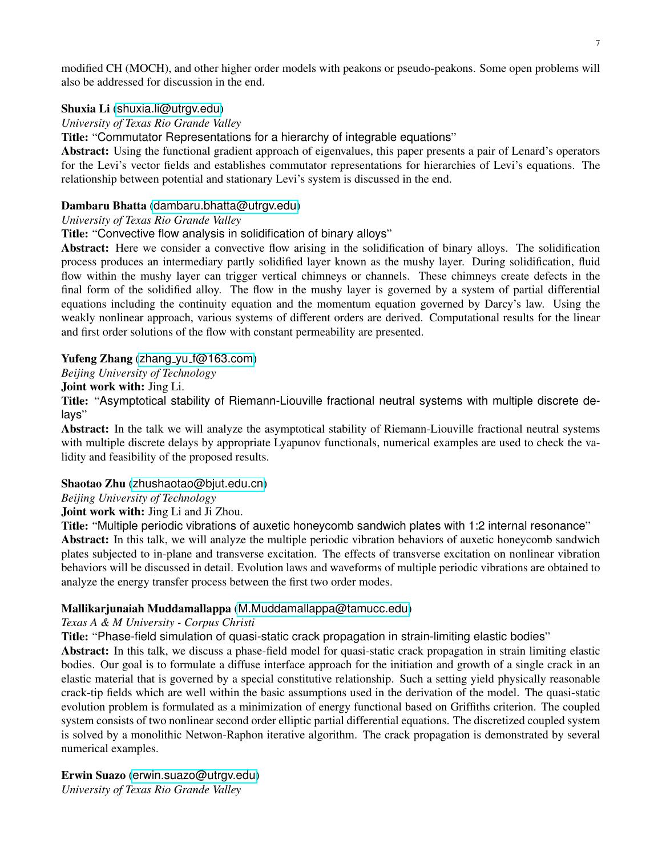modified CH (MOCH), and other higher order models with peakons or pseudo-peakons. Some open problems will also be addressed for discussion in the end.

# Shuxia Li ([shuxia.li@utrgv.edu](mailto:shuxia.li@utrgv.edu))

# *University of Texas Rio Grande Valley*

Title: "Commutator Representations for a hierarchy of integrable equations"

Abstract: Using the functional gradient approach of eigenvalues, this paper presents a pair of Lenard's operators for the Levi's vector fields and establishes commutator representations for hierarchies of Levi's equations. The relationship between potential and stationary Levi's system is discussed in the end.

# Dambaru Bhatta ([dambaru.bhatta@utrgv.edu](mailto:dambaru.bhatta@utrgv.edu))

# *University of Texas Rio Grande Valley*

Title: "Convective flow analysis in solidification of binary alloys"

Abstract: Here we consider a convective flow arising in the solidification of binary alloys. The solidification process produces an intermediary partly solidified layer known as the mushy layer. During solidification, fluid flow within the mushy layer can trigger vertical chimneys or channels. These chimneys create defects in the final form of the solidified alloy. The flow in the mushy layer is governed by a system of partial differential equations including the continuity equation and the momentum equation governed by Darcy's law. Using the weakly nonlinear approach, various systems of different orders are derived. Computational results for the linear and first order solutions of the flow with constant permeability are presented.

# Yufeng Zhang (zhang yu [f@163.com](mailto:zhang_yu_f@163.com))

*Beijing University of Technology*

# Joint work with: Jing Li.

Title: "Asymptotical stability of Riemann-Liouville fractional neutral systems with multiple discrete delays"

Abstract: In the talk we will analyze the asymptotical stability of Riemann-Liouville fractional neutral systems with multiple discrete delays by appropriate Lyapunov functionals, numerical examples are used to check the validity and feasibility of the proposed results.

# Shaotao Zhu ([zhushaotao@bjut.edu.cn](mailto:zhushaotao@bjut.edu.cn))

*Beijing University of Technology*

Joint work with: Jing Li and Ji Zhou.

Title: "Multiple periodic vibrations of auxetic honeycomb sandwich plates with 1:2 internal resonance"

Abstract: In this talk, we will analyze the multiple periodic vibration behaviors of auxetic honeycomb sandwich plates subjected to in-plane and transverse excitation. The effects of transverse excitation on nonlinear vibration behaviors will be discussed in detail. Evolution laws and waveforms of multiple periodic vibrations are obtained to analyze the energy transfer process between the first two order modes.

# Mallikarjunaiah Muddamallappa ([M.Muddamallappa@tamucc.edu](mailto:M.Muddamallappa@tamucc.edu))

*Texas A & M University - Corpus Christi*

Title: "Phase-field simulation of quasi-static crack propagation in strain-limiting elastic bodies"

Abstract: In this talk, we discuss a phase-field model for quasi-static crack propagation in strain limiting elastic bodies. Our goal is to formulate a diffuse interface approach for the initiation and growth of a single crack in an elastic material that is governed by a special constitutive relationship. Such a setting yield physically reasonable crack-tip fields which are well within the basic assumptions used in the derivation of the model. The quasi-static evolution problem is formulated as a minimization of energy functional based on Griffiths criterion. The coupled system consists of two nonlinear second order elliptic partial differential equations. The discretized coupled system is solved by a monolithic Netwon-Raphon iterative algorithm. The crack propagation is demonstrated by several numerical examples.

Erwin Suazo ([erwin.suazo@utrgv.edu](mailto:erwin.suazo@utrgv.edu)) *University of Texas Rio Grande Valley*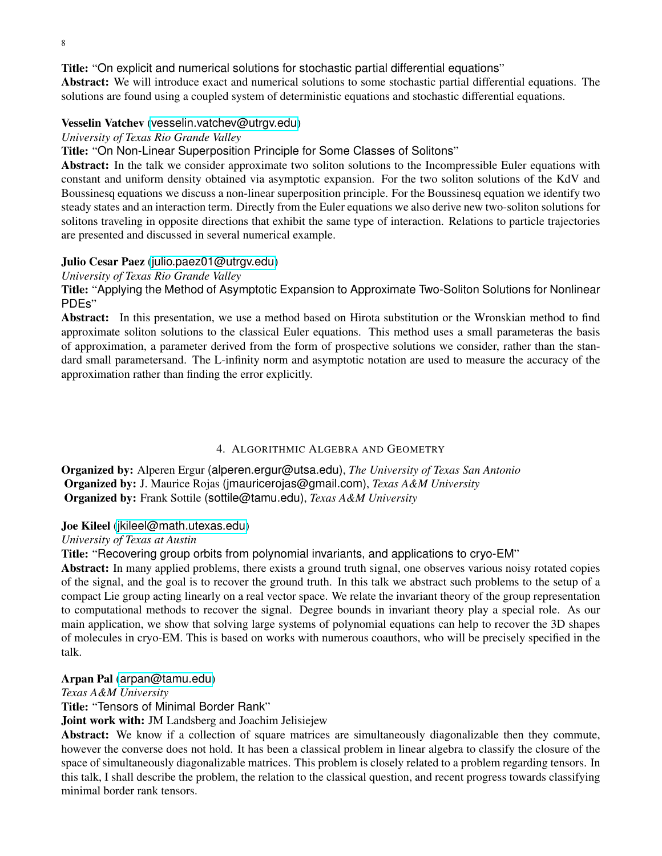Title: "On explicit and numerical solutions for stochastic partial differential equations"

Abstract: We will introduce exact and numerical solutions to some stochastic partial differential equations. The solutions are found using a coupled system of deterministic equations and stochastic differential equations.

### Vesselin Vatchev ([vesselin.vatchev@utrgv.edu](mailto:vesselin.vatchev@utrgv.edu))

### *University of Texas Rio Grande Valley*

Title: "On Non-Linear Superposition Principle for Some Classes of Solitons"

Abstract: In the talk we consider approximate two soliton solutions to the Incompressible Euler equations with constant and uniform density obtained via asymptotic expansion. For the two soliton solutions of the KdV and Boussinesq equations we discuss a non-linear superposition principle. For the Boussinesq equation we identify two steady states and an interaction term. Directly from the Euler equations we also derive new two-soliton solutions for solitons traveling in opposite directions that exhibit the same type of interaction. Relations to particle trajectories are presented and discussed in several numerical example.

### Julio Cesar Paez ([julio.paez01@utrgv.edu](mailto:julio.paez01@utrgv.edu))

### *University of Texas Rio Grande Valley*

Title: "Applying the Method of Asymptotic Expansion to Approximate Two-Soliton Solutions for Nonlinear PDEs"

Abstract: In this presentation, we use a method based on Hirota substitution or the Wronskian method to find approximate soliton solutions to the classical Euler equations. This method uses a small parameteras the basis of approximation, a parameter derived from the form of prospective solutions we consider, rather than the standard small parametersand. The L-infinity norm and asymptotic notation are used to measure the accuracy of the approximation rather than finding the error explicitly.

#### 4. ALGORITHMIC ALGEBRA AND GEOMETRY

<span id="page-7-0"></span>Organized by: Alperen Ergur (alperen.ergur@utsa.edu), *The University of Texas San Antonio* Organized by: J. Maurice Rojas (jmauricerojas@gmail.com), *Texas A&M University* Organized by: Frank Sottile (sottile@tamu.edu), *Texas A&M University*

### Joe Kileel ([jkileel@math.utexas.edu](mailto:jkileel@math.utexas.edu))

#### *University of Texas at Austin*

Title: "Recovering group orbits from polynomial invariants, and applications to cryo-EM"

Abstract: In many applied problems, there exists a ground truth signal, one observes various noisy rotated copies of the signal, and the goal is to recover the ground truth. In this talk we abstract such problems to the setup of a compact Lie group acting linearly on a real vector space. We relate the invariant theory of the group representation to computational methods to recover the signal. Degree bounds in invariant theory play a special role. As our main application, we show that solving large systems of polynomial equations can help to recover the 3D shapes of molecules in cryo-EM. This is based on works with numerous coauthors, who will be precisely specified in the talk.

### Arpan Pal ([arpan@tamu.edu](mailto:arpan@tamu.edu))

*Texas A&M University*

Title: "Tensors of Minimal Border Rank"

Joint work with: JM Landsberg and Joachim Jelisiejew

Abstract: We know if a collection of square matrices are simultaneously diagonalizable then they commute, however the converse does not hold. It has been a classical problem in linear algebra to classify the closure of the space of simultaneously diagonalizable matrices. This problem is closely related to a problem regarding tensors. In this talk, I shall describe the problem, the relation to the classical question, and recent progress towards classifying minimal border rank tensors.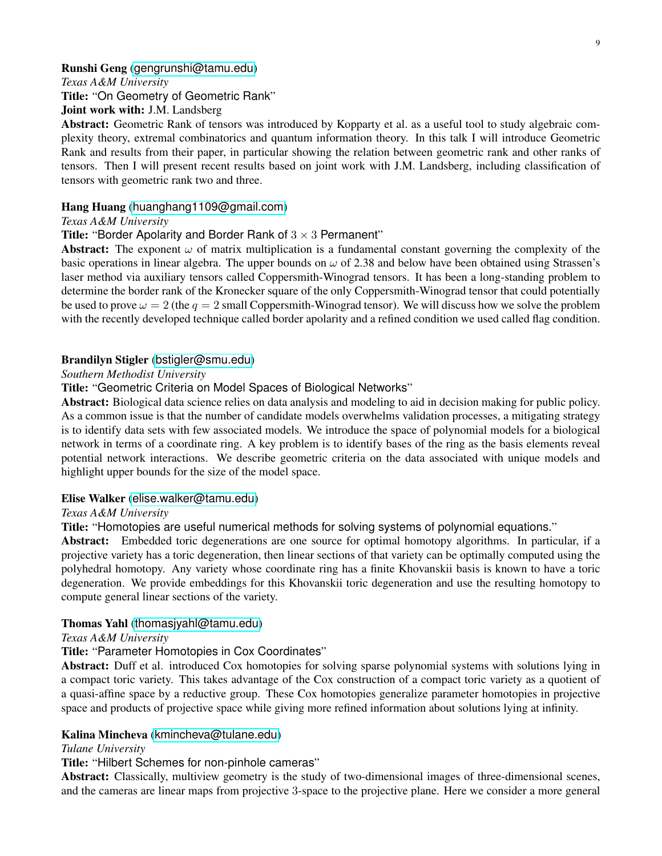#### Runshi Geng ([gengrunshi@tamu.edu](mailto:gengrunshi@tamu.edu))

*Texas A&M University*

Title: "On Geometry of Geometric Rank"

Joint work with: J.M. Landsberg

Abstract: Geometric Rank of tensors was introduced by Kopparty et al. as a useful tool to study algebraic complexity theory, extremal combinatorics and quantum information theory. In this talk I will introduce Geometric Rank and results from their paper, in particular showing the relation between geometric rank and other ranks of tensors. Then I will present recent results based on joint work with J.M. Landsberg, including classification of tensors with geometric rank two and three.

#### Hang Huang ([huanghang1109@gmail.com](mailto:huanghang1109@gmail.com))

*Texas A&M University*

#### Title: "Border Apolarity and Border Rank of  $3 \times 3$  Permanent"

Abstract: The exponent  $\omega$  of matrix multiplication is a fundamental constant governing the complexity of the basic operations in linear algebra. The upper bounds on  $\omega$  of 2.38 and below have been obtained using Strassen's laser method via auxiliary tensors called Coppersmith-Winograd tensors. It has been a long-standing problem to determine the border rank of the Kronecker square of the only Coppersmith-Winograd tensor that could potentially be used to prove  $\omega = 2$  (the  $q = 2$  small Coppersmith-Winograd tensor). We will discuss how we solve the problem with the recently developed technique called border apolarity and a refined condition we used called flag condition.

### Brandilyn Stigler ([bstigler@smu.edu](mailto:bstigler@smu.edu))

#### *Southern Methodist University*

Title: "Geometric Criteria on Model Spaces of Biological Networks"

Abstract: Biological data science relies on data analysis and modeling to aid in decision making for public policy. As a common issue is that the number of candidate models overwhelms validation processes, a mitigating strategy is to identify data sets with few associated models. We introduce the space of polynomial models for a biological network in terms of a coordinate ring. A key problem is to identify bases of the ring as the basis elements reveal potential network interactions. We describe geometric criteria on the data associated with unique models and highlight upper bounds for the size of the model space.

#### Elise Walker ([elise.walker@tamu.edu](mailto:elise.walker@tamu.edu))

#### *Texas A&M University*

Title: "Homotopies are useful numerical methods for solving systems of polynomial equations."

Abstract: Embedded toric degenerations are one source for optimal homotopy algorithms. In particular, if a projective variety has a toric degeneration, then linear sections of that variety can be optimally computed using the polyhedral homotopy. Any variety whose coordinate ring has a finite Khovanskii basis is known to have a toric degeneration. We provide embeddings for this Khovanskii toric degeneration and use the resulting homotopy to compute general linear sections of the variety.

#### Thomas Yahl ([thomasjyahl@tamu.edu](mailto:thomasjyahl@tamu.edu))

### *Texas A&M University*

## Title: "Parameter Homotopies in Cox Coordinates"

Abstract: Duff et al. introduced Cox homotopies for solving sparse polynomial systems with solutions lying in a compact toric variety. This takes advantage of the Cox construction of a compact toric variety as a quotient of a quasi-affine space by a reductive group. These Cox homotopies generalize parameter homotopies in projective space and products of projective space while giving more refined information about solutions lying at infinity.

### Kalina Mincheva ([kmincheva@tulane.edu](mailto:kmincheva@tulane.edu))

#### *Tulane University*

Title: "Hilbert Schemes for non-pinhole cameras"

Abstract: Classically, multiview geometry is the study of two-dimensional images of three-dimensional scenes, and the cameras are linear maps from projective 3-space to the projective plane. Here we consider a more general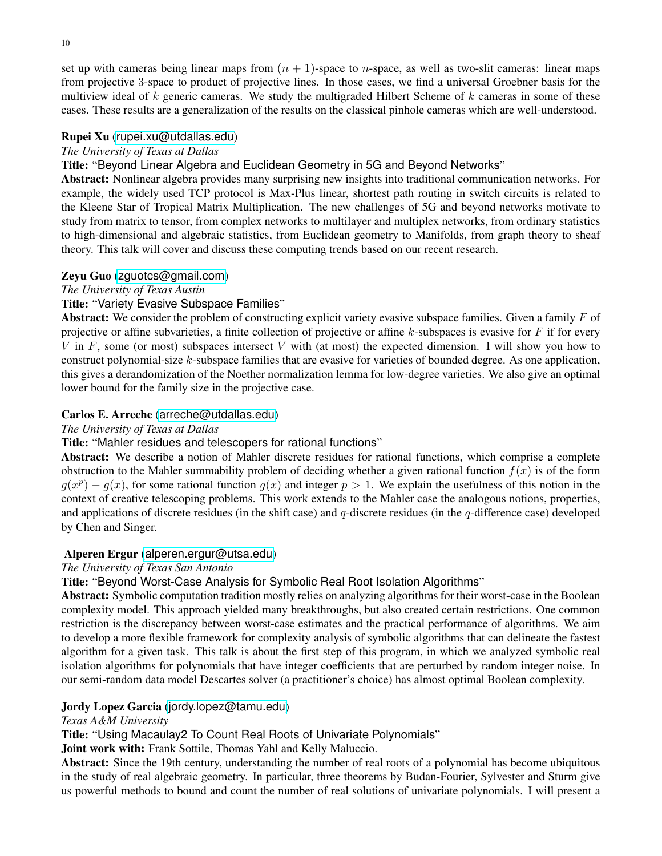set up with cameras being linear maps from  $(n + 1)$ -space to *n*-space, as well as two-slit cameras: linear maps from projective 3-space to product of projective lines. In those cases, we find a universal Groebner basis for the multiview ideal of k generic cameras. We study the multigraded Hilbert Scheme of k cameras in some of these cases. These results are a generalization of the results on the classical pinhole cameras which are well-understood.

### Rupei Xu ([rupei.xu@utdallas.edu](mailto:rupei.xu@utdallas.edu))

### *The University of Texas at Dallas*

### Title: "Beyond Linear Algebra and Euclidean Geometry in 5G and Beyond Networks"

Abstract: Nonlinear algebra provides many surprising new insights into traditional communication networks. For example, the widely used TCP protocol is Max-Plus linear, shortest path routing in switch circuits is related to the Kleene Star of Tropical Matrix Multiplication. The new challenges of 5G and beyond networks motivate to study from matrix to tensor, from complex networks to multilayer and multiplex networks, from ordinary statistics to high-dimensional and algebraic statistics, from Euclidean geometry to Manifolds, from graph theory to sheaf theory. This talk will cover and discuss these computing trends based on our recent research.

### Zeyu Guo ([zguotcs@gmail.com](mailto:zguotcs@gmail.com))

#### *The University of Texas Austin*

### Title: "Variety Evasive Subspace Families"

Abstract: We consider the problem of constructing explicit variety evasive subspace families. Given a family  $F$  of projective or affine subvarieties, a finite collection of projective or affine  $k$ -subspaces is evasive for  $F$  if for every V in F, some (or most) subspaces intersect V with (at most) the expected dimension. I will show you how to construct polynomial-size  $k$ -subspace families that are evasive for varieties of bounded degree. As one application, this gives a derandomization of the Noether normalization lemma for low-degree varieties. We also give an optimal lower bound for the family size in the projective case.

### Carlos E. Arreche ([arreche@utdallas.edu](mailto:arreche@utdallas.edu))

#### *The University of Texas at Dallas*

#### Title: "Mahler residues and telescopers for rational functions"

Abstract: We describe a notion of Mahler discrete residues for rational functions, which comprise a complete obstruction to the Mahler summability problem of deciding whether a given rational function  $f(x)$  is of the form  $g(x^p) - g(x)$ , for some rational function  $g(x)$  and integer  $p > 1$ . We explain the usefulness of this notion in the context of creative telescoping problems. This work extends to the Mahler case the analogous notions, properties, and applications of discrete residues (in the shift case) and  $q$ -discrete residues (in the  $q$ -difference case) developed by Chen and Singer.

#### Alperen Ergur ([alperen.ergur@utsa.edu](mailto:alperen.ergur@utsa.edu))

#### *The University of Texas San Antonio*

Title: "Beyond Worst-Case Analysis for Symbolic Real Root Isolation Algorithms"

Abstract: Symbolic computation tradition mostly relies on analyzing algorithms for their worst-case in the Boolean complexity model. This approach yielded many breakthroughs, but also created certain restrictions. One common restriction is the discrepancy between worst-case estimates and the practical performance of algorithms. We aim to develop a more flexible framework for complexity analysis of symbolic algorithms that can delineate the fastest algorithm for a given task. This talk is about the first step of this program, in which we analyzed symbolic real isolation algorithms for polynomials that have integer coefficients that are perturbed by random integer noise. In our semi-random data model Descartes solver (a practitioner's choice) has almost optimal Boolean complexity.

### Jordy Lopez Garcia ([jordy.lopez@tamu.edu](mailto:jordy.lopez@tamu.edu))

#### *Texas A&M University*

Title: "Using Macaulay2 To Count Real Roots of Univariate Polynomials"

Joint work with: Frank Sottile, Thomas Yahl and Kelly Maluccio.

Abstract: Since the 19th century, understanding the number of real roots of a polynomial has become ubiquitous in the study of real algebraic geometry. In particular, three theorems by Budan-Fourier, Sylvester and Sturm give us powerful methods to bound and count the number of real solutions of univariate polynomials. I will present a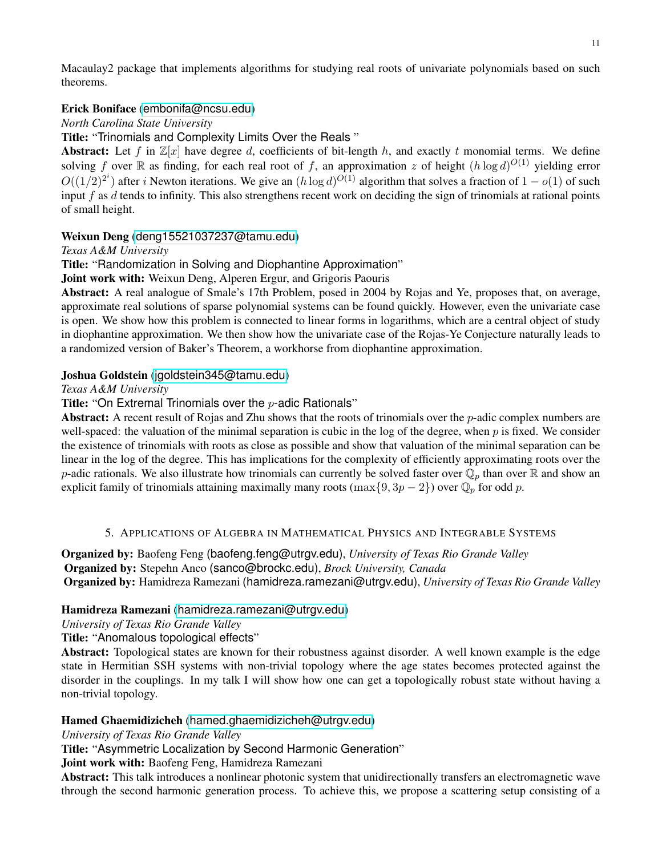Macaulay2 package that implements algorithms for studying real roots of univariate polynomials based on such theorems.

# Erick Boniface ([embonifa@ncsu.edu](mailto:embonifa@ncsu.edu))

*North Carolina State University*

Title: "Trinomials and Complexity Limits Over the Reals "

Abstract: Let f in  $\mathbb{Z}[x]$  have degree d, coefficients of bit-length h, and exactly t monomial terms. We define solving f over R as finding, for each real root of f, an approximation z of height  $(h \log d)^{O(1)}$  yielding error  $O((1/2)^{2^i})$  after *i* Newton iterations. We give an  $(h \log d)^{O(1)}$  algorithm that solves a fraction of  $1 - o(1)$  of such input  $f$  as  $d$  tends to infinity. This also strengthens recent work on deciding the sign of trinomials at rational points of small height.

# Weixun Deng ([deng15521037237@tamu.edu](mailto:deng15521037237@tamu.edu))

*Texas A&M University*

Title: "Randomization in Solving and Diophantine Approximation"

Joint work with: Weixun Deng, Alperen Ergur, and Grigoris Paouris

Abstract: A real analogue of Smale's 17th Problem, posed in 2004 by Rojas and Ye, proposes that, on average, approximate real solutions of sparse polynomial systems can be found quickly. However, even the univariate case is open. We show how this problem is connected to linear forms in logarithms, which are a central object of study in diophantine approximation. We then show how the univariate case of the Rojas-Ye Conjecture naturally leads to a randomized version of Baker's Theorem, a workhorse from diophantine approximation.

# Joshua Goldstein ([jgoldstein345@tamu.edu](mailto:jgoldstein345@tamu.edu))

*Texas A&M University*

Title: "On Extremal Trinomials over the  $p$ -adic Rationals"

Abstract: A recent result of Rojas and Zhu shows that the roots of trinomials over the  $p$ -adic complex numbers are well-spaced: the valuation of the minimal separation is cubic in the log of the degree, when  $p$  is fixed. We consider the existence of trinomials with roots as close as possible and show that valuation of the minimal separation can be linear in the log of the degree. This has implications for the complexity of efficiently approximating roots over the p-adic rationals. We also illustrate how trinomials can currently be solved faster over  $\mathbb{Q}_p$  than over  $\mathbb R$  and show an explicit family of trinomials attaining maximally many roots (max $\{9, 3p - 2\}$ ) over  $\mathbb{Q}_p$  for odd p.

### 5. APPLICATIONS OF ALGEBRA IN MATHEMATICAL PHYSICS AND INTEGRABLE SYSTEMS

<span id="page-10-0"></span>Organized by: Baofeng Feng (baofeng.feng@utrgv.edu), *University of Texas Rio Grande Valley* Organized by: Stepehn Anco (sanco@brockc.edu), *Brock University, Canada* Organized by: Hamidreza Ramezani (hamidreza.ramezani@utrgv.edu), *University of Texas Rio Grande Valley*

### Hamidreza Ramezani ([hamidreza.ramezani@utrgv.edu](mailto:hamidreza.ramezani@utrgv.edu))

*University of Texas Rio Grande Valley*

Title: "Anomalous topological effects"

Abstract: Topological states are known for their robustness against disorder. A well known example is the edge state in Hermitian SSH systems with non-trivial topology where the age states becomes protected against the disorder in the couplings. In my talk I will show how one can get a topologically robust state without having a non-trivial topology.

### Hamed Ghaemidizicheh ([hamed.ghaemidizicheh@utrgv.edu](mailto:hamed.ghaemidizicheh@utrgv.edu))

*University of Texas Rio Grande Valley*

Title: "Asymmetric Localization by Second Harmonic Generation"

Joint work with: Baofeng Feng, Hamidreza Ramezani

Abstract: This talk introduces a nonlinear photonic system that unidirectionally transfers an electromagnetic wave through the second harmonic generation process. To achieve this, we propose a scattering setup consisting of a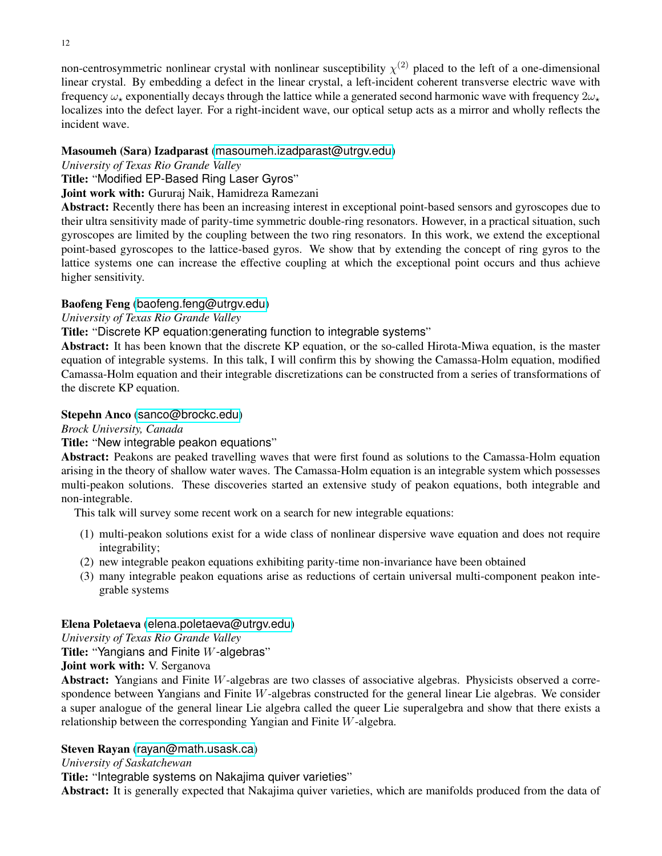non-centrosymmetric nonlinear crystal with nonlinear susceptibility  $\chi^{(2)}$  placed to the left of a one-dimensional linear crystal. By embedding a defect in the linear crystal, a left-incident coherent transverse electric wave with frequency  $\omega_{+}$  exponentially decays through the lattice while a generated second harmonic wave with frequency  $2\omega_{+}$ localizes into the defect layer. For a right-incident wave, our optical setup acts as a mirror and wholly reflects the incident wave.

# Masoumeh (Sara) Izadparast ([masoumeh.izadparast@utrgv.edu](mailto:masoumeh.izadparast@utrgv.edu))

# *University of Texas Rio Grande Valley*

Title: "Modified EP-Based Ring Laser Gyros"

# Joint work with: Gururaj Naik, Hamidreza Ramezani

Abstract: Recently there has been an increasing interest in exceptional point-based sensors and gyroscopes due to their ultra sensitivity made of parity-time symmetric double-ring resonators. However, in a practical situation, such gyroscopes are limited by the coupling between the two ring resonators. In this work, we extend the exceptional point-based gyroscopes to the lattice-based gyros. We show that by extending the concept of ring gyros to the lattice systems one can increase the effective coupling at which the exceptional point occurs and thus achieve higher sensitivity.

# Baofeng Feng ([baofeng.feng@utrgv.edu](mailto:baofeng.feng@utrgv.edu))

# *University of Texas Rio Grande Valley*

Title: "Discrete KP equation:generating function to integrable systems"

Abstract: It has been known that the discrete KP equation, or the so-called Hirota-Miwa equation, is the master equation of integrable systems. In this talk, I will confirm this by showing the Camassa-Holm equation, modified Camassa-Holm equation and their integrable discretizations can be constructed from a series of transformations of the discrete KP equation.

### Stepehn Anco ([sanco@brockc.edu](mailto:sanco@brockc.edu))

*Brock University, Canada*

# Title: "New integrable peakon equations"

Abstract: Peakons are peaked travelling waves that were first found as solutions to the Camassa-Holm equation arising in the theory of shallow water waves. The Camassa-Holm equation is an integrable system which possesses multi-peakon solutions. These discoveries started an extensive study of peakon equations, both integrable and non-integrable.

This talk will survey some recent work on a search for new integrable equations:

- (1) multi-peakon solutions exist for a wide class of nonlinear dispersive wave equation and does not require integrability;
- (2) new integrable peakon equations exhibiting parity-time non-invariance have been obtained
- (3) many integrable peakon equations arise as reductions of certain universal multi-component peakon integrable systems

### Elena Poletaeva ([elena.poletaeva@utrgv.edu](mailto:elena.poletaeva@utrgv.edu))

*University of Texas Rio Grande Valley*

Title: "Yangians and Finite W-algebras"

### Joint work with: V. Serganova

Abstract: Yangians and Finite W-algebras are two classes of associative algebras. Physicists observed a correspondence between Yangians and Finite W-algebras constructed for the general linear Lie algebras. We consider a super analogue of the general linear Lie algebra called the queer Lie superalgebra and show that there exists a relationship between the corresponding Yangian and Finite W-algebra.

# Steven Rayan ([rayan@math.usask.ca](mailto:rayan@math.usask.ca))

*University of Saskatchewan*

Title: "Integrable systems on Nakajima quiver varieties"

Abstract: It is generally expected that Nakajima quiver varieties, which are manifolds produced from the data of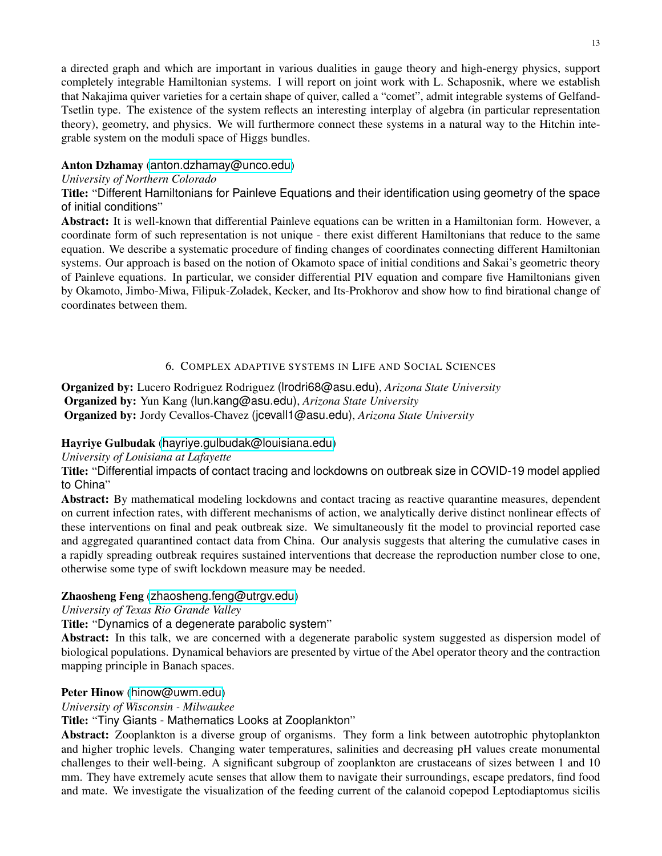a directed graph and which are important in various dualities in gauge theory and high-energy physics, support completely integrable Hamiltonian systems. I will report on joint work with L. Schaposnik, where we establish that Nakajima quiver varieties for a certain shape of quiver, called a "comet", admit integrable systems of Gelfand-Tsetlin type. The existence of the system reflects an interesting interplay of algebra (in particular representation theory), geometry, and physics. We will furthermore connect these systems in a natural way to the Hitchin integrable system on the moduli space of Higgs bundles.

# Anton Dzhamay ([anton.dzhamay@unco.edu](mailto:anton.dzhamay@unco.edu))

### *University of Northern Colorado*

Title: "Different Hamiltonians for Painleve Equations and their identification using geometry of the space of initial conditions"

Abstract: It is well-known that differential Painleve equations can be written in a Hamiltonian form. However, a coordinate form of such representation is not unique - there exist different Hamiltonians that reduce to the same equation. We describe a systematic procedure of finding changes of coordinates connecting different Hamiltonian systems. Our approach is based on the notion of Okamoto space of initial conditions and Sakai's geometric theory of Painleve equations. In particular, we consider differential PIV equation and compare five Hamiltonians given by Okamoto, Jimbo-Miwa, Filipuk-Zoladek, Kecker, and Its-Prokhorov and show how to find birational change of coordinates between them.

# 6. COMPLEX ADAPTIVE SYSTEMS IN LIFE AND SOCIAL SCIENCES

<span id="page-12-0"></span>Organized by: Lucero Rodriguez Rodriguez (lrodri68@asu.edu), *Arizona State University* Organized by: Yun Kang (lun.kang@asu.edu), *Arizona State University* Organized by: Jordy Cevallos-Chavez (jcevall1@asu.edu), *Arizona State University*

### Hayriye Gulbudak ([hayriye.gulbudak@louisiana.edu](mailto:hayriye.gulbudak@louisiana.edu))

### *University of Louisiana at Lafayette*

Title: "Differential impacts of contact tracing and lockdowns on outbreak size in COVID-19 model applied to China"

Abstract: By mathematical modeling lockdowns and contact tracing as reactive quarantine measures, dependent on current infection rates, with different mechanisms of action, we analytically derive distinct nonlinear effects of these interventions on final and peak outbreak size. We simultaneously fit the model to provincial reported case and aggregated quarantined contact data from China. Our analysis suggests that altering the cumulative cases in a rapidly spreading outbreak requires sustained interventions that decrease the reproduction number close to one, otherwise some type of swift lockdown measure may be needed.

### Zhaosheng Feng ([zhaosheng.feng@utrgv.edu](mailto:zhaosheng.feng@utrgv.edu))

*University of Texas Rio Grande Valley*

Title: "Dynamics of a degenerate parabolic system"

Abstract: In this talk, we are concerned with a degenerate parabolic system suggested as dispersion model of biological populations. Dynamical behaviors are presented by virtue of the Abel operator theory and the contraction mapping principle in Banach spaces.

# Peter Hinow ([hinow@uwm.edu](mailto:hinow@uwm.edu))

*University of Wisconsin - Milwaukee*

Title: "Tiny Giants - Mathematics Looks at Zooplankton"

Abstract: Zooplankton is a diverse group of organisms. They form a link between autotrophic phytoplankton and higher trophic levels. Changing water temperatures, salinities and decreasing pH values create monumental challenges to their well-being. A significant subgroup of zooplankton are crustaceans of sizes between 1 and 10 mm. They have extremely acute senses that allow them to navigate their surroundings, escape predators, find food and mate. We investigate the visualization of the feeding current of the calanoid copepod Leptodiaptomus sicilis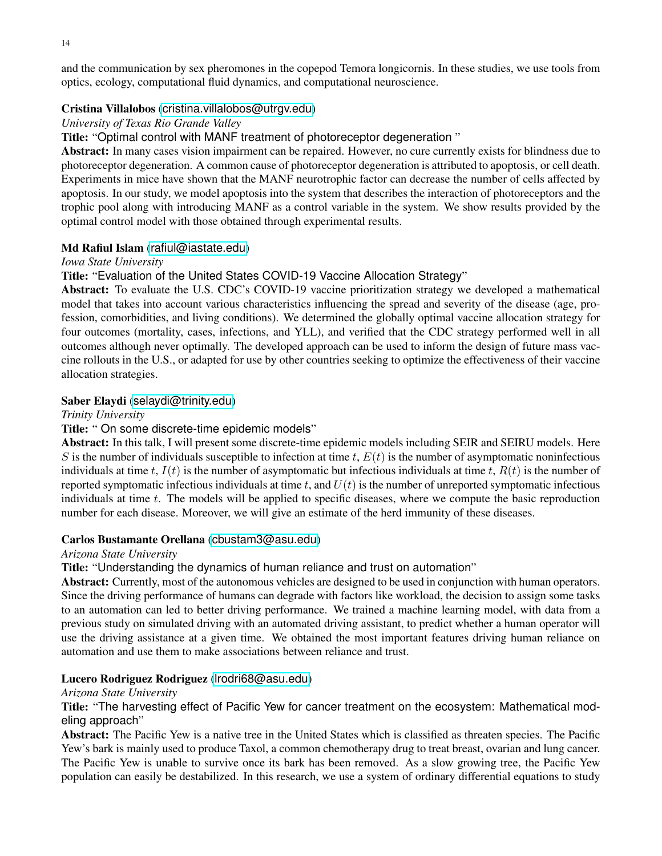and the communication by sex pheromones in the copepod Temora longicornis. In these studies, we use tools from optics, ecology, computational fluid dynamics, and computational neuroscience.

### Cristina Villalobos ([cristina.villalobos@utrgv.edu](mailto:cristina.villalobos@utrgv.edu))

### *University of Texas Rio Grande Valley*

Title: "Optimal control with MANF treatment of photoreceptor degeneration "

Abstract: In many cases vision impairment can be repaired. However, no cure currently exists for blindness due to photoreceptor degeneration. A common cause of photoreceptor degeneration is attributed to apoptosis, or cell death. Experiments in mice have shown that the MANF neurotrophic factor can decrease the number of cells affected by apoptosis. In our study, we model apoptosis into the system that describes the interaction of photoreceptors and the trophic pool along with introducing MANF as a control variable in the system. We show results provided by the optimal control model with those obtained through experimental results.

### Md Rafiul Islam ([rafiul@iastate.edu](mailto:rafiul@iastate.edu))

#### *Iowa State University*

Title: "Evaluation of the United States COVID-19 Vaccine Allocation Strategy"

Abstract: To evaluate the U.S. CDC's COVID-19 vaccine prioritization strategy we developed a mathematical model that takes into account various characteristics influencing the spread and severity of the disease (age, profession, comorbidities, and living conditions). We determined the globally optimal vaccine allocation strategy for four outcomes (mortality, cases, infections, and YLL), and verified that the CDC strategy performed well in all outcomes although never optimally. The developed approach can be used to inform the design of future mass vaccine rollouts in the U.S., or adapted for use by other countries seeking to optimize the effectiveness of their vaccine allocation strategies.

### Saber Elaydi ([selaydi@trinity.edu](mailto:selaydi@trinity.edu))

#### *Trinity University*

### Title: " On some discrete-time epidemic models"

Abstract: In this talk, I will present some discrete-time epidemic models including SEIR and SEIRU models. Here S is the number of individuals susceptible to infection at time t,  $E(t)$  is the number of asymptomatic noninfectious individuals at time t,  $I(t)$  is the number of asymptomatic but infectious individuals at time t,  $R(t)$  is the number of reported symptomatic infectious individuals at time t, and  $U(t)$  is the number of unreported symptomatic infectious individuals at time  $t$ . The models will be applied to specific diseases, where we compute the basic reproduction number for each disease. Moreover, we will give an estimate of the herd immunity of these diseases.

#### Carlos Bustamante Orellana ([cbustam3@asu.edu](mailto:cbustam3@asu.edu))

#### *Arizona State University*

Title: "Understanding the dynamics of human reliance and trust on automation"

Abstract: Currently, most of the autonomous vehicles are designed to be used in conjunction with human operators. Since the driving performance of humans can degrade with factors like workload, the decision to assign some tasks to an automation can led to better driving performance. We trained a machine learning model, with data from a previous study on simulated driving with an automated driving assistant, to predict whether a human operator will use the driving assistance at a given time. We obtained the most important features driving human reliance on automation and use them to make associations between reliance and trust.

#### Lucero Rodriguez Rodriguez ([lrodri68@asu.edu](mailto:lrodri68@asu.edu))

#### *Arizona State University*

Title: "The harvesting effect of Pacific Yew for cancer treatment on the ecosystem: Mathematical modeling approach"

Abstract: The Pacific Yew is a native tree in the United States which is classified as threaten species. The Pacific Yew's bark is mainly used to produce Taxol, a common chemotherapy drug to treat breast, ovarian and lung cancer. The Pacific Yew is unable to survive once its bark has been removed. As a slow growing tree, the Pacific Yew population can easily be destabilized. In this research, we use a system of ordinary differential equations to study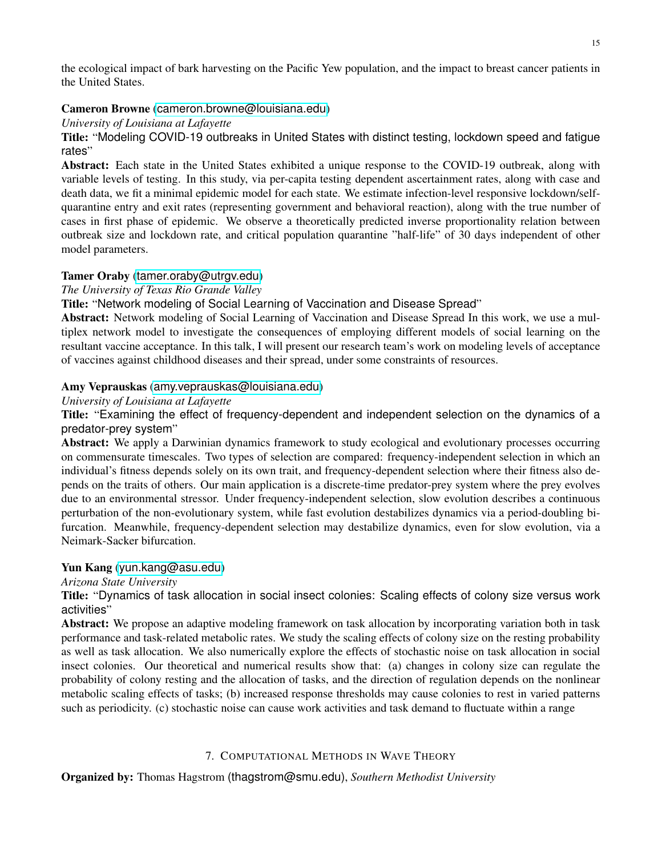the ecological impact of bark harvesting on the Pacific Yew population, and the impact to breast cancer patients in the United States.

# Cameron Browne ([cameron.browne@louisiana.edu](mailto:cameron.browne@louisiana.edu))

*University of Louisiana at Lafayette*

Title: "Modeling COVID-19 outbreaks in United States with distinct testing, lockdown speed and fatigue rates"

Abstract: Each state in the United States exhibited a unique response to the COVID-19 outbreak, along with variable levels of testing. In this study, via per-capita testing dependent ascertainment rates, along with case and death data, we fit a minimal epidemic model for each state. We estimate infection-level responsive lockdown/selfquarantine entry and exit rates (representing government and behavioral reaction), along with the true number of cases in first phase of epidemic. We observe a theoretically predicted inverse proportionality relation between outbreak size and lockdown rate, and critical population quarantine "half-life" of 30 days independent of other model parameters.

# Tamer Oraby ([tamer.oraby@utrgv.edu](mailto:tamer.oraby@utrgv.edu))

### *The University of Texas Rio Grande Valley*

Title: "Network modeling of Social Learning of Vaccination and Disease Spread"

Abstract: Network modeling of Social Learning of Vaccination and Disease Spread In this work, we use a multiplex network model to investigate the consequences of employing different models of social learning on the resultant vaccine acceptance. In this talk, I will present our research team's work on modeling levels of acceptance of vaccines against childhood diseases and their spread, under some constraints of resources.

# Amy Veprauskas ([amy.veprauskas@louisiana.edu](mailto:amy.veprauskas@louisiana.edu))

### *University of Louisiana at Lafayette*

Title: "Examining the effect of frequency-dependent and independent selection on the dynamics of a predator-prey system"

Abstract: We apply a Darwinian dynamics framework to study ecological and evolutionary processes occurring on commensurate timescales. Two types of selection are compared: frequency-independent selection in which an individual's fitness depends solely on its own trait, and frequency-dependent selection where their fitness also depends on the traits of others. Our main application is a discrete-time predator-prey system where the prey evolves due to an environmental stressor. Under frequency-independent selection, slow evolution describes a continuous perturbation of the non-evolutionary system, while fast evolution destabilizes dynamics via a period-doubling bifurcation. Meanwhile, frequency-dependent selection may destabilize dynamics, even for slow evolution, via a Neimark-Sacker bifurcation.

### Yun Kang ([yun.kang@asu.edu](mailto:yun.kang@asu.edu))

*Arizona State University*

Title: "Dynamics of task allocation in social insect colonies: Scaling effects of colony size versus work activities"

Abstract: We propose an adaptive modeling framework on task allocation by incorporating variation both in task performance and task-related metabolic rates. We study the scaling effects of colony size on the resting probability as well as task allocation. We also numerically explore the effects of stochastic noise on task allocation in social insect colonies. Our theoretical and numerical results show that: (a) changes in colony size can regulate the probability of colony resting and the allocation of tasks, and the direction of regulation depends on the nonlinear metabolic scaling effects of tasks; (b) increased response thresholds may cause colonies to rest in varied patterns such as periodicity. (c) stochastic noise can cause work activities and task demand to fluctuate within a range

# 7. COMPUTATIONAL METHODS IN WAVE THEORY

<span id="page-14-0"></span>Organized by: Thomas Hagstrom (thagstrom@smu.edu), *Southern Methodist University*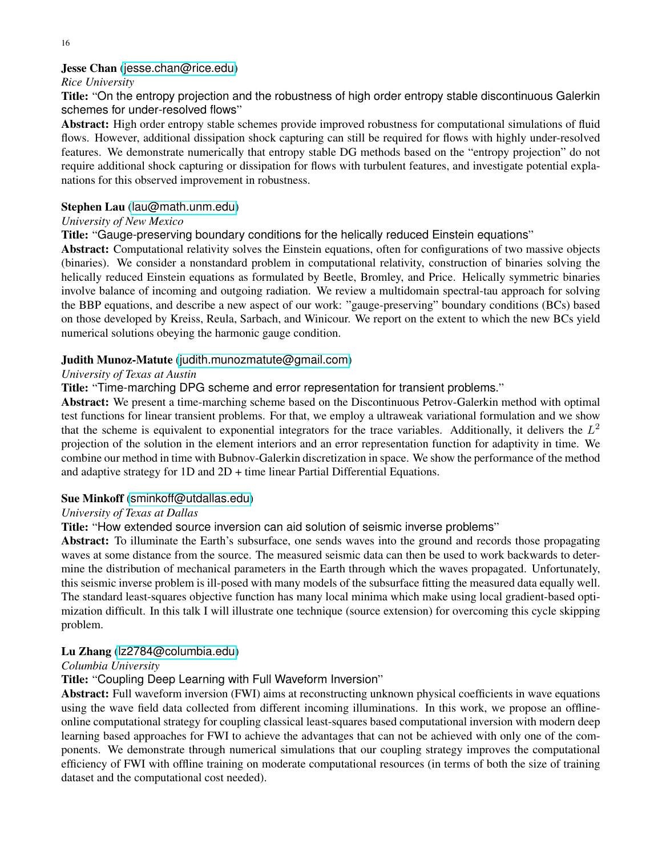### Jesse Chan ([jesse.chan@rice.edu](mailto:jesse.chan@rice.edu))

#### *Rice University*

Title: "On the entropy projection and the robustness of high order entropy stable discontinuous Galerkin schemes for under-resolved flows"

Abstract: High order entropy stable schemes provide improved robustness for computational simulations of fluid flows. However, additional dissipation shock capturing can still be required for flows with highly under-resolved features. We demonstrate numerically that entropy stable DG methods based on the "entropy projection" do not require additional shock capturing or dissipation for flows with turbulent features, and investigate potential explanations for this observed improvement in robustness.

### Stephen Lau ([lau@math.unm.edu](mailto:lau@math.unm.edu))

### *University of New Mexico*

Title: "Gauge-preserving boundary conditions for the helically reduced Einstein equations"

Abstract: Computational relativity solves the Einstein equations, often for configurations of two massive objects (binaries). We consider a nonstandard problem in computational relativity, construction of binaries solving the helically reduced Einstein equations as formulated by Beetle, Bromley, and Price. Helically symmetric binaries involve balance of incoming and outgoing radiation. We review a multidomain spectral-tau approach for solving the BBP equations, and describe a new aspect of our work: "gauge-preserving" boundary conditions (BCs) based on those developed by Kreiss, Reula, Sarbach, and Winicour. We report on the extent to which the new BCs yield numerical solutions obeying the harmonic gauge condition.

### Judith Munoz-Matute ([judith.munozmatute@gmail.com](mailto:judith.munozmatute@gmail.com))

### *University of Texas at Austin*

Title: "Time-marching DPG scheme and error representation for transient problems."

Abstract: We present a time-marching scheme based on the Discontinuous Petrov-Galerkin method with optimal test functions for linear transient problems. For that, we employ a ultraweak variational formulation and we show that the scheme is equivalent to exponential integrators for the trace variables. Additionally, it delivers the  $L^2$ projection of the solution in the element interiors and an error representation function for adaptivity in time. We combine our method in time with Bubnov-Galerkin discretization in space. We show the performance of the method and adaptive strategy for 1D and 2D + time linear Partial Differential Equations.

#### Sue Minkoff ([sminkoff@utdallas.edu](mailto:sminkoff@utdallas.edu))

### *University of Texas at Dallas*

Title: "How extended source inversion can aid solution of seismic inverse problems"

Abstract: To illuminate the Earth's subsurface, one sends waves into the ground and records those propagating waves at some distance from the source. The measured seismic data can then be used to work backwards to determine the distribution of mechanical parameters in the Earth through which the waves propagated. Unfortunately, this seismic inverse problem is ill-posed with many models of the subsurface fitting the measured data equally well. The standard least-squares objective function has many local minima which make using local gradient-based optimization difficult. In this talk I will illustrate one technique (source extension) for overcoming this cycle skipping problem.

### Lu Zhang ([lz2784@columbia.edu](mailto:lz2784@columbia.edu))

#### *Columbia University*

### Title: "Coupling Deep Learning with Full Waveform Inversion"

Abstract: Full waveform inversion (FWI) aims at reconstructing unknown physical coefficients in wave equations using the wave field data collected from different incoming illuminations. In this work, we propose an offlineonline computational strategy for coupling classical least-squares based computational inversion with modern deep learning based approaches for FWI to achieve the advantages that can not be achieved with only one of the components. We demonstrate through numerical simulations that our coupling strategy improves the computational efficiency of FWI with offline training on moderate computational resources (in terms of both the size of training dataset and the computational cost needed).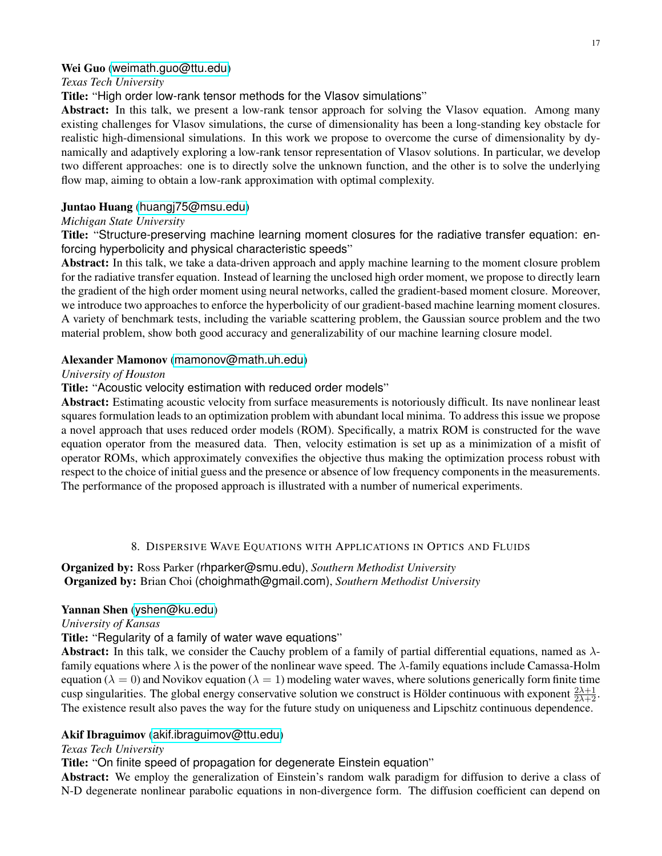### Wei Guo ([weimath.guo@ttu.edu](mailto:weimath.guo@ttu.edu))

### *Texas Tech University*

Title: "High order low-rank tensor methods for the Vlasov simulations"

Abstract: In this talk, we present a low-rank tensor approach for solving the Vlasov equation. Among many existing challenges for Vlasov simulations, the curse of dimensionality has been a long-standing key obstacle for realistic high-dimensional simulations. In this work we propose to overcome the curse of dimensionality by dynamically and adaptively exploring a low-rank tensor representation of Vlasov solutions. In particular, we develop two different approaches: one is to directly solve the unknown function, and the other is to solve the underlying flow map, aiming to obtain a low-rank approximation with optimal complexity.

### Juntao Huang ([huangj75@msu.edu](mailto:huangj75@msu.edu))

### *Michigan State University*

Title: "Structure-preserving machine learning moment closures for the radiative transfer equation: enforcing hyperbolicity and physical characteristic speeds"

Abstract: In this talk, we take a data-driven approach and apply machine learning to the moment closure problem for the radiative transfer equation. Instead of learning the unclosed high order moment, we propose to directly learn the gradient of the high order moment using neural networks, called the gradient-based moment closure. Moreover, we introduce two approaches to enforce the hyperbolicity of our gradient-based machine learning moment closures. A variety of benchmark tests, including the variable scattering problem, the Gaussian source problem and the two material problem, show both good accuracy and generalizability of our machine learning closure model.

### Alexander Mamonov ([mamonov@math.uh.edu](mailto:mamonov@math.uh.edu))

### *University of Houston*

Title: "Acoustic velocity estimation with reduced order models"

Abstract: Estimating acoustic velocity from surface measurements is notoriously difficult. Its nave nonlinear least squares formulation leads to an optimization problem with abundant local minima. To address this issue we propose a novel approach that uses reduced order models (ROM). Specifically, a matrix ROM is constructed for the wave equation operator from the measured data. Then, velocity estimation is set up as a minimization of a misfit of operator ROMs, which approximately convexifies the objective thus making the optimization process robust with respect to the choice of initial guess and the presence or absence of low frequency components in the measurements. The performance of the proposed approach is illustrated with a number of numerical experiments.

### 8. DISPERSIVE WAVE EQUATIONS WITH APPLICATIONS IN OPTICS AND FLUIDS

# <span id="page-16-0"></span>Organized by: Ross Parker (rhparker@smu.edu), *Southern Methodist University* Organized by: Brian Choi (choighmath@gmail.com), *Southern Methodist University*

#### Yannan Shen ([yshen@ku.edu](mailto:yshen@ku.edu))

*University of Kansas*

Title: "Regularity of a family of water wave equations"

Abstract: In this talk, we consider the Cauchy problem of a family of partial differential equations, named as  $\lambda$ family equations where  $\lambda$  is the power of the nonlinear wave speed. The  $\lambda$ -family equations include Camassa-Holm equation ( $\lambda = 0$ ) and Novikov equation ( $\lambda = 1$ ) modeling water waves, where solutions generically form finite time cusp singularities. The global energy conservative solution we construct is Hölder continuous with exponent  $\frac{2\lambda+1}{2\lambda+2}$ . The existence result also paves the way for the future study on uniqueness and Lipschitz continuous dependence.

### Akif Ibraguimov ([akif.ibraguimov@ttu.edu](mailto:akif.ibraguimov@ttu.edu))

#### *Texas Tech University*

Title: "On finite speed of propagation for degenerate Einstein equation"

Abstract: We employ the generalization of Einstein's random walk paradigm for diffusion to derive a class of N-D degenerate nonlinear parabolic equations in non-divergence form. The diffusion coefficient can depend on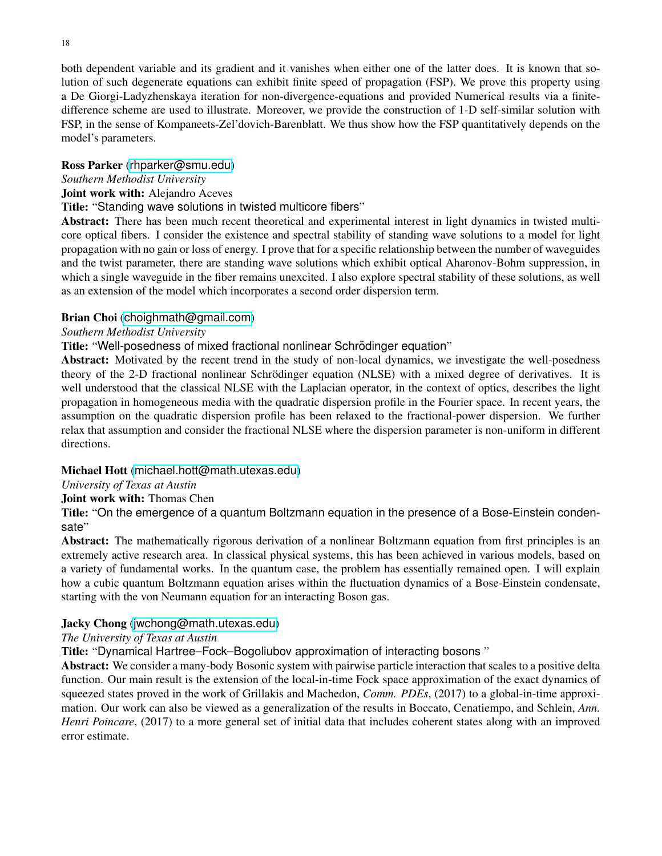both dependent variable and its gradient and it vanishes when either one of the latter does. It is known that solution of such degenerate equations can exhibit finite speed of propagation (FSP). We prove this property using a De Giorgi-Ladyzhenskaya iteration for non-divergence-equations and provided Numerical results via a finitedifference scheme are used to illustrate. Moreover, we provide the construction of 1-D self-similar solution with FSP, in the sense of Kompaneets-Zel'dovich-Barenblatt. We thus show how the FSP quantitatively depends on the model's parameters.

### Ross Parker ([rhparker@smu.edu](mailto:rhparker@smu.edu))

### *Southern Methodist University*

### Joint work with: Alejandro Aceves

### Title: "Standing wave solutions in twisted multicore fibers"

Abstract: There has been much recent theoretical and experimental interest in light dynamics in twisted multicore optical fibers. I consider the existence and spectral stability of standing wave solutions to a model for light propagation with no gain or loss of energy. I prove that for a specific relationship between the number of waveguides and the twist parameter, there are standing wave solutions which exhibit optical Aharonov-Bohm suppression, in which a single waveguide in the fiber remains unexcited. I also explore spectral stability of these solutions, as well as an extension of the model which incorporates a second order dispersion term.

### Brian Choi ([choighmath@gmail.com](mailto:choighmath@gmail.com))

### *Southern Methodist University*

### Title: "Well-posedness of mixed fractional nonlinear Schrödinger equation"

Abstract: Motivated by the recent trend in the study of non-local dynamics, we investigate the well-posedness theory of the 2-D fractional nonlinear Schrödinger equation (NLSE) with a mixed degree of derivatives. It is well understood that the classical NLSE with the Laplacian operator, in the context of optics, describes the light propagation in homogeneous media with the quadratic dispersion profile in the Fourier space. In recent years, the assumption on the quadratic dispersion profile has been relaxed to the fractional-power dispersion. We further relax that assumption and consider the fractional NLSE where the dispersion parameter is non-uniform in different directions.

### Michael Hott ([michael.hott@math.utexas.edu](mailto:michael.hott@math.utexas.edu))

### *University of Texas at Austin*

### Joint work with: Thomas Chen

Title: "On the emergence of a quantum Boltzmann equation in the presence of a Bose-Einstein condensate"

Abstract: The mathematically rigorous derivation of a nonlinear Boltzmann equation from first principles is an extremely active research area. In classical physical systems, this has been achieved in various models, based on a variety of fundamental works. In the quantum case, the problem has essentially remained open. I will explain how a cubic quantum Boltzmann equation arises within the fluctuation dynamics of a Bose-Einstein condensate, starting with the von Neumann equation for an interacting Boson gas.

### Jacky Chong ([jwchong@math.utexas.edu](mailto:jwchong@math.utexas.edu))

### *The University of Texas at Austin*

Title: "Dynamical Hartree–Fock–Bogoliubov approximation of interacting bosons "

Abstract: We consider a many-body Bosonic system with pairwise particle interaction that scales to a positive delta function. Our main result is the extension of the local-in-time Fock space approximation of the exact dynamics of squeezed states proved in the work of Grillakis and Machedon, *Comm. PDEs*, (2017) to a global-in-time approximation. Our work can also be viewed as a generalization of the results in Boccato, Cenatiempo, and Schlein, *Ann. Henri Poincare*, (2017) to a more general set of initial data that includes coherent states along with an improved error estimate.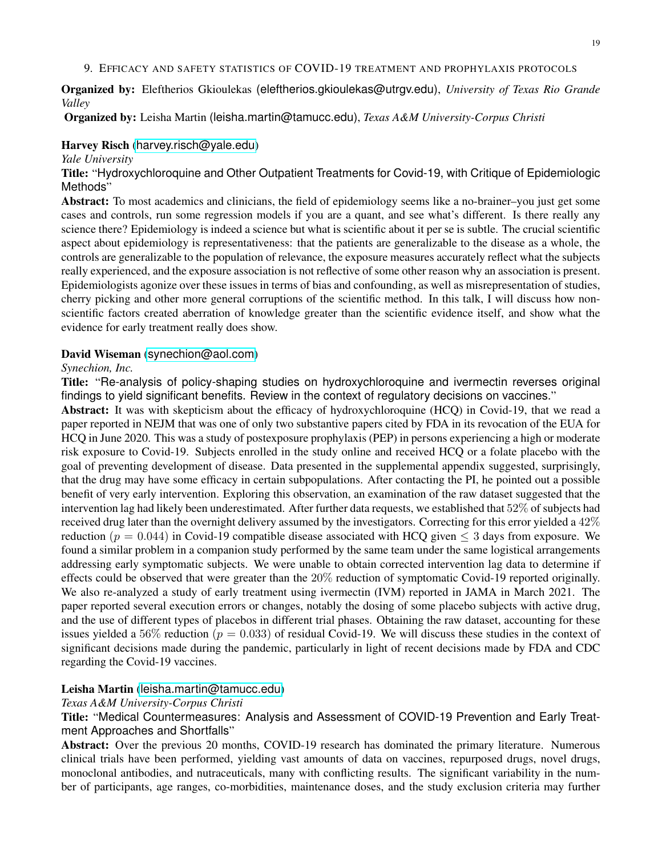#### <span id="page-18-0"></span>9. EFFICACY AND SAFETY STATISTICS OF COVID-19 TREATMENT AND PROPHYLAXIS PROTOCOLS

Organized by: Eleftherios Gkioulekas (eleftherios.gkioulekas@utrgv.edu), *University of Texas Rio Grande Valley*

Organized by: Leisha Martin (leisha.martin@tamucc.edu), *Texas A&M University-Corpus Christi*

#### Harvey Risch ([harvey.risch@yale.edu](mailto:harvey.risch@yale.edu))

#### *Yale University*

Title: "Hydroxychloroquine and Other Outpatient Treatments for Covid-19, with Critique of Epidemiologic Methods"

Abstract: To most academics and clinicians, the field of epidemiology seems like a no-brainer–you just get some cases and controls, run some regression models if you are a quant, and see what's different. Is there really any science there? Epidemiology is indeed a science but what is scientific about it per se is subtle. The crucial scientific aspect about epidemiology is representativeness: that the patients are generalizable to the disease as a whole, the controls are generalizable to the population of relevance, the exposure measures accurately reflect what the subjects really experienced, and the exposure association is not reflective of some other reason why an association is present. Epidemiologists agonize over these issues in terms of bias and confounding, as well as misrepresentation of studies, cherry picking and other more general corruptions of the scientific method. In this talk, I will discuss how nonscientific factors created aberration of knowledge greater than the scientific evidence itself, and show what the evidence for early treatment really does show.

#### David Wiseman ([synechion@aol.com](mailto:synechion@aol.com))

#### *Synechion, Inc.*

Title: "Re-analysis of policy-shaping studies on hydroxychloroquine and ivermectin reverses original findings to yield significant benefits. Review in the context of regulatory decisions on vaccines."

Abstract: It was with skepticism about the efficacy of hydroxychloroquine (HCQ) in Covid-19, that we read a paper reported in NEJM that was one of only two substantive papers cited by FDA in its revocation of the EUA for HCQ in June 2020. This was a study of postexposure prophylaxis (PEP) in persons experiencing a high or moderate risk exposure to Covid-19. Subjects enrolled in the study online and received HCQ or a folate placebo with the goal of preventing development of disease. Data presented in the supplemental appendix suggested, surprisingly, that the drug may have some efficacy in certain subpopulations. After contacting the PI, he pointed out a possible benefit of very early intervention. Exploring this observation, an examination of the raw dataset suggested that the intervention lag had likely been underestimated. After further data requests, we established that 52% of subjects had received drug later than the overnight delivery assumed by the investigators. Correcting for this error yielded a 42% reduction ( $p = 0.044$ ) in Covid-19 compatible disease associated with HCQ given  $\leq$  3 days from exposure. We found a similar problem in a companion study performed by the same team under the same logistical arrangements addressing early symptomatic subjects. We were unable to obtain corrected intervention lag data to determine if effects could be observed that were greater than the 20% reduction of symptomatic Covid-19 reported originally. We also re-analyzed a study of early treatment using ivermectin (IVM) reported in JAMA in March 2021. The paper reported several execution errors or changes, notably the dosing of some placebo subjects with active drug, and the use of different types of placebos in different trial phases. Obtaining the raw dataset, accounting for these issues yielded a 56% reduction ( $p = 0.033$ ) of residual Covid-19. We will discuss these studies in the context of significant decisions made during the pandemic, particularly in light of recent decisions made by FDA and CDC regarding the Covid-19 vaccines.

### Leisha Martin ([leisha.martin@tamucc.edu](mailto:leisha.martin@tamucc.edu))

#### *Texas A&M University-Corpus Christi*

Title: "Medical Countermeasures: Analysis and Assessment of COVID-19 Prevention and Early Treatment Approaches and Shortfalls"

Abstract: Over the previous 20 months, COVID-19 research has dominated the primary literature. Numerous clinical trials have been performed, yielding vast amounts of data on vaccines, repurposed drugs, novel drugs, monoclonal antibodies, and nutraceuticals, many with conflicting results. The significant variability in the number of participants, age ranges, co-morbidities, maintenance doses, and the study exclusion criteria may further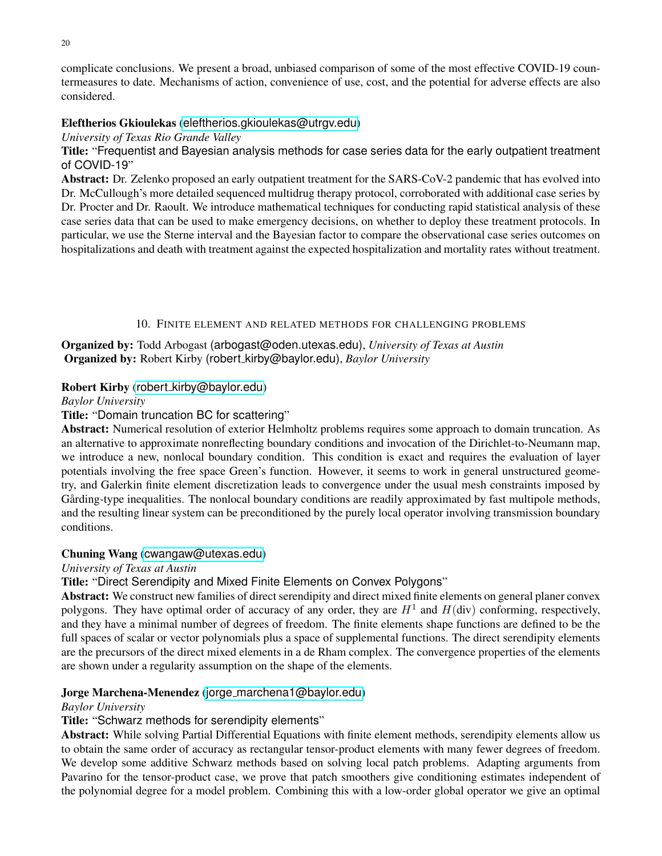complicate conclusions. We present a broad, unbiased comparison of some of the most effective COVID-19 countermeasures to date. Mechanisms of action, convenience of use, cost, and the potential for adverse effects are also considered.

# Eleftherios Gkioulekas ([eleftherios.gkioulekas@utrgv.edu](mailto:eleftherios.gkioulekas@utrgv.edu))

*University of Texas Rio Grande Valley*

Title: "Frequentist and Bayesian analysis methods for case series data for the early outpatient treatment of COVID-19"

Abstract: Dr. Zelenko proposed an early outpatient treatment for the SARS-CoV-2 pandemic that has evolved into Dr. McCullough's more detailed sequenced multidrug therapy protocol, corroborated with additional case series by Dr. Procter and Dr. Raoult. We introduce mathematical techniques for conducting rapid statistical analysis of these case series data that can be used to make emergency decisions, on whether to deploy these treatment protocols. In particular, we use the Sterne interval and the Bayesian factor to compare the observational case series outcomes on hospitalizations and death with treatment against the expected hospitalization and mortality rates without treatment.

### 10. FINITE ELEMENT AND RELATED METHODS FOR CHALLENGING PROBLEMS

<span id="page-19-0"></span>Organized by: Todd Arbogast (arbogast@oden.utexas.edu), *University of Texas at Austin* Organized by: Robert Kirby (robert kirby@baylor.edu), *Baylor University*

### Robert Kirby (robert [kirby@baylor.edu](mailto:robert_kirby@baylor.edu))

*Baylor University*

# Title: "Domain truncation BC for scattering"

Abstract: Numerical resolution of exterior Helmholtz problems requires some approach to domain truncation. As an alternative to approximate nonreflecting boundary conditions and invocation of the Dirichlet-to-Neumann map, we introduce a new, nonlocal boundary condition. This condition is exact and requires the evaluation of layer potentials involving the free space Green's function. However, it seems to work in general unstructured geometry, and Galerkin finite element discretization leads to convergence under the usual mesh constraints imposed by Gårding-type inequalities. The nonlocal boundary conditions are readily approximated by fast multipole methods, and the resulting linear system can be preconditioned by the purely local operator involving transmission boundary conditions.

### Chuning Wang ([cwangaw@utexas.edu](mailto:cwangaw@utexas.edu))

### *University of Texas at Austin*

Title: "Direct Serendipity and Mixed Finite Elements on Convex Polygons"

Abstract: We construct new families of direct serendipity and direct mixed finite elements on general planer convex polygons. They have optimal order of accuracy of any order, they are  $H^1$  and  $H(\text{div})$  conforming, respectively, and they have a minimal number of degrees of freedom. The finite elements shape functions are defined to be the full spaces of scalar or vector polynomials plus a space of supplemental functions. The direct serendipity elements are the precursors of the direct mixed elements in a de Rham complex. The convergence properties of the elements are shown under a regularity assumption on the shape of the elements.

# Jorge Marchena-Menendez (jorge [marchena1@baylor.edu](mailto:jorge_marchena1@baylor.edu))

### *Baylor University*

### Title: "Schwarz methods for serendipity elements"

Abstract: While solving Partial Differential Equations with finite element methods, serendipity elements allow us to obtain the same order of accuracy as rectangular tensor-product elements with many fewer degrees of freedom. We develop some additive Schwarz methods based on solving local patch problems. Adapting arguments from Pavarino for the tensor-product case, we prove that patch smoothers give conditioning estimates independent of the polynomial degree for a model problem. Combining this with a low-order global operator we give an optimal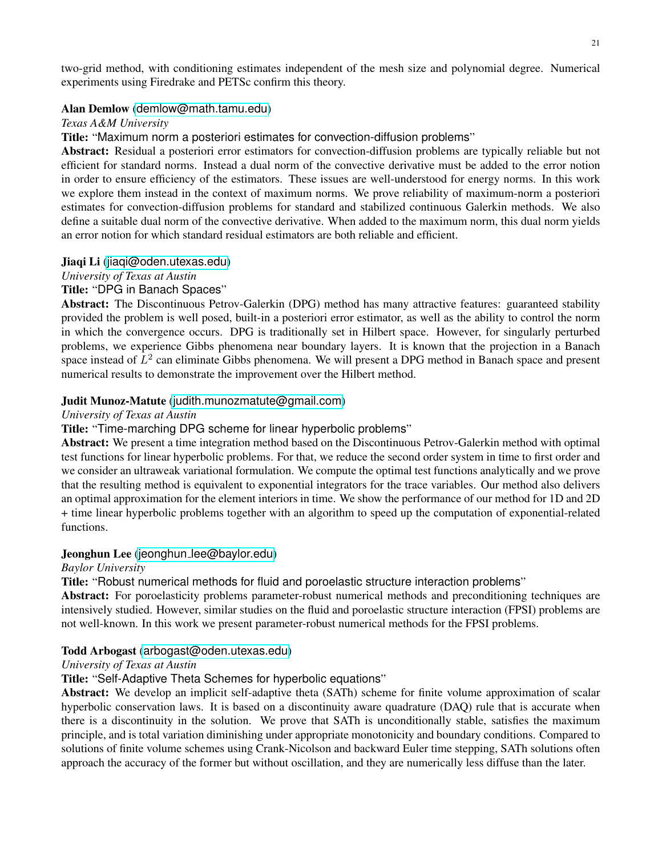two-grid method, with conditioning estimates independent of the mesh size and polynomial degree. Numerical experiments using Firedrake and PETSc confirm this theory.

### Alan Demlow ([demlow@math.tamu.edu](mailto:demlow@math.tamu.edu))

*Texas A&M University*

Title: "Maximum norm a posteriori estimates for convection-diffusion problems"

Abstract: Residual a posteriori error estimators for convection-diffusion problems are typically reliable but not efficient for standard norms. Instead a dual norm of the convective derivative must be added to the error notion in order to ensure efficiency of the estimators. These issues are well-understood for energy norms. In this work we explore them instead in the context of maximum norms. We prove reliability of maximum-norm a posteriori estimates for convection-diffusion problems for standard and stabilized continuous Galerkin methods. We also define a suitable dual norm of the convective derivative. When added to the maximum norm, this dual norm yields an error notion for which standard residual estimators are both reliable and efficient.

### Jiaqi Li ([jiaqi@oden.utexas.edu](mailto:jiaqi@oden.utexas.edu))

*University of Texas at Austin*

### Title: "DPG in Banach Spaces"

Abstract: The Discontinuous Petrov-Galerkin (DPG) method has many attractive features: guaranteed stability provided the problem is well posed, built-in a posteriori error estimator, as well as the ability to control the norm in which the convergence occurs. DPG is traditionally set in Hilbert space. However, for singularly perturbed problems, we experience Gibbs phenomena near boundary layers. It is known that the projection in a Banach space instead of  $L^2$  can eliminate Gibbs phenomena. We will present a DPG method in Banach space and present numerical results to demonstrate the improvement over the Hilbert method.

### Judit Munoz-Matute ([judith.munozmatute@gmail.com](mailto:judith.munozmatute@gmail.com))

### *University of Texas at Austin*

#### Title: "Time-marching DPG scheme for linear hyperbolic problems"

Abstract: We present a time integration method based on the Discontinuous Petrov-Galerkin method with optimal test functions for linear hyperbolic problems. For that, we reduce the second order system in time to first order and we consider an ultraweak variational formulation. We compute the optimal test functions analytically and we prove that the resulting method is equivalent to exponential integrators for the trace variables. Our method also delivers an optimal approximation for the element interiors in time. We show the performance of our method for 1D and 2D + time linear hyperbolic problems together with an algorithm to speed up the computation of exponential-related functions.

#### Jeonghun Lee (jeonghun [lee@baylor.edu](mailto:jeonghun_lee@baylor.edu))

*Baylor University*

Title: "Robust numerical methods for fluid and poroelastic structure interaction problems"

Abstract: For poroelasticity problems parameter-robust numerical methods and preconditioning techniques are intensively studied. However, similar studies on the fluid and poroelastic structure interaction (FPSI) problems are not well-known. In this work we present parameter-robust numerical methods for the FPSI problems.

#### Todd Arbogast ([arbogast@oden.utexas.edu](mailto:arbogast@oden.utexas.edu))

#### *University of Texas at Austin*

## Title: "Self-Adaptive Theta Schemes for hyperbolic equations"

Abstract: We develop an implicit self-adaptive theta (SATh) scheme for finite volume approximation of scalar hyperbolic conservation laws. It is based on a discontinuity aware quadrature (DAQ) rule that is accurate when there is a discontinuity in the solution. We prove that SATh is unconditionally stable, satisfies the maximum principle, and is total variation diminishing under appropriate monotonicity and boundary conditions. Compared to solutions of finite volume schemes using Crank-Nicolson and backward Euler time stepping, SATh solutions often approach the accuracy of the former but without oscillation, and they are numerically less diffuse than the later.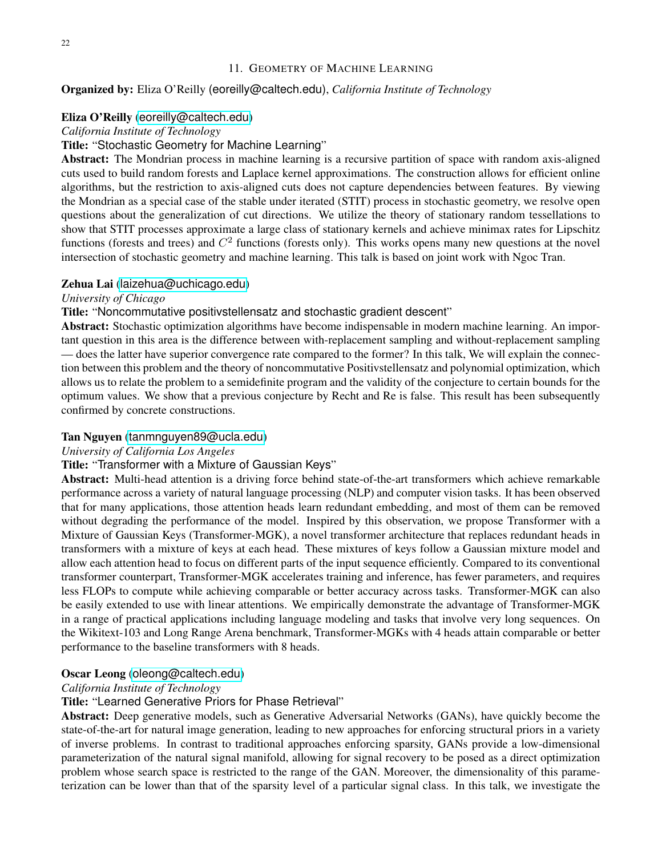### 11. GEOMETRY OF MACHINE LEARNING

### <span id="page-21-0"></span>Organized by: Eliza O'Reilly (eoreilly@caltech.edu), *California Institute of Technology*

#### Eliza O'Reilly ([eoreilly@caltech.edu](mailto:eoreilly@caltech.edu))

### *California Institute of Technology*

### Title: "Stochastic Geometry for Machine Learning"

Abstract: The Mondrian process in machine learning is a recursive partition of space with random axis-aligned cuts used to build random forests and Laplace kernel approximations. The construction allows for efficient online algorithms, but the restriction to axis-aligned cuts does not capture dependencies between features. By viewing the Mondrian as a special case of the stable under iterated (STIT) process in stochastic geometry, we resolve open questions about the generalization of cut directions. We utilize the theory of stationary random tessellations to show that STIT processes approximate a large class of stationary kernels and achieve minimax rates for Lipschitz functions (forests and trees) and  $C<sup>2</sup>$  functions (forests only). This works opens many new questions at the novel intersection of stochastic geometry and machine learning. This talk is based on joint work with Ngoc Tran.

#### Zehua Lai ([laizehua@uchicago.edu](mailto:laizehua@uchicago.edu))

#### *University of Chicago*

### Title: "Noncommutative positivstellensatz and stochastic gradient descent"

Abstract: Stochastic optimization algorithms have become indispensable in modern machine learning. An important question in this area is the difference between with-replacement sampling and without-replacement sampling — does the latter have superior convergence rate compared to the former? In this talk, We will explain the connection between this problem and the theory of noncommutative Positivstellensatz and polynomial optimization, which allows us to relate the problem to a semidefinite program and the validity of the conjecture to certain bounds for the optimum values. We show that a previous conjecture by Recht and Re is false. This result has been subsequently confirmed by concrete constructions.

#### Tan Nguyen ([tanmnguyen89@ucla.edu](mailto:tanmnguyen89@ucla.edu))

#### *University of California Los Angeles*

## Title: "Transformer with a Mixture of Gaussian Keys"

Abstract: Multi-head attention is a driving force behind state-of-the-art transformers which achieve remarkable performance across a variety of natural language processing (NLP) and computer vision tasks. It has been observed that for many applications, those attention heads learn redundant embedding, and most of them can be removed without degrading the performance of the model. Inspired by this observation, we propose Transformer with a Mixture of Gaussian Keys (Transformer-MGK), a novel transformer architecture that replaces redundant heads in transformers with a mixture of keys at each head. These mixtures of keys follow a Gaussian mixture model and allow each attention head to focus on different parts of the input sequence efficiently. Compared to its conventional transformer counterpart, Transformer-MGK accelerates training and inference, has fewer parameters, and requires less FLOPs to compute while achieving comparable or better accuracy across tasks. Transformer-MGK can also be easily extended to use with linear attentions. We empirically demonstrate the advantage of Transformer-MGK in a range of practical applications including language modeling and tasks that involve very long sequences. On the Wikitext-103 and Long Range Arena benchmark, Transformer-MGKs with 4 heads attain comparable or better performance to the baseline transformers with 8 heads.

#### Oscar Leong ([oleong@caltech.edu](mailto:oleong@caltech.edu))

#### *California Institute of Technology*

### Title: "Learned Generative Priors for Phase Retrieval"

Abstract: Deep generative models, such as Generative Adversarial Networks (GANs), have quickly become the state-of-the-art for natural image generation, leading to new approaches for enforcing structural priors in a variety of inverse problems. In contrast to traditional approaches enforcing sparsity, GANs provide a low-dimensional parameterization of the natural signal manifold, allowing for signal recovery to be posed as a direct optimization problem whose search space is restricted to the range of the GAN. Moreover, the dimensionality of this parameterization can be lower than that of the sparsity level of a particular signal class. In this talk, we investigate the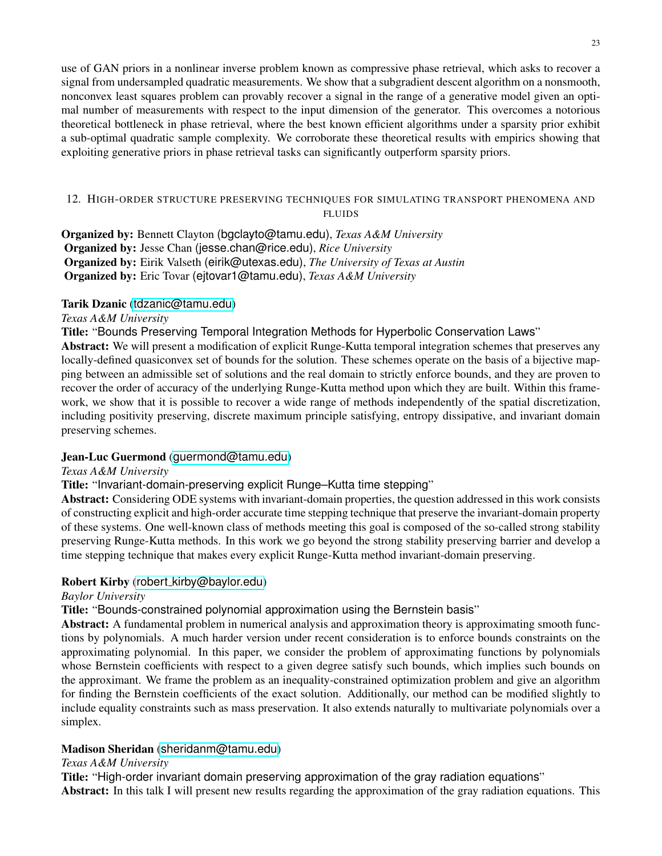use of GAN priors in a nonlinear inverse problem known as compressive phase retrieval, which asks to recover a signal from undersampled quadratic measurements. We show that a subgradient descent algorithm on a nonsmooth, nonconvex least squares problem can provably recover a signal in the range of a generative model given an optimal number of measurements with respect to the input dimension of the generator. This overcomes a notorious theoretical bottleneck in phase retrieval, where the best known efficient algorithms under a sparsity prior exhibit a sub-optimal quadratic sample complexity. We corroborate these theoretical results with empirics showing that exploiting generative priors in phase retrieval tasks can significantly outperform sparsity priors.

## <span id="page-22-0"></span>12. HIGH-ORDER STRUCTURE PRESERVING TECHNIQUES FOR SIMULATING TRANSPORT PHENOMENA AND FLUIDS

Organized by: Bennett Clayton (bgclayto@tamu.edu), *Texas A&M University* Organized by: Jesse Chan (jesse.chan@rice.edu), *Rice University* Organized by: Eirik Valseth (eirik@utexas.edu), *The University of Texas at Austin* Organized by: Eric Tovar (ejtovar1@tamu.edu), *Texas A&M University*

### Tarik Dzanic ([tdzanic@tamu.edu](mailto:tdzanic@tamu.edu))

### *Texas A&M University*

Title: "Bounds Preserving Temporal Integration Methods for Hyperbolic Conservation Laws"

Abstract: We will present a modification of explicit Runge-Kutta temporal integration schemes that preserves any locally-defined quasiconvex set of bounds for the solution. These schemes operate on the basis of a bijective mapping between an admissible set of solutions and the real domain to strictly enforce bounds, and they are proven to recover the order of accuracy of the underlying Runge-Kutta method upon which they are built. Within this framework, we show that it is possible to recover a wide range of methods independently of the spatial discretization, including positivity preserving, discrete maximum principle satisfying, entropy dissipative, and invariant domain preserving schemes.

### Jean-Luc Guermond ([guermond@tamu.edu](mailto:guermond@tamu.edu))

#### *Texas A&M University*

Title: "Invariant-domain-preserving explicit Runge–Kutta time stepping"

Abstract: Considering ODE systems with invariant-domain properties, the question addressed in this work consists of constructing explicit and high-order accurate time stepping technique that preserve the invariant-domain property of these systems. One well-known class of methods meeting this goal is composed of the so-called strong stability preserving Runge-Kutta methods. In this work we go beyond the strong stability preserving barrier and develop a time stepping technique that makes every explicit Runge-Kutta method invariant-domain preserving.

### Robert Kirby (robert [kirby@baylor.edu](mailto:robert_kirby@baylor.edu))

#### *Baylor University*

Title: "Bounds-constrained polynomial approximation using the Bernstein basis"

Abstract: A fundamental problem in numerical analysis and approximation theory is approximating smooth functions by polynomials. A much harder version under recent consideration is to enforce bounds constraints on the approximating polynomial. In this paper, we consider the problem of approximating functions by polynomials whose Bernstein coefficients with respect to a given degree satisfy such bounds, which implies such bounds on the approximant. We frame the problem as an inequality-constrained optimization problem and give an algorithm for finding the Bernstein coefficients of the exact solution. Additionally, our method can be modified slightly to include equality constraints such as mass preservation. It also extends naturally to multivariate polynomials over a simplex.

### Madison Sheridan ([sheridanm@tamu.edu](mailto:sheridanm@tamu.edu))

#### *Texas A&M University*

Title: "High-order invariant domain preserving approximation of the gray radiation equations" Abstract: In this talk I will present new results regarding the approximation of the gray radiation equations. This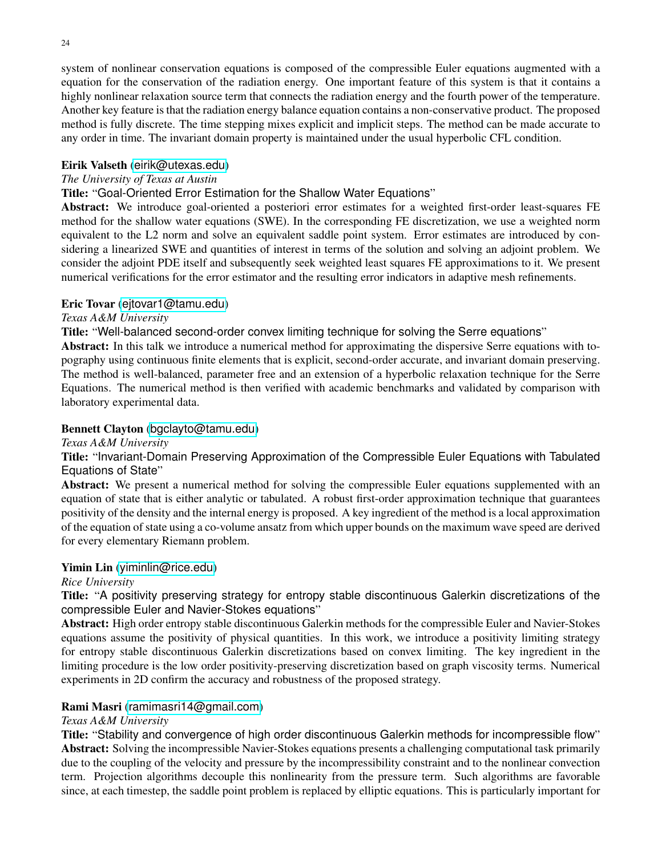system of nonlinear conservation equations is composed of the compressible Euler equations augmented with a equation for the conservation of the radiation energy. One important feature of this system is that it contains a highly nonlinear relaxation source term that connects the radiation energy and the fourth power of the temperature. Another key feature is that the radiation energy balance equation contains a non-conservative product. The proposed method is fully discrete. The time stepping mixes explicit and implicit steps. The method can be made accurate to any order in time. The invariant domain property is maintained under the usual hyperbolic CFL condition.

### Eirik Valseth ([eirik@utexas.edu](mailto:eirik@utexas.edu))

# *The University of Texas at Austin*

# Title: "Goal-Oriented Error Estimation for the Shallow Water Equations"

Abstract: We introduce goal-oriented a posteriori error estimates for a weighted first-order least-squares FE method for the shallow water equations (SWE). In the corresponding FE discretization, we use a weighted norm equivalent to the L2 norm and solve an equivalent saddle point system. Error estimates are introduced by considering a linearized SWE and quantities of interest in terms of the solution and solving an adjoint problem. We consider the adjoint PDE itself and subsequently seek weighted least squares FE approximations to it. We present numerical verifications for the error estimator and the resulting error indicators in adaptive mesh refinements.

# Eric Tovar ([ejtovar1@tamu.edu](mailto:ejtovar1@tamu.edu))

# *Texas A&M University*

Title: "Well-balanced second-order convex limiting technique for solving the Serre equations"

Abstract: In this talk we introduce a numerical method for approximating the dispersive Serre equations with topography using continuous finite elements that is explicit, second-order accurate, and invariant domain preserving. The method is well-balanced, parameter free and an extension of a hyperbolic relaxation technique for the Serre Equations. The numerical method is then verified with academic benchmarks and validated by comparison with laboratory experimental data.

# Bennett Clayton ([bgclayto@tamu.edu](mailto:bgclayto@tamu.edu))

*Texas A&M University*

# Title: "Invariant-Domain Preserving Approximation of the Compressible Euler Equations with Tabulated Equations of State"

Abstract: We present a numerical method for solving the compressible Euler equations supplemented with an equation of state that is either analytic or tabulated. A robust first-order approximation technique that guarantees positivity of the density and the internal energy is proposed. A key ingredient of the method is a local approximation of the equation of state using a co-volume ansatz from which upper bounds on the maximum wave speed are derived for every elementary Riemann problem.

### Yimin Lin ([yiminlin@rice.edu](mailto:yiminlin@rice.edu))

### *Rice University*

Title: "A positivity preserving strategy for entropy stable discontinuous Galerkin discretizations of the compressible Euler and Navier-Stokes equations"

Abstract: High order entropy stable discontinuous Galerkin methods for the compressible Euler and Navier-Stokes equations assume the positivity of physical quantities. In this work, we introduce a positivity limiting strategy for entropy stable discontinuous Galerkin discretizations based on convex limiting. The key ingredient in the limiting procedure is the low order positivity-preserving discretization based on graph viscosity terms. Numerical experiments in 2D confirm the accuracy and robustness of the proposed strategy.

### Rami Masri ([ramimasri14@gmail.com](mailto:ramimasri14@gmail.com))

### *Texas A&M University*

Title: "Stability and convergence of high order discontinuous Galerkin methods for incompressible flow" Abstract: Solving the incompressible Navier-Stokes equations presents a challenging computational task primarily due to the coupling of the velocity and pressure by the incompressibility constraint and to the nonlinear convection term. Projection algorithms decouple this nonlinearity from the pressure term. Such algorithms are favorable since, at each timestep, the saddle point problem is replaced by elliptic equations. This is particularly important for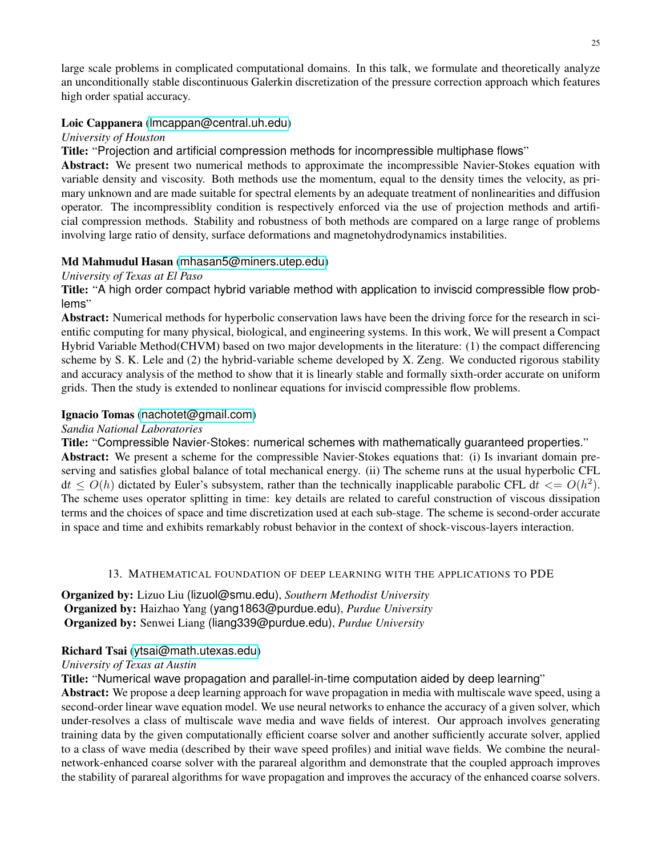large scale problems in complicated computational domains. In this talk, we formulate and theoretically analyze an unconditionally stable discontinuous Galerkin discretization of the pressure correction approach which features high order spatial accuracy.

# Loic Cappanera ([lmcappan@central.uh.edu](mailto:lmcappan@central.uh.edu))

### *University of Houston*

Title: "Projection and artificial compression methods for incompressible multiphase flows"

Abstract: We present two numerical methods to approximate the incompressible Navier-Stokes equation with variable density and viscosity. Both methods use the momentum, equal to the density times the velocity, as primary unknown and are made suitable for spectral elements by an adequate treatment of nonlinearities and diffusion operator. The incompressiblity condition is respectively enforced via the use of projection methods and artificial compression methods. Stability and robustness of both methods are compared on a large range of problems involving large ratio of density, surface deformations and magnetohydrodynamics instabilities.

# Md Mahmudul Hasan ([mhasan5@miners.utep.edu](mailto:mhasan5@miners.utep.edu))

### *University of Texas at El Paso*

Title: "A high order compact hybrid variable method with application to inviscid compressible flow problems"

Abstract: Numerical methods for hyperbolic conservation laws have been the driving force for the research in scientific computing for many physical, biological, and engineering systems. In this work, We will present a Compact Hybrid Variable Method(CHVM) based on two major developments in the literature: (1) the compact differencing scheme by S. K. Lele and (2) the hybrid-variable scheme developed by X. Zeng. We conducted rigorous stability and accuracy analysis of the method to show that it is linearly stable and formally sixth-order accurate on uniform grids. Then the study is extended to nonlinear equations for inviscid compressible flow problems.

### Ignacio Tomas ([nachotet@gmail.com](mailto:nachotet@gmail.com))

#### *Sandia National Laboratories*

Title: "Compressible Navier-Stokes: numerical schemes with mathematically guaranteed properties." Abstract: We present a scheme for the compressible Navier-Stokes equations that: (i) Is invariant domain preserving and satisfies global balance of total mechanical energy. (ii) The scheme runs at the usual hyperbolic CFL  $dt \leq O(h)$  dictated by Euler's subsystem, rather than the technically inapplicable parabolic CFL  $dt \leq O(h^2)$ . The scheme uses operator splitting in time: key details are related to careful construction of viscous dissipation terms and the choices of space and time discretization used at each sub-stage. The scheme is second-order accurate in space and time and exhibits remarkably robust behavior in the context of shock-viscous-layers interaction.

#### 13. MATHEMATICAL FOUNDATION OF DEEP LEARNING WITH THE APPLICATIONS TO PDE

<span id="page-24-0"></span>Organized by: Lizuo Liu (lizuol@smu.edu), *Southern Methodist University* Organized by: Haizhao Yang (yang1863@purdue.edu), *Purdue University* Organized by: Senwei Liang (liang339@purdue.edu), *Purdue University*

### Richard Tsai ([ytsai@math.utexas.edu](mailto:ytsai@math.utexas.edu))

### *University of Texas at Austin*

Title: "Numerical wave propagation and parallel-in-time computation aided by deep learning"

Abstract: We propose a deep learning approach for wave propagation in media with multiscale wave speed, using a second-order linear wave equation model. We use neural networks to enhance the accuracy of a given solver, which under-resolves a class of multiscale wave media and wave fields of interest. Our approach involves generating training data by the given computationally efficient coarse solver and another sufficiently accurate solver, applied to a class of wave media (described by their wave speed profiles) and initial wave fields. We combine the neuralnetwork-enhanced coarse solver with the parareal algorithm and demonstrate that the coupled approach improves the stability of parareal algorithms for wave propagation and improves the accuracy of the enhanced coarse solvers.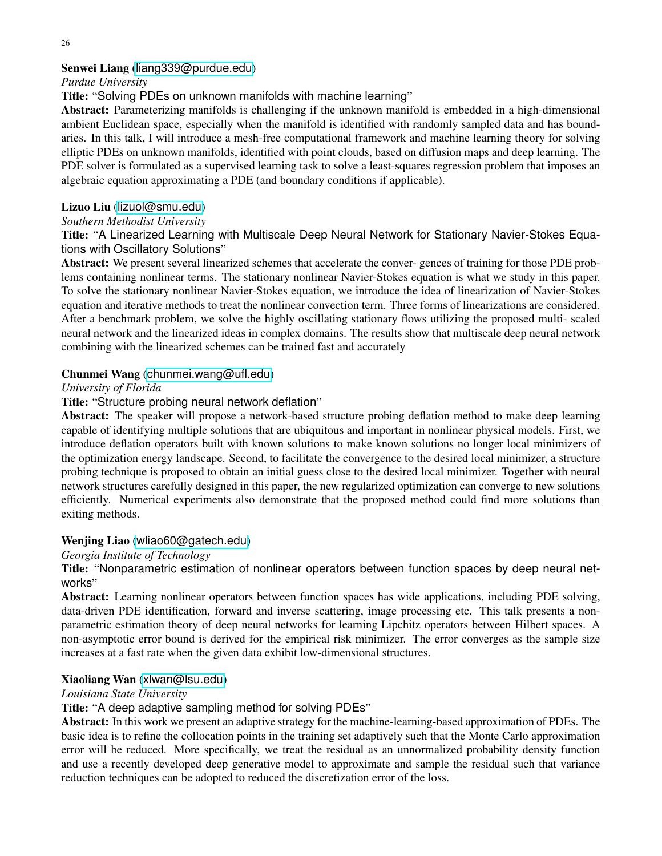# Senwei Liang ([liang339@purdue.edu](mailto:liang339@purdue.edu))

### *Purdue University*

Title: "Solving PDEs on unknown manifolds with machine learning"

Abstract: Parameterizing manifolds is challenging if the unknown manifold is embedded in a high-dimensional ambient Euclidean space, especially when the manifold is identified with randomly sampled data and has boundaries. In this talk, I will introduce a mesh-free computational framework and machine learning theory for solving elliptic PDEs on unknown manifolds, identified with point clouds, based on diffusion maps and deep learning. The PDE solver is formulated as a supervised learning task to solve a least-squares regression problem that imposes an algebraic equation approximating a PDE (and boundary conditions if applicable).

# Lizuo Liu ([lizuol@smu.edu](mailto:lizuol@smu.edu))

# *Southern Methodist University*

Title: "A Linearized Learning with Multiscale Deep Neural Network for Stationary Navier-Stokes Equations with Oscillatory Solutions"

Abstract: We present several linearized schemes that accelerate the conver- gences of training for those PDE problems containing nonlinear terms. The stationary nonlinear Navier-Stokes equation is what we study in this paper. To solve the stationary nonlinear Navier-Stokes equation, we introduce the idea of linearization of Navier-Stokes equation and iterative methods to treat the nonlinear convection term. Three forms of linearizations are considered. After a benchmark problem, we solve the highly oscillating stationary flows utilizing the proposed multi- scaled neural network and the linearized ideas in complex domains. The results show that multiscale deep neural network combining with the linearized schemes can be trained fast and accurately

# Chunmei Wang ([chunmei.wang@ufl.edu](mailto:chunmei.wang@ufl.edu))

### *University of Florida*

# Title: "Structure probing neural network deflation"

Abstract: The speaker will propose a network-based structure probing deflation method to make deep learning capable of identifying multiple solutions that are ubiquitous and important in nonlinear physical models. First, we introduce deflation operators built with known solutions to make known solutions no longer local minimizers of the optimization energy landscape. Second, to facilitate the convergence to the desired local minimizer, a structure probing technique is proposed to obtain an initial guess close to the desired local minimizer. Together with neural network structures carefully designed in this paper, the new regularized optimization can converge to new solutions efficiently. Numerical experiments also demonstrate that the proposed method could find more solutions than exiting methods.

# Wenjing Liao ([wliao60@gatech.edu](mailto:wliao60@gatech.edu))

*Georgia Institute of Technology*

Title: "Nonparametric estimation of nonlinear operators between function spaces by deep neural networks"

Abstract: Learning nonlinear operators between function spaces has wide applications, including PDE solving, data-driven PDE identification, forward and inverse scattering, image processing etc. This talk presents a nonparametric estimation theory of deep neural networks for learning Lipchitz operators between Hilbert spaces. A non-asymptotic error bound is derived for the empirical risk minimizer. The error converges as the sample size increases at a fast rate when the given data exhibit low-dimensional structures.

### Xiaoliang Wan ([xlwan@lsu.edu](mailto:xlwan@lsu.edu))

### *Louisiana State University*

Title: "A deep adaptive sampling method for solving PDEs"

Abstract: In this work we present an adaptive strategy for the machine-learning-based approximation of PDEs. The basic idea is to refine the collocation points in the training set adaptively such that the Monte Carlo approximation error will be reduced. More specifically, we treat the residual as an unnormalized probability density function and use a recently developed deep generative model to approximate and sample the residual such that variance reduction techniques can be adopted to reduced the discretization error of the loss.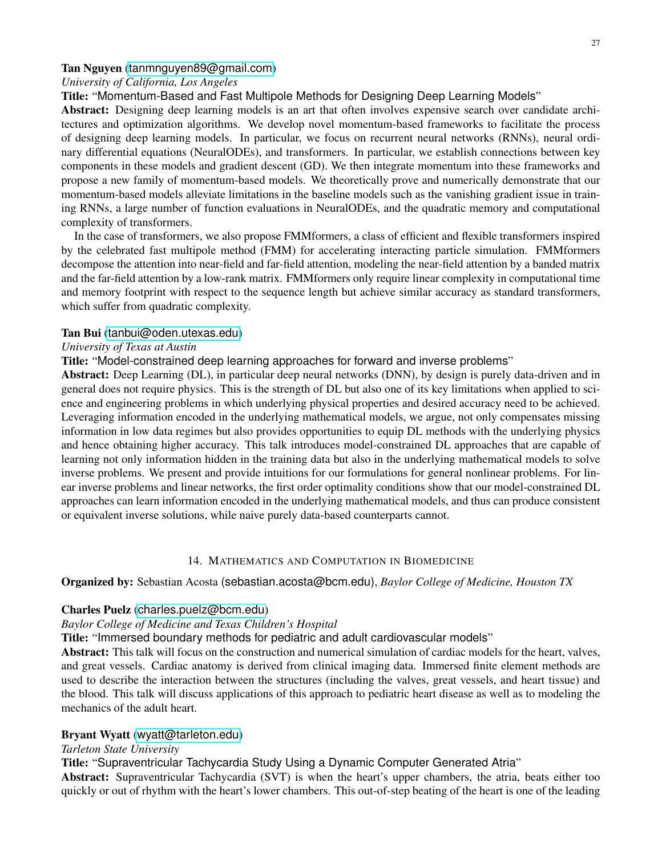#### Tan Nguyen ([tanmnguyen89@gmail.com](mailto:tanmnguyen89@gmail.com))

#### *University of California, Los Angeles*

Title: "Momentum-Based and Fast Multipole Methods for Designing Deep Learning Models"

Abstract: Designing deep learning models is an art that often involves expensive search over candidate architectures and optimization algorithms. We develop novel momentum-based frameworks to facilitate the process of designing deep learning models. In particular, we focus on recurrent neural networks (RNNs), neural ordinary differential equations (NeuralODEs), and transformers. In particular, we establish connections between key components in these models and gradient descent (GD). We then integrate momentum into these frameworks and propose a new family of momentum-based models. We theoretically prove and numerically demonstrate that our momentum-based models alleviate limitations in the baseline models such as the vanishing gradient issue in training RNNs, a large number of function evaluations in NeuralODEs, and the quadratic memory and computational complexity of transformers.

In the case of transformers, we also propose FMMformers, a class of efficient and flexible transformers inspired by the celebrated fast multipole method (FMM) for accelerating interacting particle simulation. FMMformers decompose the attention into near-field and far-field attention, modeling the near-field attention by a banded matrix and the far-field attention by a low-rank matrix. FMMformers only require linear complexity in computational time and memory footprint with respect to the sequence length but achieve similar accuracy as standard transformers, which suffer from quadratic complexity.

#### Tan Bui ([tanbui@oden.utexas.edu](mailto:tanbui@oden.utexas.edu))

#### *University of Texas at Austin*

Title: "Model-constrained deep learning approaches for forward and inverse problems"

Abstract: Deep Learning (DL), in particular deep neural networks (DNN), by design is purely data-driven and in general does not require physics. This is the strength of DL but also one of its key limitations when applied to science and engineering problems in which underlying physical properties and desired accuracy need to be achieved. Leveraging information encoded in the underlying mathematical models, we argue, not only compensates missing information in low data regimes but also provides opportunities to equip DL methods with the underlying physics and hence obtaining higher accuracy. This talk introduces model-constrained DL approaches that are capable of learning not only information hidden in the training data but also in the underlying mathematical models to solve inverse problems. We present and provide intuitions for our formulations for general nonlinear problems. For linear inverse problems and linear networks, the first order optimality conditions show that our model-constrained DL approaches can learn information encoded in the underlying mathematical models, and thus can produce consistent or equivalent inverse solutions, while naive purely data-based counterparts cannot.

#### 14. MATHEMATICS AND COMPUTATION IN BIOMEDICINE

#### <span id="page-26-0"></span>Organized by: Sebastian Acosta (sebastian.acosta@bcm.edu), *Baylor College of Medicine, Houston TX*

#### Charles Puelz ([charles.puelz@bcm.edu](mailto:charles.puelz@bcm.edu))

### *Baylor College of Medicine and Texas Children's Hospital*

Title: "Immersed boundary methods for pediatric and adult cardiovascular models"

Abstract: This talk will focus on the construction and numerical simulation of cardiac models for the heart, valves, and great vessels. Cardiac anatomy is derived from clinical imaging data. Immersed finite element methods are used to describe the interaction between the structures (including the valves, great vessels, and heart tissue) and the blood. This talk will discuss applications of this approach to pediatric heart disease as well as to modeling the mechanics of the adult heart.

#### Bryant Wyatt ([wyatt@tarleton.edu](mailto:wyatt@tarleton.edu))

#### *Tarleton State University*

Title: "Supraventricular Tachycardia Study Using a Dynamic Computer Generated Atria"

Abstract: Supraventricular Tachycardia (SVT) is when the heart's upper chambers, the atria, beats either too quickly or out of rhythm with the heart's lower chambers. This out-of-step beating of the heart is one of the leading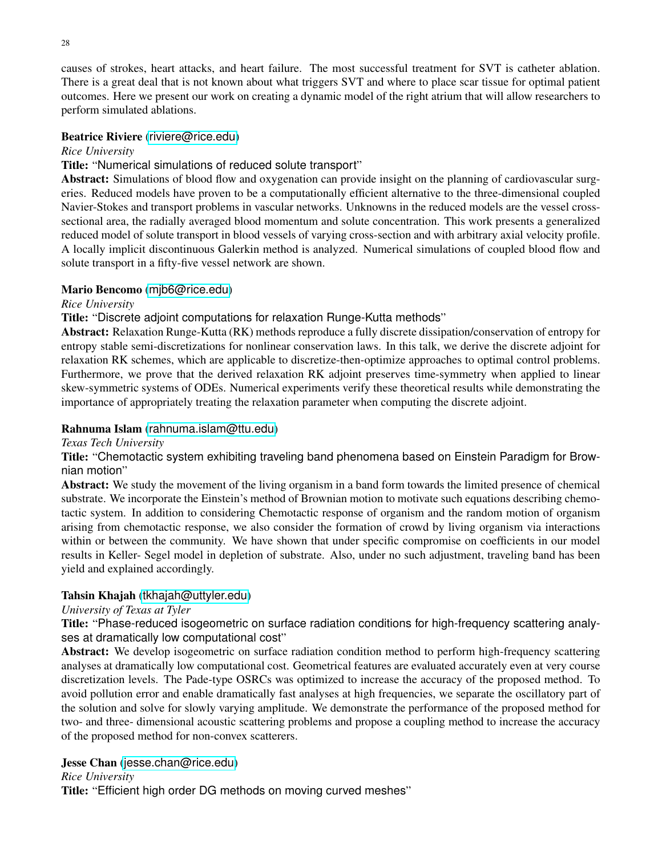causes of strokes, heart attacks, and heart failure. The most successful treatment for SVT is catheter ablation. There is a great deal that is not known about what triggers SVT and where to place scar tissue for optimal patient outcomes. Here we present our work on creating a dynamic model of the right atrium that will allow researchers to perform simulated ablations.

### Beatrice Riviere ([riviere@rice.edu](mailto:riviere@rice.edu))

### *Rice University*

### Title: "Numerical simulations of reduced solute transport"

Abstract: Simulations of blood flow and oxygenation can provide insight on the planning of cardiovascular surgeries. Reduced models have proven to be a computationally efficient alternative to the three-dimensional coupled Navier-Stokes and transport problems in vascular networks. Unknowns in the reduced models are the vessel crosssectional area, the radially averaged blood momentum and solute concentration. This work presents a generalized reduced model of solute transport in blood vessels of varying cross-section and with arbitrary axial velocity profile. A locally implicit discontinuous Galerkin method is analyzed. Numerical simulations of coupled blood flow and solute transport in a fifty-five vessel network are shown.

### Mario Bencomo ([mjb6@rice.edu](mailto:mjb6@rice.edu))

### *Rice University*

### Title: "Discrete adjoint computations for relaxation Runge-Kutta methods"

Abstract: Relaxation Runge-Kutta (RK) methods reproduce a fully discrete dissipation/conservation of entropy for entropy stable semi-discretizations for nonlinear conservation laws. In this talk, we derive the discrete adjoint for relaxation RK schemes, which are applicable to discretize-then-optimize approaches to optimal control problems. Furthermore, we prove that the derived relaxation RK adjoint preserves time-symmetry when applied to linear skew-symmetric systems of ODEs. Numerical experiments verify these theoretical results while demonstrating the importance of appropriately treating the relaxation parameter when computing the discrete adjoint.

### Rahnuma Islam ([rahnuma.islam@ttu.edu](mailto:rahnuma.islam@ttu.edu))

*Texas Tech University*

Title: "Chemotactic system exhibiting traveling band phenomena based on Einstein Paradigm for Brownian motion"

Abstract: We study the movement of the living organism in a band form towards the limited presence of chemical substrate. We incorporate the Einstein's method of Brownian motion to motivate such equations describing chemotactic system. In addition to considering Chemotactic response of organism and the random motion of organism arising from chemotactic response, we also consider the formation of crowd by living organism via interactions within or between the community. We have shown that under specific compromise on coefficients in our model results in Keller- Segel model in depletion of substrate. Also, under no such adjustment, traveling band has been yield and explained accordingly.

### Tahsin Khajah ([tkhajah@uttyler.edu](mailto:tkhajah@uttyler.edu))

### *University of Texas at Tyler*

Title: "Phase-reduced isogeometric on surface radiation conditions for high-frequency scattering analyses at dramatically low computational cost"

Abstract: We develop isogeometric on surface radiation condition method to perform high-frequency scattering analyses at dramatically low computational cost. Geometrical features are evaluated accurately even at very course discretization levels. The Pade-type OSRCs was optimized to increase the accuracy of the proposed method. To avoid pollution error and enable dramatically fast analyses at high frequencies, we separate the oscillatory part of the solution and solve for slowly varying amplitude. We demonstrate the performance of the proposed method for two- and three- dimensional acoustic scattering problems and propose a coupling method to increase the accuracy of the proposed method for non-convex scatterers.

### Jesse Chan ([jesse.chan@rice.edu](mailto:jesse.chan@rice.edu))

### *Rice University*

Title: "Efficient high order DG methods on moving curved meshes"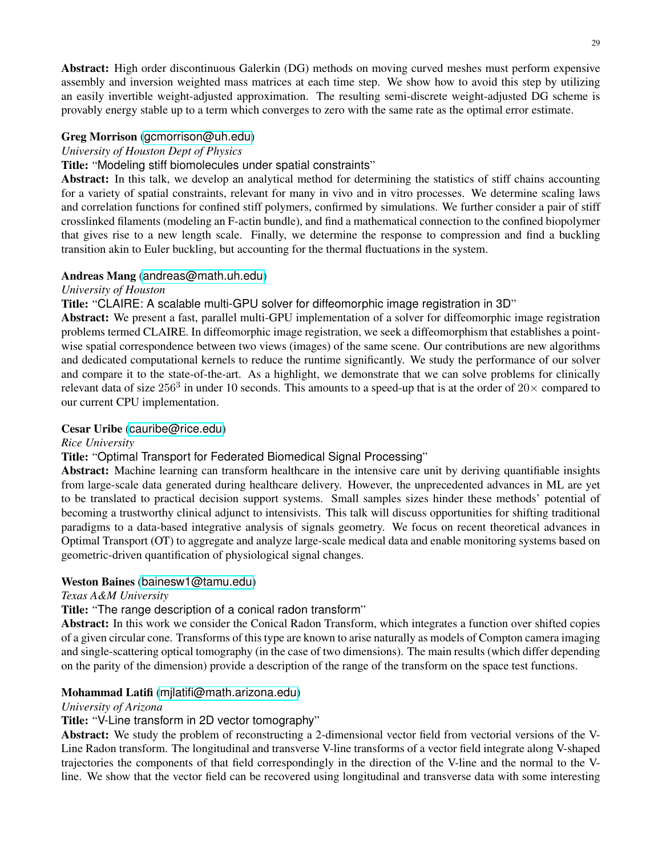Abstract: High order discontinuous Galerkin (DG) methods on moving curved meshes must perform expensive assembly and inversion weighted mass matrices at each time step. We show how to avoid this step by utilizing an easily invertible weight-adjusted approximation. The resulting semi-discrete weight-adjusted DG scheme is provably energy stable up to a term which converges to zero with the same rate as the optimal error estimate.

# Greg Morrison ([gcmorrison@uh.edu](mailto:gcmorrison@uh.edu))

### *University of Houston Dept of Physics*

# Title: "Modeling stiff biomolecules under spatial constraints"

Abstract: In this talk, we develop an analytical method for determining the statistics of stiff chains accounting for a variety of spatial constraints, relevant for many in vivo and in vitro processes. We determine scaling laws and correlation functions for confined stiff polymers, confirmed by simulations. We further consider a pair of stiff crosslinked filaments (modeling an F-actin bundle), and find a mathematical connection to the confined biopolymer that gives rise to a new length scale. Finally, we determine the response to compression and find a buckling transition akin to Euler buckling, but accounting for the thermal fluctuations in the system.

### Andreas Mang ([andreas@math.uh.edu](mailto:andreas@math.uh.edu))

### *University of Houston*

# Title: "CLAIRE: A scalable multi-GPU solver for diffeomorphic image registration in 3D"

Abstract: We present a fast, parallel multi-GPU implementation of a solver for diffeomorphic image registration problems termed CLAIRE. In diffeomorphic image registration, we seek a diffeomorphism that establishes a pointwise spatial correspondence between two views (images) of the same scene. Our contributions are new algorithms and dedicated computational kernels to reduce the runtime significantly. We study the performance of our solver and compare it to the state-of-the-art. As a highlight, we demonstrate that we can solve problems for clinically relevant data of size  $256^3$  in under 10 seconds. This amounts to a speed-up that is at the order of  $20\times$  compared to our current CPU implementation.

### Cesar Uribe ([cauribe@rice.edu](mailto:cauribe@rice.edu))

### *Rice University*

# Title: "Optimal Transport for Federated Biomedical Signal Processing"

Abstract: Machine learning can transform healthcare in the intensive care unit by deriving quantifiable insights from large-scale data generated during healthcare delivery. However, the unprecedented advances in ML are yet to be translated to practical decision support systems. Small samples sizes hinder these methods' potential of becoming a trustworthy clinical adjunct to intensivists. This talk will discuss opportunities for shifting traditional paradigms to a data-based integrative analysis of signals geometry. We focus on recent theoretical advances in Optimal Transport (OT) to aggregate and analyze large-scale medical data and enable monitoring systems based on geometric-driven quantification of physiological signal changes.

### Weston Baines ([bainesw1@tamu.edu](mailto:bainesw1@tamu.edu))

### *Texas A&M University*

# Title: "The range description of a conical radon transform"

Abstract: In this work we consider the Conical Radon Transform, which integrates a function over shifted copies of a given circular cone. Transforms of this type are known to arise naturally as models of Compton camera imaging and single-scattering optical tomography (in the case of two dimensions). The main results (which differ depending on the parity of the dimension) provide a description of the range of the transform on the space test functions.

### Mohammad Latifi ([mjlatifi@math.arizona.edu](mailto:mjlatifi@math.arizona.edu))

### *University of Arizona*

# Title: "V-Line transform in 2D vector tomography"

Abstract: We study the problem of reconstructing a 2-dimensional vector field from vectorial versions of the V-Line Radon transform. The longitudinal and transverse V-line transforms of a vector field integrate along V-shaped trajectories the components of that field correspondingly in the direction of the V-line and the normal to the Vline. We show that the vector field can be recovered using longitudinal and transverse data with some interesting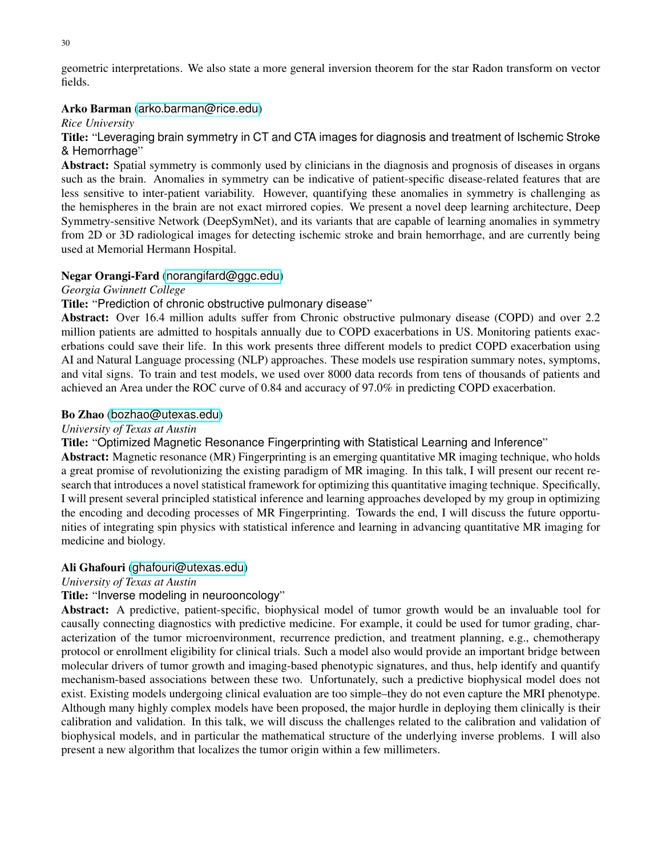geometric interpretations. We also state a more general inversion theorem for the star Radon transform on vector fields.

### Arko Barman ([arko.barman@rice.edu](mailto:arko.barman@rice.edu))

### *Rice University*

Title: "Leveraging brain symmetry in CT and CTA images for diagnosis and treatment of Ischemic Stroke & Hemorrhage"

Abstract: Spatial symmetry is commonly used by clinicians in the diagnosis and prognosis of diseases in organs such as the brain. Anomalies in symmetry can be indicative of patient-specific disease-related features that are less sensitive to inter-patient variability. However, quantifying these anomalies in symmetry is challenging as the hemispheres in the brain are not exact mirrored copies. We present a novel deep learning architecture, Deep Symmetry-sensitive Network (DeepSymNet), and its variants that are capable of learning anomalies in symmetry from 2D or 3D radiological images for detecting ischemic stroke and brain hemorrhage, and are currently being used at Memorial Hermann Hospital.

### Negar Orangi-Fard ([norangifard@ggc.edu](mailto:norangifard@ggc.edu))

### *Georgia Gwinnett College*

### Title: "Prediction of chronic obstructive pulmonary disease"

Abstract: Over 16.4 million adults suffer from Chronic obstructive pulmonary disease (COPD) and over 2.2 million patients are admitted to hospitals annually due to COPD exacerbations in US. Monitoring patients exacerbations could save their life. In this work presents three different models to predict COPD exacerbation using AI and Natural Language processing (NLP) approaches. These models use respiration summary notes, symptoms, and vital signs. To train and test models, we used over 8000 data records from tens of thousands of patients and achieved an Area under the ROC curve of 0.84 and accuracy of 97.0% in predicting COPD exacerbation.

### Bo Zhao ([bozhao@utexas.edu](mailto:bozhao@utexas.edu))

#### *University of Texas at Austin*

Title: "Optimized Magnetic Resonance Fingerprinting with Statistical Learning and Inference"

Abstract: Magnetic resonance (MR) Fingerprinting is an emerging quantitative MR imaging technique, who holds a great promise of revolutionizing the existing paradigm of MR imaging. In this talk, I will present our recent research that introduces a novel statistical framework for optimizing this quantitative imaging technique. Specifically, I will present several principled statistical inference and learning approaches developed by my group in optimizing the encoding and decoding processes of MR Fingerprinting. Towards the end, I will discuss the future opportunities of integrating spin physics with statistical inference and learning in advancing quantitative MR imaging for medicine and biology.

### Ali Ghafouri ([ghafouri@utexas.edu](mailto:ghafouri@utexas.edu))

#### *University of Texas at Austin*

### Title: "Inverse modeling in neurooncology"

Abstract: A predictive, patient-specific, biophysical model of tumor growth would be an invaluable tool for causally connecting diagnostics with predictive medicine. For example, it could be used for tumor grading, characterization of the tumor microenvironment, recurrence prediction, and treatment planning, e.g., chemotherapy protocol or enrollment eligibility for clinical trials. Such a model also would provide an important bridge between molecular drivers of tumor growth and imaging-based phenotypic signatures, and thus, help identify and quantify mechanism-based associations between these two. Unfortunately, such a predictive biophysical model does not exist. Existing models undergoing clinical evaluation are too simple–they do not even capture the MRI phenotype. Although many highly complex models have been proposed, the major hurdle in deploying them clinically is their calibration and validation. In this talk, we will discuss the challenges related to the calibration and validation of biophysical models, and in particular the mathematical structure of the underlying inverse problems. I will also present a new algorithm that localizes the tumor origin within a few millimeters.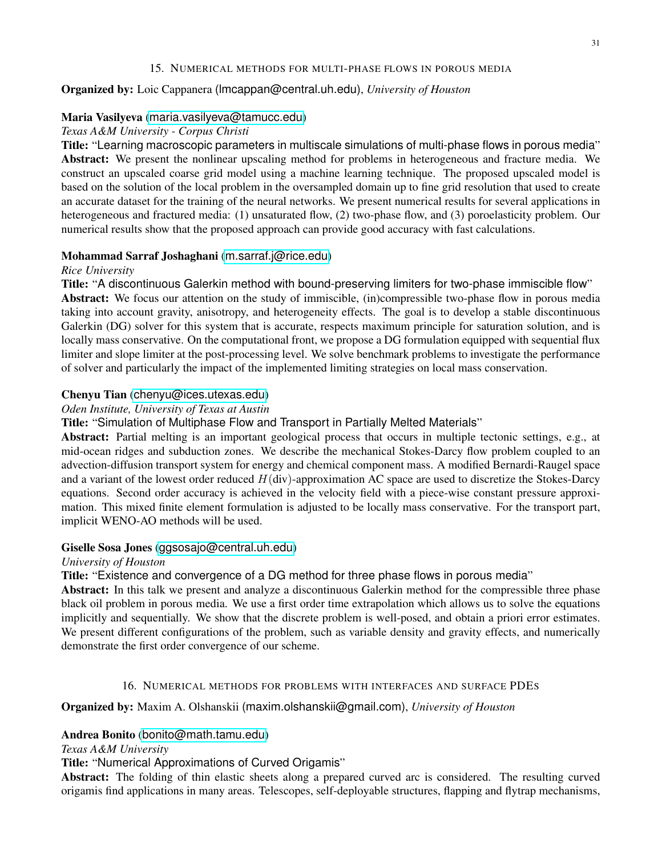### 15. NUMERICAL METHODS FOR MULTI-PHASE FLOWS IN POROUS MEDIA

### <span id="page-30-0"></span>Organized by: Loic Cappanera (lmcappan@central.uh.edu), *University of Houston*

### Maria Vasilyeva ([maria.vasilyeva@tamucc.edu](mailto:maria.vasilyeva@tamucc.edu))

### *Texas A&M University - Corpus Christi*

Title: "Learning macroscopic parameters in multiscale simulations of multi-phase flows in porous media" Abstract: We present the nonlinear upscaling method for problems in heterogeneous and fracture media. We construct an upscaled coarse grid model using a machine learning technique. The proposed upscaled model is based on the solution of the local problem in the oversampled domain up to fine grid resolution that used to create an accurate dataset for the training of the neural networks. We present numerical results for several applications in heterogeneous and fractured media: (1) unsaturated flow, (2) two-phase flow, and (3) poroelasticity problem. Our numerical results show that the proposed approach can provide good accuracy with fast calculations.

### Mohammad Sarraf Joshaghani ([m.sarraf.j@rice.edu](mailto:m.sarraf.j@rice.edu))

#### *Rice University*

Title: "A discontinuous Galerkin method with bound-preserving limiters for two-phase immiscible flow" Abstract: We focus our attention on the study of immiscible, (in)compressible two-phase flow in porous media taking into account gravity, anisotropy, and heterogeneity effects. The goal is to develop a stable discontinuous Galerkin (DG) solver for this system that is accurate, respects maximum principle for saturation solution, and is

locally mass conservative. On the computational front, we propose a DG formulation equipped with sequential flux limiter and slope limiter at the post-processing level. We solve benchmark problems to investigate the performance of solver and particularly the impact of the implemented limiting strategies on local mass conservation.

### Chenyu Tian ([chenyu@ices.utexas.edu](mailto:chenyu@ices.utexas.edu))

### *Oden Institute, University of Texas at Austin*

Title: "Simulation of Multiphase Flow and Transport in Partially Melted Materials"

Abstract: Partial melting is an important geological process that occurs in multiple tectonic settings, e.g., at mid-ocean ridges and subduction zones. We describe the mechanical Stokes-Darcy flow problem coupled to an advection-diffusion transport system for energy and chemical component mass. A modified Bernardi-Raugel space and a variant of the lowest order reduced  $H(div)$ -approximation AC space are used to discretize the Stokes-Darcy equations. Second order accuracy is achieved in the velocity field with a piece-wise constant pressure approximation. This mixed finite element formulation is adjusted to be locally mass conservative. For the transport part, implicit WENO-AO methods will be used.

### Giselle Sosa Jones ([ggsosajo@central.uh.edu](mailto:ggsosajo@central.uh.edu))

#### *University of Houston*

Title: "Existence and convergence of a DG method for three phase flows in porous media"

Abstract: In this talk we present and analyze a discontinuous Galerkin method for the compressible three phase black oil problem in porous media. We use a first order time extrapolation which allows us to solve the equations implicitly and sequentially. We show that the discrete problem is well-posed, and obtain a priori error estimates. We present different configurations of the problem, such as variable density and gravity effects, and numerically demonstrate the first order convergence of our scheme.

#### 16. NUMERICAL METHODS FOR PROBLEMS WITH INTERFACES AND SURFACE PDES

### <span id="page-30-1"></span>Organized by: Maxim A. Olshanskii (maxim.olshanskii@gmail.com), *University of Houston*

### Andrea Bonito ([bonito@math.tamu.edu](mailto:bonito@math.tamu.edu))

*Texas A&M University*

# Title: "Numerical Approximations of Curved Origamis"

Abstract: The folding of thin elastic sheets along a prepared curved arc is considered. The resulting curved origamis find applications in many areas. Telescopes, self-deployable structures, flapping and flytrap mechanisms,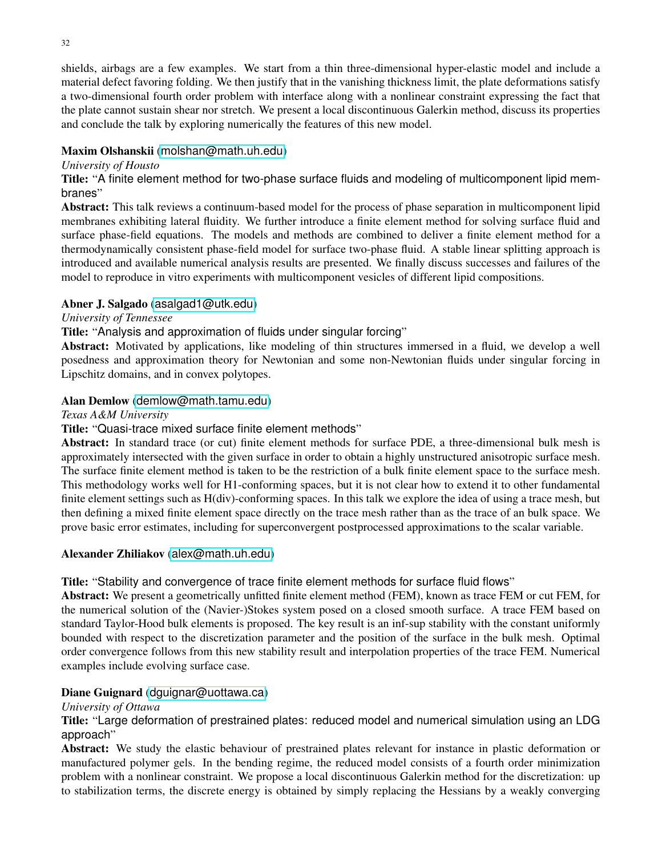shields, airbags are a few examples. We start from a thin three-dimensional hyper-elastic model and include a material defect favoring folding. We then justify that in the vanishing thickness limit, the plate deformations satisfy a two-dimensional fourth order problem with interface along with a nonlinear constraint expressing the fact that the plate cannot sustain shear nor stretch. We present a local discontinuous Galerkin method, discuss its properties and conclude the talk by exploring numerically the features of this new model.

# Maxim Olshanskii ([molshan@math.uh.edu](mailto:molshan@math.uh.edu))

### *University of Housto*

Title: "A finite element method for two-phase surface fluids and modeling of multicomponent lipid membranes"

Abstract: This talk reviews a continuum-based model for the process of phase separation in multicomponent lipid membranes exhibiting lateral fluidity. We further introduce a finite element method for solving surface fluid and surface phase-field equations. The models and methods are combined to deliver a finite element method for a thermodynamically consistent phase-field model for surface two-phase fluid. A stable linear splitting approach is introduced and available numerical analysis results are presented. We finally discuss successes and failures of the model to reproduce in vitro experiments with multicomponent vesicles of different lipid compositions.

# Abner J. Salgado ([asalgad1@utk.edu](mailto:asalgad1@utk.edu))

### *University of Tennessee*

Title: "Analysis and approximation of fluids under singular forcing"

Abstract: Motivated by applications, like modeling of thin structures immersed in a fluid, we develop a well posedness and approximation theory for Newtonian and some non-Newtonian fluids under singular forcing in Lipschitz domains, and in convex polytopes.

# Alan Demlow ([demlow@math.tamu.edu](mailto:demlow@math.tamu.edu))

### *Texas A&M University*

# Title: "Quasi-trace mixed surface finite element methods"

Abstract: In standard trace (or cut) finite element methods for surface PDE, a three-dimensional bulk mesh is approximately intersected with the given surface in order to obtain a highly unstructured anisotropic surface mesh. The surface finite element method is taken to be the restriction of a bulk finite element space to the surface mesh. This methodology works well for H1-conforming spaces, but it is not clear how to extend it to other fundamental finite element settings such as H(div)-conforming spaces. In this talk we explore the idea of using a trace mesh, but then defining a mixed finite element space directly on the trace mesh rather than as the trace of an bulk space. We prove basic error estimates, including for superconvergent postprocessed approximations to the scalar variable.

### Alexander Zhiliakov ([alex@math.uh.edu](mailto:alex@math.uh.edu))

### Title: "Stability and convergence of trace finite element methods for surface fluid flows"

Abstract: We present a geometrically unfitted finite element method (FEM), known as trace FEM or cut FEM, for the numerical solution of the (Navier-)Stokes system posed on a closed smooth surface. A trace FEM based on standard Taylor-Hood bulk elements is proposed. The key result is an inf-sup stability with the constant uniformly bounded with respect to the discretization parameter and the position of the surface in the bulk mesh. Optimal order convergence follows from this new stability result and interpolation properties of the trace FEM. Numerical examples include evolving surface case.

### Diane Guignard (dquignar@uottawa.ca)

# *University of Ottawa*

Title: "Large deformation of prestrained plates: reduced model and numerical simulation using an LDG approach"

Abstract: We study the elastic behaviour of prestrained plates relevant for instance in plastic deformation or manufactured polymer gels. In the bending regime, the reduced model consists of a fourth order minimization problem with a nonlinear constraint. We propose a local discontinuous Galerkin method for the discretization: up to stabilization terms, the discrete energy is obtained by simply replacing the Hessians by a weakly converging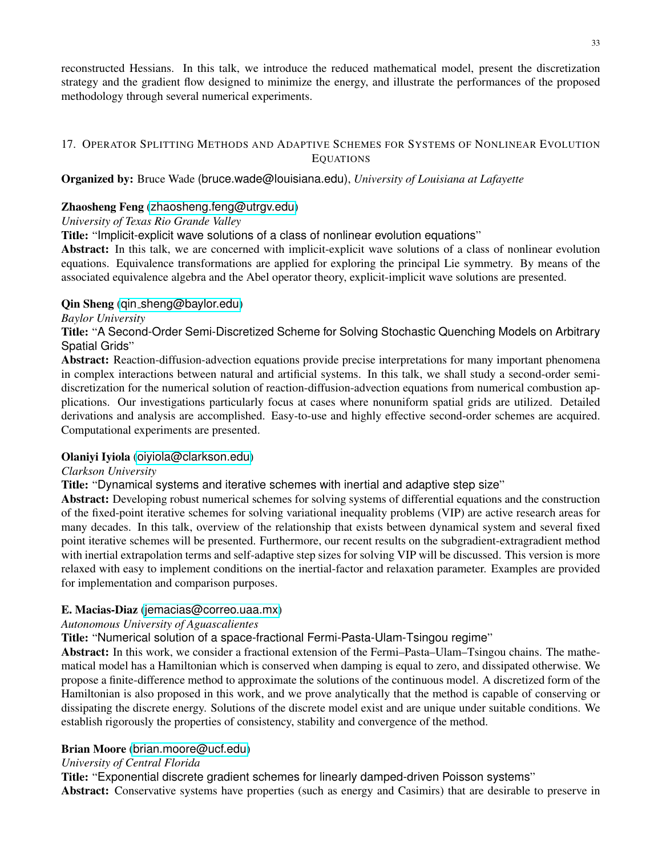reconstructed Hessians. In this talk, we introduce the reduced mathematical model, present the discretization strategy and the gradient flow designed to minimize the energy, and illustrate the performances of the proposed methodology through several numerical experiments.

# <span id="page-32-0"></span>17. OPERATOR SPLITTING METHODS AND ADAPTIVE SCHEMES FOR SYSTEMS OF NONLINEAR EVOLUTION EQUATIONS

# Organized by: Bruce Wade (bruce.wade@louisiana.edu), *University of Louisiana at Lafayette*

# Zhaosheng Feng ([zhaosheng.feng@utrgv.edu](mailto:zhaosheng.feng@utrgv.edu))

# *University of Texas Rio Grande Valley*

Title: "Implicit-explicit wave solutions of a class of nonlinear evolution equations"

Abstract: In this talk, we are concerned with implicit-explicit wave solutions of a class of nonlinear evolution equations. Equivalence transformations are applied for exploring the principal Lie symmetry. By means of the associated equivalence algebra and the Abel operator theory, explicit-implicit wave solutions are presented.

# Qin Sheng (qin [sheng@baylor.edu](mailto:qin_sheng@baylor.edu))

# *Baylor University*

Title: "A Second-Order Semi-Discretized Scheme for Solving Stochastic Quenching Models on Arbitrary Spatial Grids"

Abstract: Reaction-diffusion-advection equations provide precise interpretations for many important phenomena in complex interactions between natural and artificial systems. In this talk, we shall study a second-order semidiscretization for the numerical solution of reaction-diffusion-advection equations from numerical combustion applications. Our investigations particularly focus at cases where nonuniform spatial grids are utilized. Detailed derivations and analysis are accomplished. Easy-to-use and highly effective second-order schemes are acquired. Computational experiments are presented.

### Olaniyi Iyiola ([oiyiola@clarkson.edu](mailto:oiyiola@clarkson.edu))

### *Clarkson University*

Title: "Dynamical systems and iterative schemes with inertial and adaptive step size"

Abstract: Developing robust numerical schemes for solving systems of differential equations and the construction of the fixed-point iterative schemes for solving variational inequality problems (VIP) are active research areas for many decades. In this talk, overview of the relationship that exists between dynamical system and several fixed point iterative schemes will be presented. Furthermore, our recent results on the subgradient-extragradient method with inertial extrapolation terms and self-adaptive step sizes for solving VIP will be discussed. This version is more relaxed with easy to implement conditions on the inertial-factor and relaxation parameter. Examples are provided for implementation and comparison purposes.

# E. Macias-Diaz ([jemacias@correo.uaa.mx](mailto:jemacias@correo.uaa.mx))

### *Autonomous University of Aguascalientes*

Title: "Numerical solution of a space-fractional Fermi-Pasta-Ulam-Tsingou regime"

Abstract: In this work, we consider a fractional extension of the Fermi–Pasta–Ulam–Tsingou chains. The mathematical model has a Hamiltonian which is conserved when damping is equal to zero, and dissipated otherwise. We propose a finite-difference method to approximate the solutions of the continuous model. A discretized form of the Hamiltonian is also proposed in this work, and we prove analytically that the method is capable of conserving or dissipating the discrete energy. Solutions of the discrete model exist and are unique under suitable conditions. We establish rigorously the properties of consistency, stability and convergence of the method.

# Brian Moore ([brian.moore@ucf.edu](mailto:brian.moore@ucf.edu))

# *University of Central Florida*

Title: "Exponential discrete gradient schemes for linearly damped-driven Poisson systems"

Abstract: Conservative systems have properties (such as energy and Casimirs) that are desirable to preserve in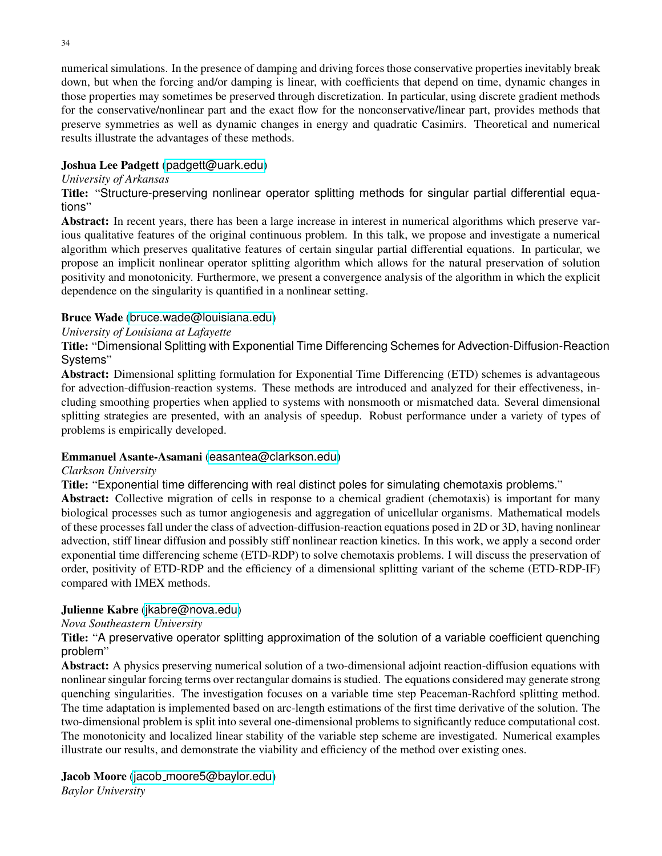numerical simulations. In the presence of damping and driving forces those conservative properties inevitably break down, but when the forcing and/or damping is linear, with coefficients that depend on time, dynamic changes in those properties may sometimes be preserved through discretization. In particular, using discrete gradient methods for the conservative/nonlinear part and the exact flow for the nonconservative/linear part, provides methods that preserve symmetries as well as dynamic changes in energy and quadratic Casimirs. Theoretical and numerical

# Joshua Lee Padgett ([padgett@uark.edu](mailto:padgett@uark.edu))

results illustrate the advantages of these methods.

### *University of Arkansas*

Title: "Structure-preserving nonlinear operator splitting methods for singular partial differential equations"

Abstract: In recent years, there has been a large increase in interest in numerical algorithms which preserve various qualitative features of the original continuous problem. In this talk, we propose and investigate a numerical algorithm which preserves qualitative features of certain singular partial differential equations. In particular, we propose an implicit nonlinear operator splitting algorithm which allows for the natural preservation of solution positivity and monotonicity. Furthermore, we present a convergence analysis of the algorithm in which the explicit dependence on the singularity is quantified in a nonlinear setting.

### Bruce Wade ([bruce.wade@louisiana.edu](mailto:bruce.wade@louisiana.edu))

### *University of Louisiana at Lafayette*

Title: "Dimensional Splitting with Exponential Time Differencing Schemes for Advection-Diffusion-Reaction Systems"

Abstract: Dimensional splitting formulation for Exponential Time Differencing (ETD) schemes is advantageous for advection-diffusion-reaction systems. These methods are introduced and analyzed for their effectiveness, including smoothing properties when applied to systems with nonsmooth or mismatched data. Several dimensional splitting strategies are presented, with an analysis of speedup. Robust performance under a variety of types of problems is empirically developed.

#### Emmanuel Asante-Asamani ([easantea@clarkson.edu](mailto:easantea@clarkson.edu))

#### *Clarkson University*

Title: "Exponential time differencing with real distinct poles for simulating chemotaxis problems."

Abstract: Collective migration of cells in response to a chemical gradient (chemotaxis) is important for many biological processes such as tumor angiogenesis and aggregation of unicellular organisms. Mathematical models of these processes fall under the class of advection-diffusion-reaction equations posed in 2D or 3D, having nonlinear advection, stiff linear diffusion and possibly stiff nonlinear reaction kinetics. In this work, we apply a second order exponential time differencing scheme (ETD-RDP) to solve chemotaxis problems. I will discuss the preservation of order, positivity of ETD-RDP and the efficiency of a dimensional splitting variant of the scheme (ETD-RDP-IF) compared with IMEX methods.

### Julienne Kabre ([jkabre@nova.edu](mailto:jkabre@nova.edu))

### *Nova Southeastern University*

Title: "A preservative operator splitting approximation of the solution of a variable coefficient quenching problem"

Abstract: A physics preserving numerical solution of a two-dimensional adjoint reaction-diffusion equations with nonlinear singular forcing terms over rectangular domains is studied. The equations considered may generate strong quenching singularities. The investigation focuses on a variable time step Peaceman-Rachford splitting method. The time adaptation is implemented based on arc-length estimations of the first time derivative of the solution. The two-dimensional problem is split into several one-dimensional problems to significantly reduce computational cost. The monotonicity and localized linear stability of the variable step scheme are investigated. Numerical examples illustrate our results, and demonstrate the viability and efficiency of the method over existing ones.

Jacob Moore (jacob [moore5@baylor.edu](mailto:jacob_moore5@baylor.edu)) *Baylor University*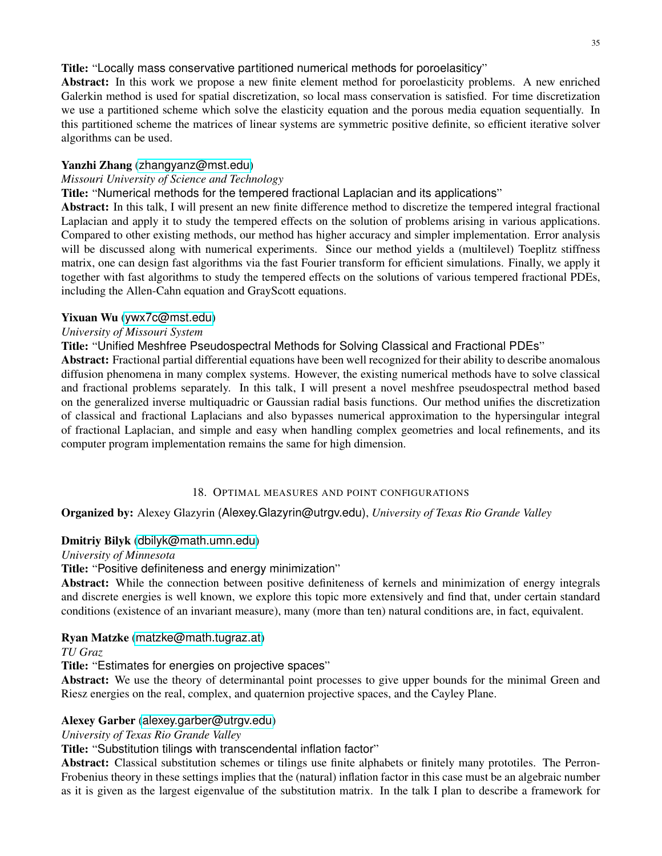Title: "Locally mass conservative partitioned numerical methods for poroelasiticy"

Abstract: In this work we propose a new finite element method for poroelasticity problems. A new enriched Galerkin method is used for spatial discretization, so local mass conservation is satisfied. For time discretization we use a partitioned scheme which solve the elasticity equation and the porous media equation sequentially. In this partitioned scheme the matrices of linear systems are symmetric positive definite, so efficient iterative solver algorithms can be used.

### Yanzhi Zhang ([zhangyanz@mst.edu](mailto:zhangyanz@mst.edu))

# *Missouri University of Science and Technology*

Title: "Numerical methods for the tempered fractional Laplacian and its applications"

Abstract: In this talk, I will present an new finite difference method to discretize the tempered integral fractional Laplacian and apply it to study the tempered effects on the solution of problems arising in various applications. Compared to other existing methods, our method has higher accuracy and simpler implementation. Error analysis will be discussed along with numerical experiments. Since our method yields a (multilevel) Toeplitz stiffness matrix, one can design fast algorithms via the fast Fourier transform for efficient simulations. Finally, we apply it together with fast algorithms to study the tempered effects on the solutions of various tempered fractional PDEs, including the Allen-Cahn equation and GrayScott equations.

# Yixuan Wu ([ywx7c@mst.edu](mailto:ywx7c@mst.edu))

# *University of Missouri System*

Title: "Unified Meshfree Pseudospectral Methods for Solving Classical and Fractional PDEs"

Abstract: Fractional partial differential equations have been well recognized for their ability to describe anomalous diffusion phenomena in many complex systems. However, the existing numerical methods have to solve classical and fractional problems separately. In this talk, I will present a novel meshfree pseudospectral method based on the generalized inverse multiquadric or Gaussian radial basis functions. Our method unifies the discretization of classical and fractional Laplacians and also bypasses numerical approximation to the hypersingular integral of fractional Laplacian, and simple and easy when handling complex geometries and local refinements, and its computer program implementation remains the same for high dimension.

### 18. OPTIMAL MEASURES AND POINT CONFIGURATIONS

<span id="page-34-0"></span>Organized by: Alexey Glazyrin (Alexey.Glazyrin@utrgv.edu), *University of Texas Rio Grande Valley*

# Dmitriy Bilyk ([dbilyk@math.umn.edu](mailto:dbilyk@math.umn.edu))

*University of Minnesota*

### Title: "Positive definiteness and energy minimization"

Abstract: While the connection between positive definiteness of kernels and minimization of energy integrals and discrete energies is well known, we explore this topic more extensively and find that, under certain standard conditions (existence of an invariant measure), many (more than ten) natural conditions are, in fact, equivalent.

### Ryan Matzke ([matzke@math.tugraz.at](mailto:matzke@math.tugraz.at))

*TU Graz*

Title: "Estimates for energies on projective spaces"

Abstract: We use the theory of determinantal point processes to give upper bounds for the minimal Green and Riesz energies on the real, complex, and quaternion projective spaces, and the Cayley Plane.

# Alexey Garber ([alexey.garber@utrgv.edu](mailto:alexey.garber@utrgv.edu))

*University of Texas Rio Grande Valley*

Title: "Substitution tilings with transcendental inflation factor"

Abstract: Classical substitution schemes or tilings use finite alphabets or finitely many prototiles. The Perron-Frobenius theory in these settings implies that the (natural) inflation factor in this case must be an algebraic number as it is given as the largest eigenvalue of the substitution matrix. In the talk I plan to describe a framework for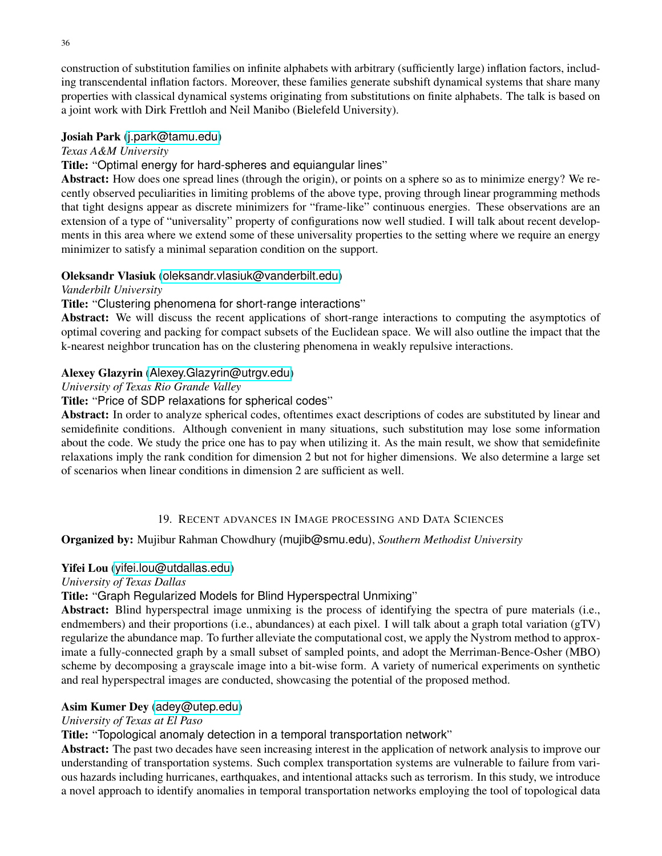36

construction of substitution families on infinite alphabets with arbitrary (sufficiently large) inflation factors, including transcendental inflation factors. Moreover, these families generate subshift dynamical systems that share many properties with classical dynamical systems originating from substitutions on finite alphabets. The talk is based on a joint work with Dirk Frettloh and Neil Manibo (Bielefeld University).

# Josiah Park ([j.park@tamu.edu](mailto:j.park@tamu.edu))

*Texas A&M University*

# Title: "Optimal energy for hard-spheres and equiangular lines"

Abstract: How does one spread lines (through the origin), or points on a sphere so as to minimize energy? We recently observed peculiarities in limiting problems of the above type, proving through linear programming methods that tight designs appear as discrete minimizers for "frame-like" continuous energies. These observations are an extension of a type of "universality" property of configurations now well studied. I will talk about recent developments in this area where we extend some of these universality properties to the setting where we require an energy minimizer to satisfy a minimal separation condition on the support.

# Oleksandr Vlasiuk ([oleksandr.vlasiuk@vanderbilt.edu](mailto:oleksandr.vlasiuk@vanderbilt.edu))

*Vanderbilt University*

# Title: "Clustering phenomena for short-range interactions"

Abstract: We will discuss the recent applications of short-range interactions to computing the asymptotics of optimal covering and packing for compact subsets of the Euclidean space. We will also outline the impact that the k-nearest neighbor truncation has on the clustering phenomena in weakly repulsive interactions.

# Alexey Glazyrin ([Alexey.Glazyrin@utrgv.edu](mailto:Alexey.Glazyrin@utrgv.edu))

*University of Texas Rio Grande Valley*

Title: "Price of SDP relaxations for spherical codes"

Abstract: In order to analyze spherical codes, oftentimes exact descriptions of codes are substituted by linear and semidefinite conditions. Although convenient in many situations, such substitution may lose some information about the code. We study the price one has to pay when utilizing it. As the main result, we show that semidefinite relaxations imply the rank condition for dimension 2 but not for higher dimensions. We also determine a large set of scenarios when linear conditions in dimension 2 are sufficient as well.

# 19. RECENT ADVANCES IN IMAGE PROCESSING AND DATA SCIENCES

# <span id="page-35-0"></span>Organized by: Mujibur Rahman Chowdhury (mujib@smu.edu), *Southern Methodist University*

# Yifei Lou ([yifei.lou@utdallas.edu](mailto:yifei.lou@utdallas.edu))

*University of Texas Dallas*

# Title: "Graph Regularized Models for Blind Hyperspectral Unmixing"

Abstract: Blind hyperspectral image unmixing is the process of identifying the spectra of pure materials (i.e., endmembers) and their proportions (i.e., abundances) at each pixel. I will talk about a graph total variation (gTV) regularize the abundance map. To further alleviate the computational cost, we apply the Nystrom method to approximate a fully-connected graph by a small subset of sampled points, and adopt the Merriman-Bence-Osher (MBO) scheme by decomposing a grayscale image into a bit-wise form. A variety of numerical experiments on synthetic and real hyperspectral images are conducted, showcasing the potential of the proposed method.

# Asim Kumer Dey ([adey@utep.edu](mailto:adey@utep.edu))

# *University of Texas at El Paso*

Title: "Topological anomaly detection in a temporal transportation network"

Abstract: The past two decades have seen increasing interest in the application of network analysis to improve our understanding of transportation systems. Such complex transportation systems are vulnerable to failure from various hazards including hurricanes, earthquakes, and intentional attacks such as terrorism. In this study, we introduce a novel approach to identify anomalies in temporal transportation networks employing the tool of topological data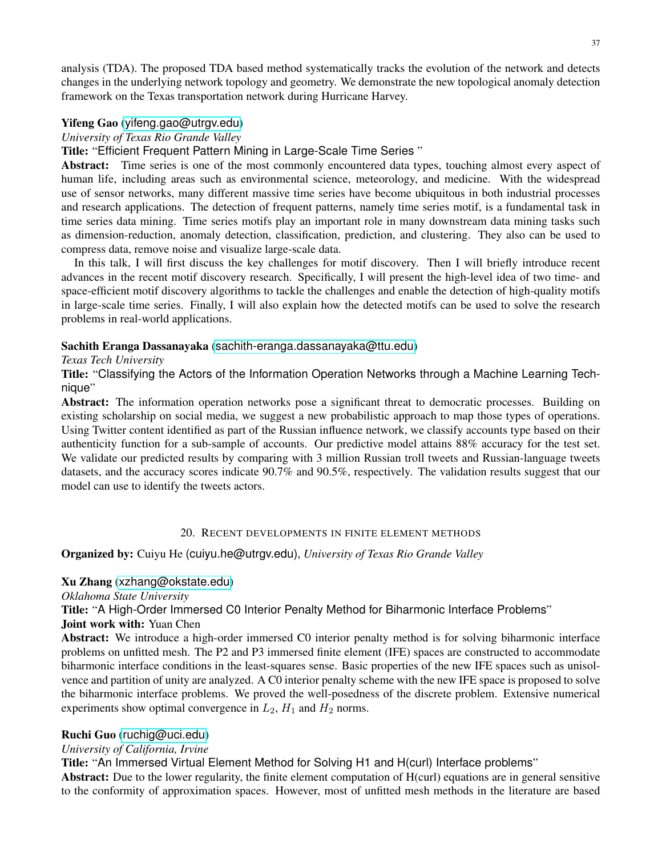analysis (TDA). The proposed TDA based method systematically tracks the evolution of the network and detects changes in the underlying network topology and geometry. We demonstrate the new topological anomaly detection framework on the Texas transportation network during Hurricane Harvey.

#### Yifeng Gao ([yifeng.gao@utrgv.edu](mailto:yifeng.gao@utrgv.edu))

*University of Texas Rio Grande Valley*

Title: "Efficient Frequent Pattern Mining in Large-Scale Time Series "

Abstract: Time series is one of the most commonly encountered data types, touching almost every aspect of human life, including areas such as environmental science, meteorology, and medicine. With the widespread use of sensor networks, many different massive time series have become ubiquitous in both industrial processes and research applications. The detection of frequent patterns, namely time series motif, is a fundamental task in time series data mining. Time series motifs play an important role in many downstream data mining tasks such as dimension-reduction, anomaly detection, classification, prediction, and clustering. They also can be used to compress data, remove noise and visualize large-scale data.

In this talk, I will first discuss the key challenges for motif discovery. Then I will briefly introduce recent advances in the recent motif discovery research. Specifically, I will present the high-level idea of two time- and space-efficient motif discovery algorithms to tackle the challenges and enable the detection of high-quality motifs in large-scale time series. Finally, I will also explain how the detected motifs can be used to solve the research problems in real-world applications.

### Sachith Eranga Dassanayaka ([sachith-eranga.dassanayaka@ttu.edu](mailto:sachith-eranga.dassanayaka@ttu.edu))

#### *Texas Tech University*

Title: "Classifying the Actors of the Information Operation Networks through a Machine Learning Technique"

Abstract: The information operation networks pose a significant threat to democratic processes. Building on existing scholarship on social media, we suggest a new probabilistic approach to map those types of operations. Using Twitter content identified as part of the Russian influence network, we classify accounts type based on their authenticity function for a sub-sample of accounts. Our predictive model attains 88% accuracy for the test set. We validate our predicted results by comparing with 3 million Russian troll tweets and Russian-language tweets datasets, and the accuracy scores indicate 90.7% and 90.5%, respectively. The validation results suggest that our model can use to identify the tweets actors.

#### 20. RECENT DEVELOPMENTS IN FINITE ELEMENT METHODS

<span id="page-36-0"></span>Organized by: Cuiyu He (cuiyu.he@utrgv.edu), *University of Texas Rio Grande Valley*

#### Xu Zhang ([xzhang@okstate.edu](mailto:xzhang@okstate.edu))

*Oklahoma State University*

Title: "A High-Order Immersed C0 Interior Penalty Method for Biharmonic Interface Problems"

#### Joint work with: Yuan Chen

Abstract: We introduce a high-order immersed C0 interior penalty method is for solving biharmonic interface problems on unfitted mesh. The P2 and P3 immersed finite element (IFE) spaces are constructed to accommodate biharmonic interface conditions in the least-squares sense. Basic properties of the new IFE spaces such as unisolvence and partition of unity are analyzed. A C0 interior penalty scheme with the new IFE space is proposed to solve the biharmonic interface problems. We proved the well-posedness of the discrete problem. Extensive numerical experiments show optimal convergence in  $L_2$ ,  $H_1$  and  $H_2$  norms.

### Ruchi Guo ([ruchig@uci.edu](mailto:ruchig@uci.edu))

### *University of California, Irvine*

Title: "An Immersed Virtual Element Method for Solving H1 and H(curl) Interface problems"

Abstract: Due to the lower regularity, the finite element computation of H(curl) equations are in general sensitive to the conformity of approximation spaces. However, most of unfitted mesh methods in the literature are based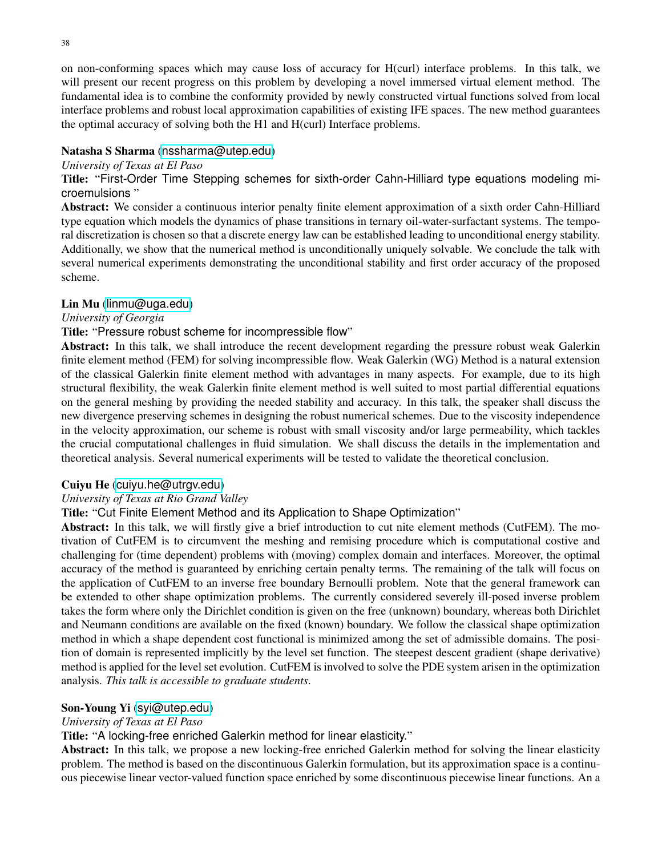on non-conforming spaces which may cause loss of accuracy for H(curl) interface problems. In this talk, we will present our recent progress on this problem by developing a novel immersed virtual element method. The

fundamental idea is to combine the conformity provided by newly constructed virtual functions solved from local interface problems and robust local approximation capabilities of existing IFE spaces. The new method guarantees the optimal accuracy of solving both the H1 and H(curl) Interface problems.

# Natasha S Sharma ([nssharma@utep.edu](mailto:nssharma@utep.edu))

# *University of Texas at El Paso*

Title: "First-Order Time Stepping schemes for sixth-order Cahn-Hilliard type equations modeling microemulsions "

Abstract: We consider a continuous interior penalty finite element approximation of a sixth order Cahn-Hilliard type equation which models the dynamics of phase transitions in ternary oil-water-surfactant systems. The temporal discretization is chosen so that a discrete energy law can be established leading to unconditional energy stability. Additionally, we show that the numerical method is unconditionally uniquely solvable. We conclude the talk with several numerical experiments demonstrating the unconditional stability and first order accuracy of the proposed scheme.

# Lin Mu ([linmu@uga.edu](mailto:linmu@uga.edu))

# *University of Georgia*

# Title: "Pressure robust scheme for incompressible flow"

Abstract: In this talk, we shall introduce the recent development regarding the pressure robust weak Galerkin finite element method (FEM) for solving incompressible flow. Weak Galerkin (WG) Method is a natural extension of the classical Galerkin finite element method with advantages in many aspects. For example, due to its high structural flexibility, the weak Galerkin finite element method is well suited to most partial differential equations on the general meshing by providing the needed stability and accuracy. In this talk, the speaker shall discuss the new divergence preserving schemes in designing the robust numerical schemes. Due to the viscosity independence in the velocity approximation, our scheme is robust with small viscosity and/or large permeability, which tackles the crucial computational challenges in fluid simulation. We shall discuss the details in the implementation and theoretical analysis. Several numerical experiments will be tested to validate the theoretical conclusion.

# Cuiyu He ([cuiyu.he@utrgv.edu](mailto:cuiyu.he@utrgv.edu))

# *University of Texas at Rio Grand Valley*

# Title: "Cut Finite Element Method and its Application to Shape Optimization"

Abstract: In this talk, we will firstly give a brief introduction to cut nite element methods (CutFEM). The motivation of CutFEM is to circumvent the meshing and remising procedure which is computational costive and challenging for (time dependent) problems with (moving) complex domain and interfaces. Moreover, the optimal accuracy of the method is guaranteed by enriching certain penalty terms. The remaining of the talk will focus on the application of CutFEM to an inverse free boundary Bernoulli problem. Note that the general framework can be extended to other shape optimization problems. The currently considered severely ill-posed inverse problem takes the form where only the Dirichlet condition is given on the free (unknown) boundary, whereas both Dirichlet and Neumann conditions are available on the fixed (known) boundary. We follow the classical shape optimization method in which a shape dependent cost functional is minimized among the set of admissible domains. The position of domain is represented implicitly by the level set function. The steepest descent gradient (shape derivative) method is applied for the level set evolution. CutFEM is involved to solve the PDE system arisen in the optimization analysis. *This talk is accessible to graduate students*.

# Son-Young Yi ([syi@utep.edu](mailto:syi@utep.edu))

# *University of Texas at El Paso*

Title: "A locking-free enriched Galerkin method for linear elasticity."

Abstract: In this talk, we propose a new locking-free enriched Galerkin method for solving the linear elasticity problem. The method is based on the discontinuous Galerkin formulation, but its approximation space is a continuous piecewise linear vector-valued function space enriched by some discontinuous piecewise linear functions. An a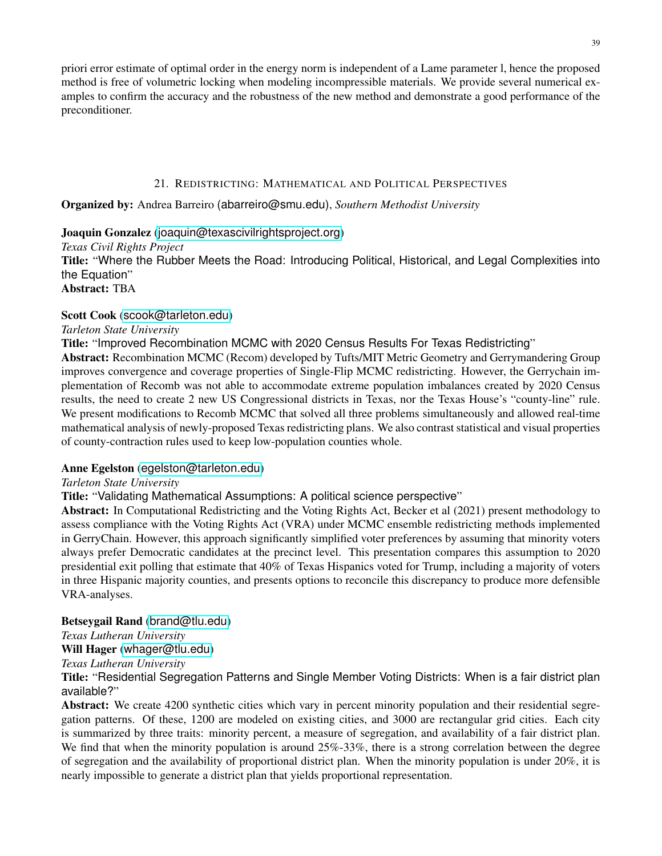priori error estimate of optimal order in the energy norm is independent of a Lame parameter l, hence the proposed method is free of volumetric locking when modeling incompressible materials. We provide several numerical examples to confirm the accuracy and the robustness of the new method and demonstrate a good performance of the preconditioner.

### 21. REDISTRICTING: MATHEMATICAL AND POLITICAL PERSPECTIVES

<span id="page-38-0"></span>Organized by: Andrea Barreiro (abarreiro@smu.edu), *Southern Methodist University*

# Joaquin Gonzalez ([joaquin@texascivilrightsproject.org](mailto:joaquin@texascivilrightsproject.org))

*Texas Civil Rights Project* Title: "Where the Rubber Meets the Road: Introducing Political, Historical, and Legal Complexities into the Equation" Abstract: TBA

# Scott Cook ([scook@tarleton.edu](mailto:scook@tarleton.edu))

### *Tarleton State University*

Title: "Improved Recombination MCMC with 2020 Census Results For Texas Redistricting"

Abstract: Recombination MCMC (Recom) developed by Tufts/MIT Metric Geometry and Gerrymandering Group improves convergence and coverage properties of Single-Flip MCMC redistricting. However, the Gerrychain implementation of Recomb was not able to accommodate extreme population imbalances created by 2020 Census results, the need to create 2 new US Congressional districts in Texas, nor the Texas House's "county-line" rule. We present modifications to Recomb MCMC that solved all three problems simultaneously and allowed real-time mathematical analysis of newly-proposed Texas redistricting plans. We also contrast statistical and visual properties of county-contraction rules used to keep low-population counties whole.

### Anne Egelston ([egelston@tarleton.edu](mailto:egelston@tarleton.edu))

### *Tarleton State University*

Title: "Validating Mathematical Assumptions: A political science perspective"

Abstract: In Computational Redistricting and the Voting Rights Act, Becker et al (2021) present methodology to assess compliance with the Voting Rights Act (VRA) under MCMC ensemble redistricting methods implemented in GerryChain. However, this approach significantly simplified voter preferences by assuming that minority voters always prefer Democratic candidates at the precinct level. This presentation compares this assumption to 2020 presidential exit polling that estimate that 40% of Texas Hispanics voted for Trump, including a majority of voters in three Hispanic majority counties, and presents options to reconcile this discrepancy to produce more defensible VRA-analyses.

### Betseygail Rand ([brand@tlu.edu](mailto:brand@tlu.edu))

*Texas Lutheran University*

Will Hager ([whager@tlu.edu](mailto:whager@tlu.edu))

*Texas Lutheran University*

Title: "Residential Segregation Patterns and Single Member Voting Districts: When is a fair district plan available?"

Abstract: We create 4200 synthetic cities which vary in percent minority population and their residential segregation patterns. Of these, 1200 are modeled on existing cities, and 3000 are rectangular grid cities. Each city is summarized by three traits: minority percent, a measure of segregation, and availability of a fair district plan. We find that when the minority population is around  $25\% - 33\%$ , there is a strong correlation between the degree of segregation and the availability of proportional district plan. When the minority population is under 20%, it is nearly impossible to generate a district plan that yields proportional representation.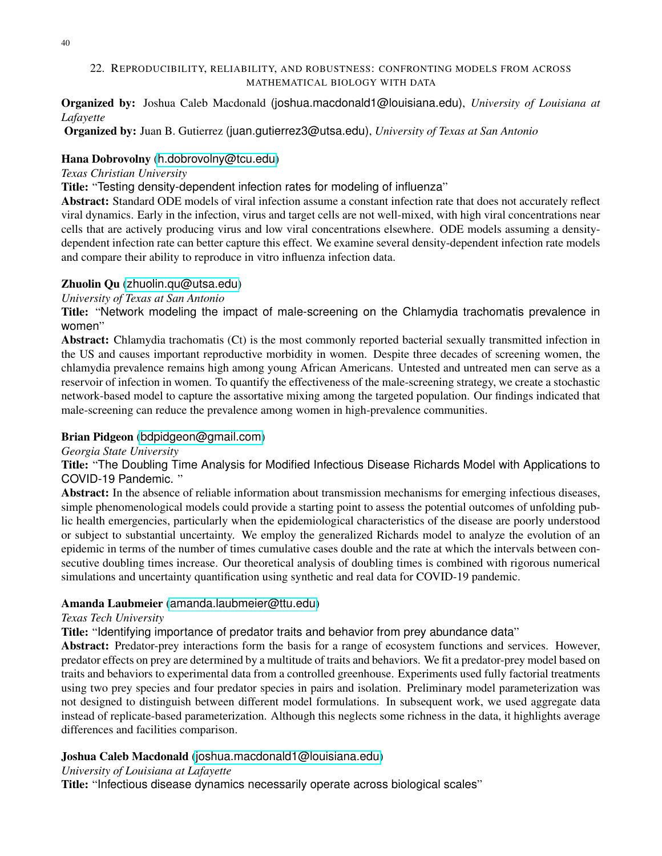### <span id="page-39-0"></span>22. REPRODUCIBILITY, RELIABILITY, AND ROBUSTNESS: CONFRONTING MODELS FROM ACROSS MATHEMATICAL BIOLOGY WITH DATA

Organized by: Joshua Caleb Macdonald (joshua.macdonald1@louisiana.edu), *University of Louisiana at Lafayette*

Organized by: Juan B. Gutierrez (juan.gutierrez3@utsa.edu), *University of Texas at San Antonio*

# Hana Dobrovolny ([h.dobrovolny@tcu.edu](mailto:h.dobrovolny@tcu.edu))

*Texas Christian University*

Title: "Testing density-dependent infection rates for modeling of influenza"

Abstract: Standard ODE models of viral infection assume a constant infection rate that does not accurately reflect viral dynamics. Early in the infection, virus and target cells are not well-mixed, with high viral concentrations near cells that are actively producing virus and low viral concentrations elsewhere. ODE models assuming a densitydependent infection rate can better capture this effect. We examine several density-dependent infection rate models and compare their ability to reproduce in vitro influenza infection data.

### Zhuolin Qu ([zhuolin.qu@utsa.edu](mailto:zhuolin.qu@utsa.edu))

*University of Texas at San Antonio*

Title: "Network modeling the impact of male-screening on the Chlamydia trachomatis prevalence in women"

Abstract: Chlamydia trachomatis (Ct) is the most commonly reported bacterial sexually transmitted infection in the US and causes important reproductive morbidity in women. Despite three decades of screening women, the chlamydia prevalence remains high among young African Americans. Untested and untreated men can serve as a reservoir of infection in women. To quantify the effectiveness of the male-screening strategy, we create a stochastic network-based model to capture the assortative mixing among the targeted population. Our findings indicated that male-screening can reduce the prevalence among women in high-prevalence communities.

# Brian Pidgeon ([bdpidgeon@gmail.com](mailto:bdpidgeon@gmail.com))

*Georgia State University*

Title: "The Doubling Time Analysis for Modified Infectious Disease Richards Model with Applications to COVID-19 Pandemic. "

Abstract: In the absence of reliable information about transmission mechanisms for emerging infectious diseases, simple phenomenological models could provide a starting point to assess the potential outcomes of unfolding public health emergencies, particularly when the epidemiological characteristics of the disease are poorly understood or subject to substantial uncertainty. We employ the generalized Richards model to analyze the evolution of an epidemic in terms of the number of times cumulative cases double and the rate at which the intervals between consecutive doubling times increase. Our theoretical analysis of doubling times is combined with rigorous numerical simulations and uncertainty quantification using synthetic and real data for COVID-19 pandemic.

### Amanda Laubmeier ([amanda.laubmeier@ttu.edu](mailto:amanda.laubmeier@ttu.edu))

### *Texas Tech University*

Title: "Identifying importance of predator traits and behavior from prey abundance data"

Abstract: Predator-prey interactions form the basis for a range of ecosystem functions and services. However, predator effects on prey are determined by a multitude of traits and behaviors. We fit a predator-prey model based on traits and behaviors to experimental data from a controlled greenhouse. Experiments used fully factorial treatments using two prey species and four predator species in pairs and isolation. Preliminary model parameterization was not designed to distinguish between different model formulations. In subsequent work, we used aggregate data instead of replicate-based parameterization. Although this neglects some richness in the data, it highlights average differences and facilities comparison.

# Joshua Caleb Macdonald ([joshua.macdonald1@louisiana.edu](mailto:joshua.macdonald1@louisiana.edu))

### *University of Louisiana at Lafayette*

Title: "Infectious disease dynamics necessarily operate across biological scales"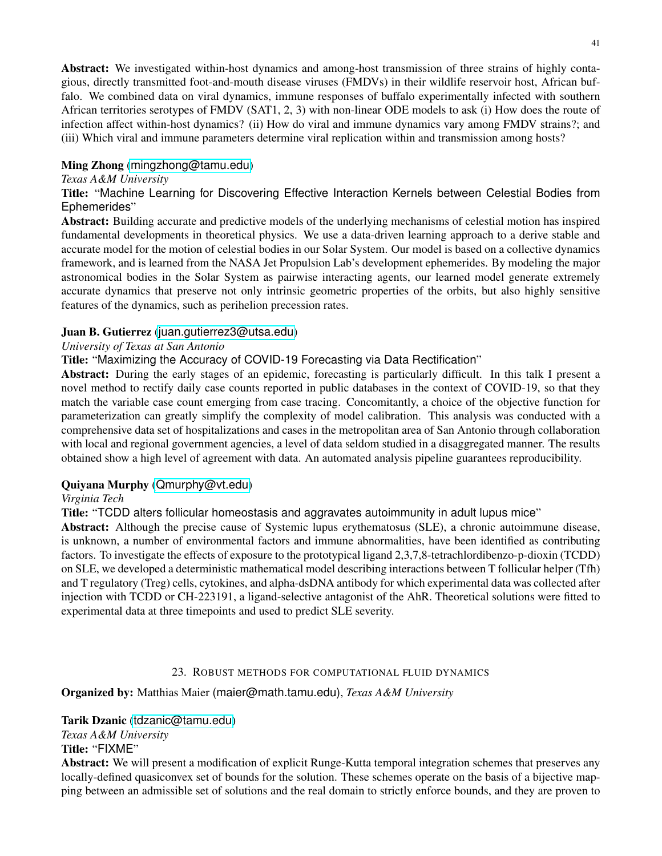Abstract: We investigated within-host dynamics and among-host transmission of three strains of highly contagious, directly transmitted foot-and-mouth disease viruses (FMDVs) in their wildlife reservoir host, African buffalo. We combined data on viral dynamics, immune responses of buffalo experimentally infected with southern African territories serotypes of FMDV (SAT1, 2, 3) with non-linear ODE models to ask (i) How does the route of infection affect within-host dynamics? (ii) How do viral and immune dynamics vary among FMDV strains?; and (iii) Which viral and immune parameters determine viral replication within and transmission among hosts?

### Ming Zhong ([mingzhong@tamu.edu](mailto:mingzhong@tamu.edu))

#### *Texas A&M University*

Title: "Machine Learning for Discovering Effective Interaction Kernels between Celestial Bodies from Ephemerides"

Abstract: Building accurate and predictive models of the underlying mechanisms of celestial motion has inspired fundamental developments in theoretical physics. We use a data-driven learning approach to a derive stable and accurate model for the motion of celestial bodies in our Solar System. Our model is based on a collective dynamics framework, and is learned from the NASA Jet Propulsion Lab's development ephemerides. By modeling the major astronomical bodies in the Solar System as pairwise interacting agents, our learned model generate extremely accurate dynamics that preserve not only intrinsic geometric properties of the orbits, but also highly sensitive features of the dynamics, such as perihelion precession rates.

#### Juan B. Gutierrez ([juan.gutierrez3@utsa.edu](mailto:juan.gutierrez3@utsa.edu))

### *University of Texas at San Antonio*

Title: "Maximizing the Accuracy of COVID-19 Forecasting via Data Rectification"

Abstract: During the early stages of an epidemic, forecasting is particularly difficult. In this talk I present a novel method to rectify daily case counts reported in public databases in the context of COVID-19, so that they match the variable case count emerging from case tracing. Concomitantly, a choice of the objective function for parameterization can greatly simplify the complexity of model calibration. This analysis was conducted with a comprehensive data set of hospitalizations and cases in the metropolitan area of San Antonio through collaboration with local and regional government agencies, a level of data seldom studied in a disaggregated manner. The results obtained show a high level of agreement with data. An automated analysis pipeline guarantees reproducibility.

### Quiyana Murphy ([Qmurphy@vt.edu](mailto:Qmurphy@vt.edu))

### *Virginia Tech*

Title: "TCDD alters follicular homeostasis and aggravates autoimmunity in adult lupus mice"

Abstract: Although the precise cause of Systemic lupus erythematosus (SLE), a chronic autoimmune disease, is unknown, a number of environmental factors and immune abnormalities, have been identified as contributing factors. To investigate the effects of exposure to the prototypical ligand 2,3,7,8-tetrachlordibenzo-p-dioxin (TCDD) on SLE, we developed a deterministic mathematical model describing interactions between T follicular helper (Tfh) and T regulatory (Treg) cells, cytokines, and alpha-dsDNA antibody for which experimental data was collected after injection with TCDD or CH-223191, a ligand-selective antagonist of the AhR. Theoretical solutions were fitted to experimental data at three timepoints and used to predict SLE severity.

### 23. ROBUST METHODS FOR COMPUTATIONAL FLUID DYNAMICS

<span id="page-40-0"></span>Organized by: Matthias Maier (maier@math.tamu.edu), *Texas A&M University*

#### Tarik Dzanic ([tdzanic@tamu.edu](mailto:tdzanic@tamu.edu))

*Texas A&M University*

Title: "FIXME"

Abstract: We will present a modification of explicit Runge-Kutta temporal integration schemes that preserves any locally-defined quasiconvex set of bounds for the solution. These schemes operate on the basis of a bijective mapping between an admissible set of solutions and the real domain to strictly enforce bounds, and they are proven to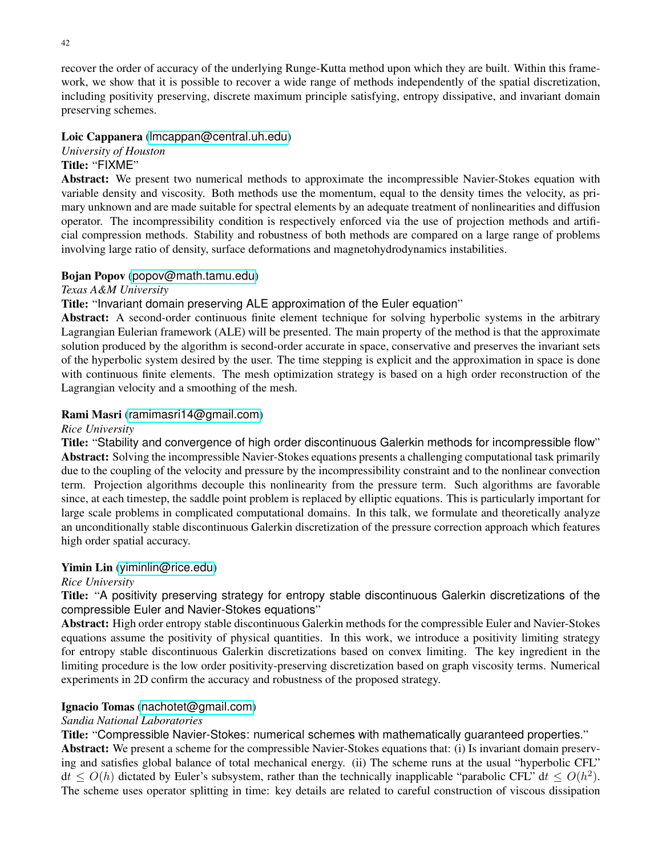recover the order of accuracy of the underlying Runge-Kutta method upon which they are built. Within this framework, we show that it is possible to recover a wide range of methods independently of the spatial discretization, including positivity preserving, discrete maximum principle satisfying, entropy dissipative, and invariant domain preserving schemes.

# Loic Cappanera ([lmcappan@central.uh.edu](mailto:lmcappan@central.uh.edu))

*University of Houston*

# Title: "FIXME"

Abstract: We present two numerical methods to approximate the incompressible Navier-Stokes equation with variable density and viscosity. Both methods use the momentum, equal to the density times the velocity, as primary unknown and are made suitable for spectral elements by an adequate treatment of nonlinearities and diffusion operator. The incompressibility condition is respectively enforced via the use of projection methods and artificial compression methods. Stability and robustness of both methods are compared on a large range of problems involving large ratio of density, surface deformations and magnetohydrodynamics instabilities.

### Bojan Popov ([popov@math.tamu.edu](mailto:popov@math.tamu.edu))

*Texas A&M University*

### Title: "Invariant domain preserving ALE approximation of the Euler equation"

Abstract: A second-order continuous finite element technique for solving hyperbolic systems in the arbitrary Lagrangian Eulerian framework (ALE) will be presented. The main property of the method is that the approximate solution produced by the algorithm is second-order accurate in space, conservative and preserves the invariant sets of the hyperbolic system desired by the user. The time stepping is explicit and the approximation in space is done with continuous finite elements. The mesh optimization strategy is based on a high order reconstruction of the Lagrangian velocity and a smoothing of the mesh.

### Rami Masri ([ramimasri14@gmail.com](mailto:ramimasri14@gmail.com))

### *Rice University*

Title: "Stability and convergence of high order discontinuous Galerkin methods for incompressible flow" Abstract: Solving the incompressible Navier-Stokes equations presents a challenging computational task primarily due to the coupling of the velocity and pressure by the incompressibility constraint and to the nonlinear convection term. Projection algorithms decouple this nonlinearity from the pressure term. Such algorithms are favorable since, at each timestep, the saddle point problem is replaced by elliptic equations. This is particularly important for large scale problems in complicated computational domains. In this talk, we formulate and theoretically analyze an unconditionally stable discontinuous Galerkin discretization of the pressure correction approach which features high order spatial accuracy.

### Yimin Lin ([yiminlin@rice.edu](mailto:yiminlin@rice.edu))

### *Rice University*

Title: "A positivity preserving strategy for entropy stable discontinuous Galerkin discretizations of the compressible Euler and Navier-Stokes equations"

Abstract: High order entropy stable discontinuous Galerkin methods for the compressible Euler and Navier-Stokes equations assume the positivity of physical quantities. In this work, we introduce a positivity limiting strategy for entropy stable discontinuous Galerkin discretizations based on convex limiting. The key ingredient in the limiting procedure is the low order positivity-preserving discretization based on graph viscosity terms. Numerical experiments in 2D confirm the accuracy and robustness of the proposed strategy.

### Ignacio Tomas ([nachotet@gmail.com](mailto:nachotet@gmail.com))

### *Sandia National Laboratories*

Title: "Compressible Navier-Stokes: numerical schemes with mathematically guaranteed properties."

Abstract: We present a scheme for the compressible Navier-Stokes equations that: (i) Is invariant domain preserving and satisfies global balance of total mechanical energy. (ii) The scheme runs at the usual "hyperbolic CFL"  $dt \le O(h)$  dictated by Euler's subsystem, rather than the technically inapplicable "parabolic CFL"  $dt \le O(h^2)$ . The scheme uses operator splitting in time: key details are related to careful construction of viscous dissipation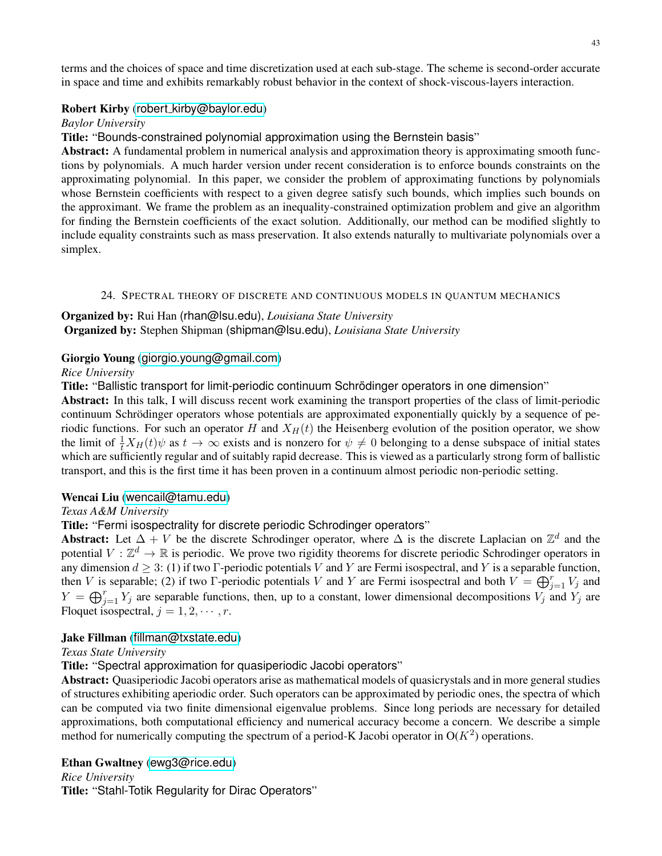terms and the choices of space and time discretization used at each sub-stage. The scheme is second-order accurate in space and time and exhibits remarkably robust behavior in the context of shock-viscous-layers interaction.

# Robert Kirby (robert [kirby@baylor.edu](mailto:robert_kirby@baylor.edu))

*Baylor University*

Title: "Bounds-constrained polynomial approximation using the Bernstein basis"

Abstract: A fundamental problem in numerical analysis and approximation theory is approximating smooth functions by polynomials. A much harder version under recent consideration is to enforce bounds constraints on the approximating polynomial. In this paper, we consider the problem of approximating functions by polynomials whose Bernstein coefficients with respect to a given degree satisfy such bounds, which implies such bounds on the approximant. We frame the problem as an inequality-constrained optimization problem and give an algorithm for finding the Bernstein coefficients of the exact solution. Additionally, our method can be modified slightly to include equality constraints such as mass preservation. It also extends naturally to multivariate polynomials over a simplex.

# 24. SPECTRAL THEORY OF DISCRETE AND CONTINUOUS MODELS IN QUANTUM MECHANICS

# <span id="page-42-0"></span>Organized by: Rui Han (rhan@lsu.edu), *Louisiana State University* Organized by: Stephen Shipman (shipman@lsu.edu), *Louisiana State University*

# Giorgio Young ([giorgio.young@gmail.com](mailto:giorgio.young@gmail.com))

# *Rice University*

Title: "Ballistic transport for limit-periodic continuum Schrödinger operators in one dimension"

Abstract: In this talk, I will discuss recent work examining the transport properties of the class of limit-periodic continuum Schrödinger operators whose potentials are approximated exponentially quickly by a sequence of periodic functions. For such an operator H and  $X_H(t)$  the Heisenberg evolution of the position operator, we show the limit of  $\frac{1}{t}X_H(t)\psi$  as  $t\to\infty$  exists and is nonzero for  $\psi\neq 0$  belonging to a dense subspace of initial states which are sufficiently regular and of suitably rapid decrease. This is viewed as a particularly strong form of ballistic transport, and this is the first time it has been proven in a continuum almost periodic non-periodic setting.

# Wencai Liu ([wencail@tamu.edu](mailto:wencail@tamu.edu))

# *Texas A&M University*

# Title: "Fermi isospectrality for discrete periodic Schrodinger operators"

Abstract: Let  $\Delta + V$  be the discrete Schrodinger operator, where  $\Delta$  is the discrete Laplacian on  $\mathbb{Z}^d$  and the potential  $V : \mathbb{Z}^d \to \mathbb{R}$  is periodic. We prove two rigidity theorems for discrete periodic Schrodinger operators in any dimension  $d \geq 3$ : (1) if two Γ-periodic potentials V and Y are Fermi isospectral, and Y is a separable function, then V is separable; (2) if two Γ-periodic potentials V and Y are Fermi isospectral and both  $V = \bigoplus_{j=1}^r V_j$  and  $Y = \bigoplus_{j=1}^r Y_j$  are separable functions, then, up to a constant, lower dimensional decompositions  $V_j$  and  $Y_j$  are Floquet isospectral,  $j = 1, 2, \cdots, r$ .

# Jake Fillman ([fillman@txstate.edu](mailto:fillman@txstate.edu))

# *Texas State University*

Title: "Spectral approximation for quasiperiodic Jacobi operators"

Abstract: Quasiperiodic Jacobi operators arise as mathematical models of quasicrystals and in more general studies of structures exhibiting aperiodic order. Such operators can be approximated by periodic ones, the spectra of which can be computed via two finite dimensional eigenvalue problems. Since long periods are necessary for detailed approximations, both computational efficiency and numerical accuracy become a concern. We describe a simple method for numerically computing the spectrum of a period-K Jacobi operator in  $O(K^2)$  operations.

# Ethan Gwaltney ([ewg3@rice.edu](mailto:ewg3@rice.edu))

*Rice University*

Title: "Stahl-Totik Regularity for Dirac Operators"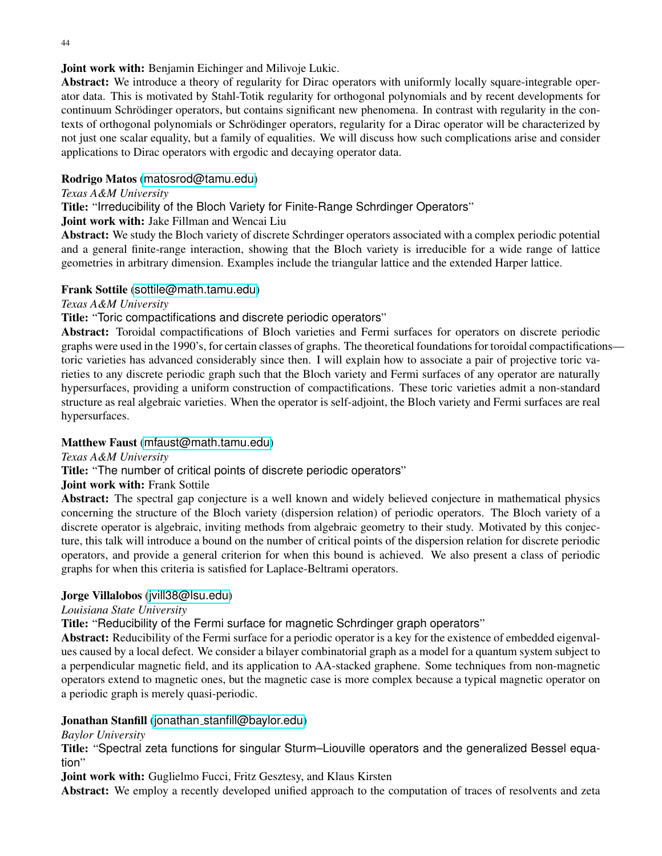# Joint work with: Benjamin Eichinger and Milivoje Lukic.

Abstract: We introduce a theory of regularity for Dirac operators with uniformly locally square-integrable operator data. This is motivated by Stahl-Totik regularity for orthogonal polynomials and by recent developments for continuum Schrödinger operators, but contains significant new phenomena. In contrast with regularity in the contexts of orthogonal polynomials or Schrödinger operators, regularity for a Dirac operator will be characterized by not just one scalar equality, but a family of equalities. We will discuss how such complications arise and consider applications to Dirac operators with ergodic and decaying operator data.

### Rodrigo Matos ([matosrod@tamu.edu](mailto:matosrod@tamu.edu))

#### *Texas A&M University*

Title: "Irreducibility of the Bloch Variety for Finite-Range Schrdinger Operators"

### Joint work with: Jake Fillman and Wencai Liu

Abstract: We study the Bloch variety of discrete Schrdinger operators associated with a complex periodic potential and a general finite-range interaction, showing that the Bloch variety is irreducible for a wide range of lattice geometries in arbitrary dimension. Examples include the triangular lattice and the extended Harper lattice.

### Frank Sottile ([sottile@math.tamu.edu](mailto:sottile@math.tamu.edu))

### *Texas A&M University*

### Title: "Toric compactifications and discrete periodic operators"

Abstract: Toroidal compactifications of Bloch varieties and Fermi surfaces for operators on discrete periodic graphs were used in the 1990's, for certain classes of graphs. The theoretical foundations for toroidal compactifications toric varieties has advanced considerably since then. I will explain how to associate a pair of projective toric varieties to any discrete periodic graph such that the Bloch variety and Fermi surfaces of any operator are naturally hypersurfaces, providing a uniform construction of compactifications. These toric varieties admit a non-standard structure as real algebraic varieties. When the operator is self-adjoint, the Bloch variety and Fermi surfaces are real hypersurfaces.

### Matthew Faust ([mfaust@math.tamu.edu](mailto:mfaust@math.tamu.edu))

#### *Texas A&M University*

Title: "The number of critical points of discrete periodic operators"

#### Joint work with: Frank Sottile

Abstract: The spectral gap conjecture is a well known and widely believed conjecture in mathematical physics concerning the structure of the Bloch variety (dispersion relation) of periodic operators. The Bloch variety of a discrete operator is algebraic, inviting methods from algebraic geometry to their study. Motivated by this conjecture, this talk will introduce a bound on the number of critical points of the dispersion relation for discrete periodic operators, and provide a general criterion for when this bound is achieved. We also present a class of periodic graphs for when this criteria is satisfied for Laplace-Beltrami operators.

#### Jorge Villalobos (ivill38@lsu.edu)

### *Louisiana State University*

Title: "Reducibility of the Fermi surface for magnetic Schrdinger graph operators"

Abstract: Reducibility of the Fermi surface for a periodic operator is a key for the existence of embedded eigenvalues caused by a local defect. We consider a bilayer combinatorial graph as a model for a quantum system subject to a perpendicular magnetic field, and its application to AA-stacked graphene. Some techniques from non-magnetic operators extend to magnetic ones, but the magnetic case is more complex because a typical magnetic operator on a periodic graph is merely quasi-periodic.

# Jonathan Stanfill (jonathan [stanfill@baylor.edu](mailto:jonathan_stanfill@baylor.edu))

#### *Baylor University*

Title: "Spectral zeta functions for singular Sturm–Liouville operators and the generalized Bessel equation"

Joint work with: Guglielmo Fucci, Fritz Gesztesy, and Klaus Kirsten

Abstract: We employ a recently developed unified approach to the computation of traces of resolvents and zeta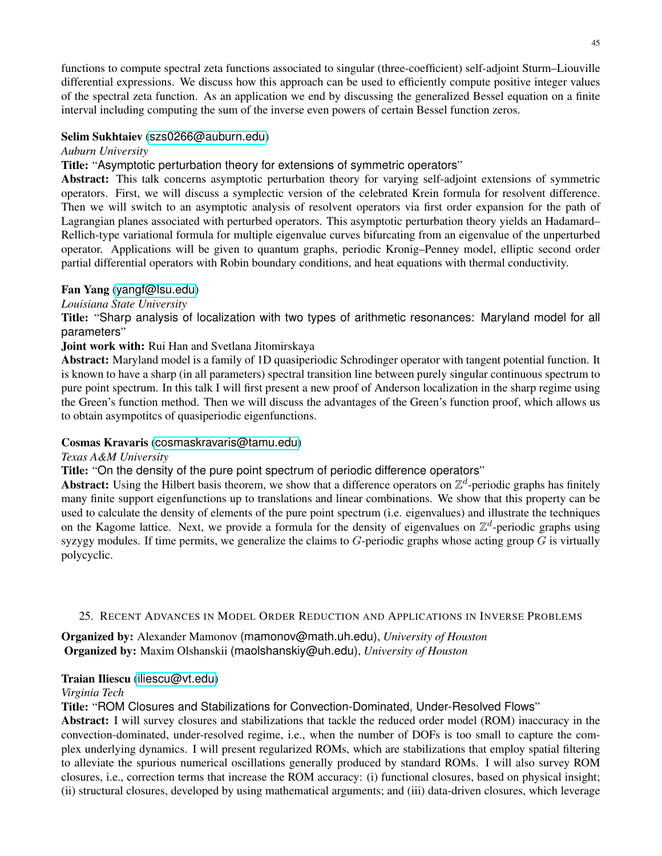functions to compute spectral zeta functions associated to singular (three-coefficient) self-adjoint Sturm–Liouville differential expressions. We discuss how this approach can be used to efficiently compute positive integer values of the spectral zeta function. As an application we end by discussing the generalized Bessel equation on a finite interval including computing the sum of the inverse even powers of certain Bessel function zeros.

# Selim Sukhtaiev ([szs0266@auburn.edu](mailto:szs0266@auburn.edu))

*Auburn University*

Title: "Asymptotic perturbation theory for extensions of symmetric operators"

Abstract: This talk concerns asymptotic perturbation theory for varying self-adjoint extensions of symmetric operators. First, we will discuss a symplectic version of the celebrated Krein formula for resolvent difference. Then we will switch to an asymptotic analysis of resolvent operators via first order expansion for the path of Lagrangian planes associated with perturbed operators. This asymptotic perturbation theory yields an Hadamard– Rellich-type variational formula for multiple eigenvalue curves bifurcating from an eigenvalue of the unperturbed operator. Applications will be given to quantum graphs, periodic Kronig–Penney model, elliptic second order partial differential operators with Robin boundary conditions, and heat equations with thermal conductivity.

# Fan Yang ([yangf@lsu.edu](mailto:yangf@lsu.edu))

### *Louisiana State University*

Title: "Sharp analysis of localization with two types of arithmetic resonances: Maryland model for all parameters"

# Joint work with: Rui Han and Svetlana Jitomirskaya

Abstract: Maryland model is a family of 1D quasiperiodic Schrodinger operator with tangent potential function. It is known to have a sharp (in all parameters) spectral transition line between purely singular continuous spectrum to pure point spectrum. In this talk I will first present a new proof of Anderson localization in the sharp regime using the Green's function method. Then we will discuss the advantages of the Green's function proof, which allows us to obtain asympotitcs of quasiperiodic eigenfunctions.

# Cosmas Kravaris ([cosmaskravaris@tamu.edu](mailto:cosmaskravaris@tamu.edu))

### *Texas A&M University*

Title: "On the density of the pure point spectrum of periodic difference operators"

Abstract: Using the Hilbert basis theorem, we show that a difference operators on  $\mathbb{Z}^d$ -periodic graphs has finitely many finite support eigenfunctions up to translations and linear combinations. We show that this property can be used to calculate the density of elements of the pure point spectrum (i.e. eigenvalues) and illustrate the techniques on the Kagome lattice. Next, we provide a formula for the density of eigenvalues on  $\mathbb{Z}^d$ -periodic graphs using syzygy modules. If time permits, we generalize the claims to  $G$ -periodic graphs whose acting group  $G$  is virtually polycyclic.

### <span id="page-44-0"></span>25. RECENT ADVANCES IN MODEL ORDER REDUCTION AND APPLICATIONS IN INVERSE PROBLEMS

Organized by: Alexander Mamonov (mamonov@math.uh.edu), *University of Houston* Organized by: Maxim Olshanskii (maolshanskiy@uh.edu), *University of Houston*

### Traian Iliescu ([iliescu@vt.edu](mailto:iliescu@vt.edu))

### *Virginia Tech*

Title: "ROM Closures and Stabilizations for Convection-Dominated, Under-Resolved Flows"

Abstract: I will survey closures and stabilizations that tackle the reduced order model (ROM) inaccuracy in the convection-dominated, under-resolved regime, i.e., when the number of DOFs is too small to capture the complex underlying dynamics. I will present regularized ROMs, which are stabilizations that employ spatial filtering to alleviate the spurious numerical oscillations generally produced by standard ROMs. I will also survey ROM closures, i.e., correction terms that increase the ROM accuracy: (i) functional closures, based on physical insight; (ii) structural closures, developed by using mathematical arguments; and (iii) data-driven closures, which leverage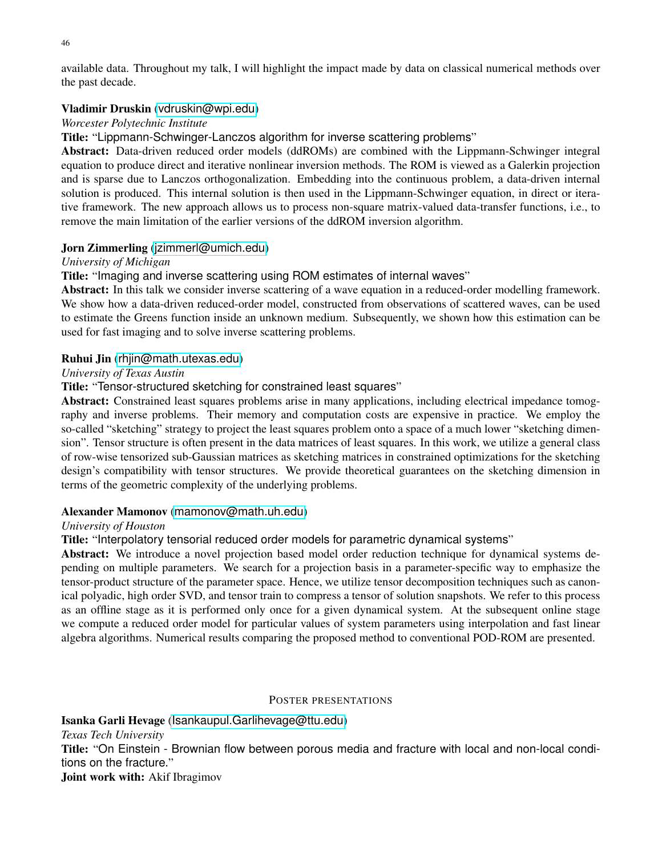available data. Throughout my talk, I will highlight the impact made by data on classical numerical methods over the past decade.

### Vladimir Druskin ([vdruskin@wpi.edu](mailto:vdruskin@wpi.edu))

### *Worcester Polytechnic Institute*

Title: "Lippmann-Schwinger-Lanczos algorithm for inverse scattering problems"

Abstract: Data-driven reduced order models (ddROMs) are combined with the Lippmann-Schwinger integral equation to produce direct and iterative nonlinear inversion methods. The ROM is viewed as a Galerkin projection and is sparse due to Lanczos orthogonalization. Embedding into the continuous problem, a data-driven internal solution is produced. This internal solution is then used in the Lippmann-Schwinger equation, in direct or iterative framework. The new approach allows us to process non-square matrix-valued data-transfer functions, i.e., to remove the main limitation of the earlier versions of the ddROM inversion algorithm.

### Jorn Zimmerling ([jzimmerl@umich.edu](mailto:jzimmerl@umich.edu))

### *University of Michigan*

Title: "Imaging and inverse scattering using ROM estimates of internal waves"

Abstract: In this talk we consider inverse scattering of a wave equation in a reduced-order modelling framework. We show how a data-driven reduced-order model, constructed from observations of scattered waves, can be used to estimate the Greens function inside an unknown medium. Subsequently, we shown how this estimation can be used for fast imaging and to solve inverse scattering problems.

### Ruhui Jin ([rhjin@math.utexas.edu](mailto:rhjin@math.utexas.edu))

### *University of Texas Austin*

Title: "Tensor-structured sketching for constrained least squares"

Abstract: Constrained least squares problems arise in many applications, including electrical impedance tomography and inverse problems. Their memory and computation costs are expensive in practice. We employ the so-called "sketching" strategy to project the least squares problem onto a space of a much lower "sketching dimension". Tensor structure is often present in the data matrices of least squares. In this work, we utilize a general class of row-wise tensorized sub-Gaussian matrices as sketching matrices in constrained optimizations for the sketching design's compatibility with tensor structures. We provide theoretical guarantees on the sketching dimension in terms of the geometric complexity of the underlying problems.

### Alexander Mamonov ([mamonov@math.uh.edu](mailto:mamonov@math.uh.edu))

#### *University of Houston*

Title: "Interpolatory tensorial reduced order models for parametric dynamical systems"

Abstract: We introduce a novel projection based model order reduction technique for dynamical systems depending on multiple parameters. We search for a projection basis in a parameter-specific way to emphasize the tensor-product structure of the parameter space. Hence, we utilize tensor decomposition techniques such as canonical polyadic, high order SVD, and tensor train to compress a tensor of solution snapshots. We refer to this process as an offline stage as it is performed only once for a given dynamical system. At the subsequent online stage we compute a reduced order model for particular values of system parameters using interpolation and fast linear algebra algorithms. Numerical results comparing the proposed method to conventional POD-ROM are presented.

#### <span id="page-45-0"></span>POSTER PRESENTATIONS

Isanka Garli Hevage ([Isankaupul.Garlihevage@ttu.edu](mailto:Isankaupul.Garlihevage@ttu.edu)) *Texas Tech University* Title: "On Einstein - Brownian flow between porous media and fracture with local and non-local conditions on the fracture." Joint work with: Akif Ibragimov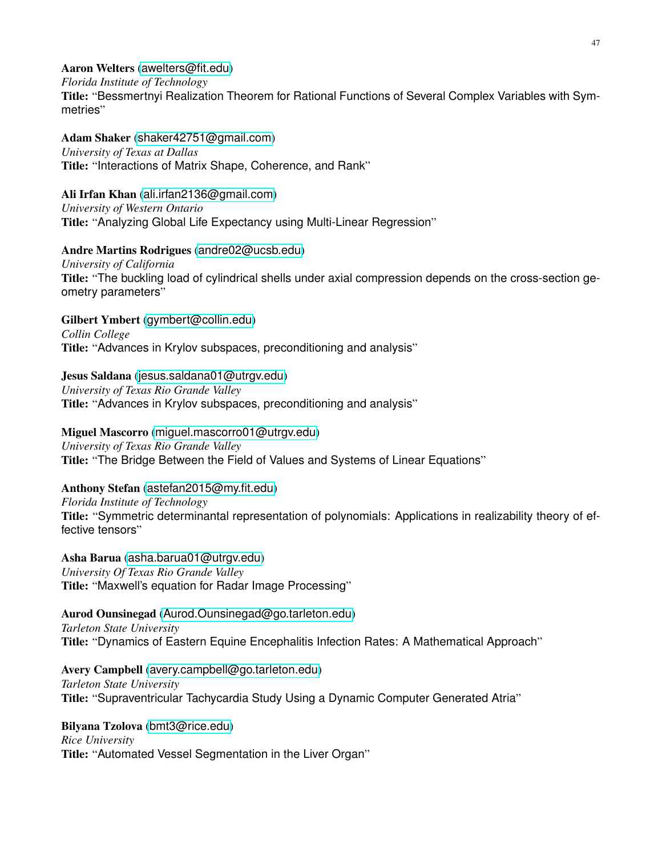Aaron Welters ([awelters@fit.edu](mailto:awelters@fit.edu))

*Florida Institute of Technology*

Title: "Bessmertnyi Realization Theorem for Rational Functions of Several Complex Variables with Symmetries"

Adam Shaker ([shaker42751@gmail.com](mailto:shaker42751@gmail.com)) *University of Texas at Dallas* Title: "Interactions of Matrix Shape, Coherence, and Rank"

Ali Irfan Khan ([ali.irfan2136@gmail.com](mailto:ali.irfan2136@gmail.com)) *University of Western Ontario* Title: "Analyzing Global Life Expectancy using Multi-Linear Regression"

# Andre Martins Rodrigues ([andre02@ucsb.edu](mailto:andre02@ucsb.edu))

*University of California* Title: "The buckling load of cylindrical shells under axial compression depends on the cross-section geometry parameters"

Gilbert Ymbert ([gymbert@collin.edu](mailto:gymbert@collin.edu)) *Collin College* Title: "Advances in Krylov subspaces, preconditioning and analysis"

Jesus Saldana ([jesus.saldana01@utrgv.edu](mailto:jesus.saldana01@utrgv.edu)) *University of Texas Rio Grande Valley* Title: "Advances in Krylov subspaces, preconditioning and analysis"

Miguel Mascorro ([miguel.mascorro01@utrgv.edu](mailto:miguel.mascorro01@utrgv.edu)) *University of Texas Rio Grande Valley* Title: "The Bridge Between the Field of Values and Systems of Linear Equations"

Anthony Stefan ([astefan2015@my.fit.edu](mailto:astefan2015@my.fit.edu))

*Florida Institute of Technology* Title: "Symmetric determinantal representation of polynomials: Applications in realizability theory of effective tensors"

Asha Barua ([asha.barua01@utrgv.edu](mailto:asha.barua01@utrgv.edu)) *University Of Texas Rio Grande Valley* Title: "Maxwell's equation for Radar Image Processing"

Aurod Ounsinegad ([Aurod.Ounsinegad@go.tarleton.edu](mailto:Aurod.Ounsinegad@go.tarleton.edu)) *Tarleton State University* Title: "Dynamics of Eastern Equine Encephalitis Infection Rates: A Mathematical Approach"

Avery Campbell ([avery.campbell@go.tarleton.edu](mailto:avery.campbell@go.tarleton.edu)) *Tarleton State University* Title: "Supraventricular Tachycardia Study Using a Dynamic Computer Generated Atria"

Bilyana Tzolova ([bmt3@rice.edu](mailto:bmt3@rice.edu)) *Rice University* Title: "Automated Vessel Segmentation in the Liver Organ"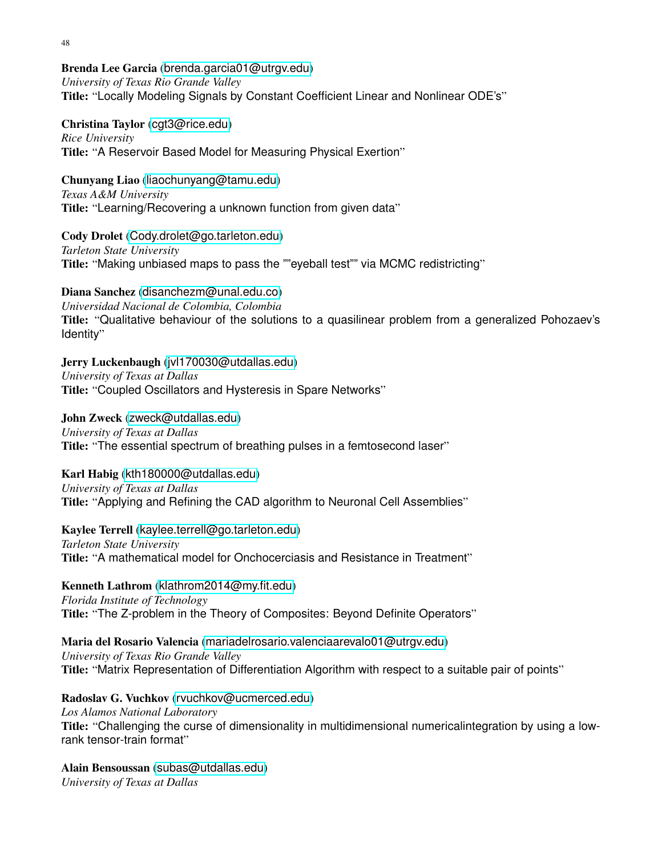Brenda Lee Garcia ([brenda.garcia01@utrgv.edu](mailto:brenda.garcia01@utrgv.edu)) *University of Texas Rio Grande Valley* Title: "Locally Modeling Signals by Constant Coefficient Linear and Nonlinear ODE's"

Christina Taylor ([cgt3@rice.edu](mailto:cgt3@rice.edu)) *Rice University* Title: "A Reservoir Based Model for Measuring Physical Exertion"

Chunyang Liao ([liaochunyang@tamu.edu](mailto:liaochunyang@tamu.edu)) *Texas A&M University* Title: "Learning/Recovering a unknown function from given data"

Cody Drolet ([Cody.drolet@go.tarleton.edu](mailto:Cody.drolet@go.tarleton.edu)) *Tarleton State University* Title: "Making unbiased maps to pass the ""eyeball test"" via MCMC redistricting"

Diana Sanchez ([disanchezm@unal.edu.co](mailto:disanchezm@unal.edu.co)) *Universidad Nacional de Colombia, Colombia* Title: "Qualitative behaviour of the solutions to a quasilinear problem from a generalized Pohozaev's Identity"

Jerry Luckenbaugh ([jvl170030@utdallas.edu](mailto:jvl170030@utdallas.edu)) *University of Texas at Dallas* Title: "Coupled Oscillators and Hysteresis in Spare Networks"

John Zweck ([zweck@utdallas.edu](mailto:zweck@utdallas.edu)) *University of Texas at Dallas* Title: "The essential spectrum of breathing pulses in a femtosecond laser"

Karl Habig ([kth180000@utdallas.edu](mailto:kth180000@utdallas.edu)) *University of Texas at Dallas* Title: "Applying and Refining the CAD algorithm to Neuronal Cell Assemblies"

Kaylee Terrell ([kaylee.terrell@go.tarleton.edu](mailto:kaylee.terrell@go.tarleton.edu)) *Tarleton State University* Title: "A mathematical model for Onchocerciasis and Resistance in Treatment"

Kenneth Lathrom ([klathrom2014@my.fit.edu](mailto:klathrom2014@my.fit.edu)) *Florida Institute of Technology* Title: "The Z-problem in the Theory of Composites: Beyond Definite Operators"

Maria del Rosario Valencia ([mariadelrosario.valenciaarevalo01@utrgv.edu](mailto:mariadelrosario.valenciaarevalo01@utrgv.edu)) *University of Texas Rio Grande Valley* Title: "Matrix Representation of Differentiation Algorithm with respect to a suitable pair of points"

Radoslav G. Vuchkov ([rvuchkov@ucmerced.edu](mailto:rvuchkov@ucmerced.edu)) *Los Alamos National Laboratory* Title: "Challenging the curse of dimensionality in multidimensional numericalintegration by using a lowrank tensor-train format"

Alain Bensoussan ([subas@utdallas.edu](mailto:subas@utdallas.edu)) *University of Texas at Dallas*